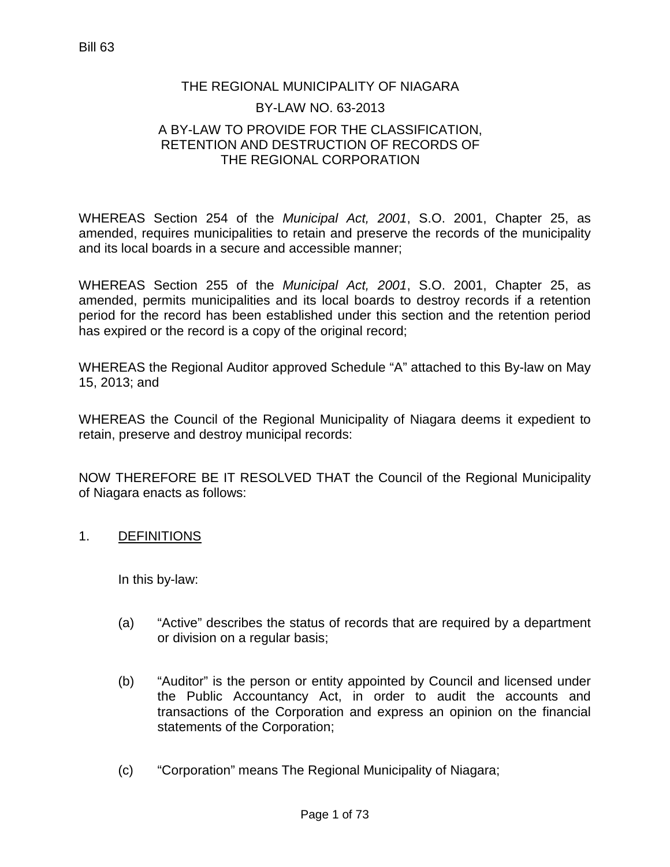## THE REGIONAL MUNICIPALITY OF NIAGARA BY-LAW NO. 63-2013 A BY-LAW TO PROVIDE FOR THE CLASSIFICATION, RETENTION AND DESTRUCTION OF RECORDS OF THE REGIONAL CORPORATION

WHEREAS Section 254 of the *Municipal Act, 2001*, S.O. 2001, Chapter 25, as amended, requires municipalities to retain and preserve the records of the municipality and its local boards in a secure and accessible manner;

WHEREAS Section 255 of the *Municipal Act, 2001*, S.O. 2001, Chapter 25, as amended, permits municipalities and its local boards to destroy records if a retention period for the record has been established under this section and the retention period has expired or the record is a copy of the original record;

WHEREAS the Regional Auditor approved Schedule "A" attached to this By-law on May 15, 2013; and

WHEREAS the Council of the Regional Municipality of Niagara deems it expedient to retain, preserve and destroy municipal records:

NOW THEREFORE BE IT RESOLVED THAT the Council of the Regional Municipality of Niagara enacts as follows:

## 1. DEFINITIONS

In this by-law:

- (a) "Active" describes the status of records that are required by a department or division on a regular basis;
- (b) "Auditor" is the person or entity appointed by Council and licensed under the Public Accountancy Act, in order to audit the accounts and transactions of the Corporation and express an opinion on the financial statements of the Corporation;
- (c) "Corporation" means The Regional Municipality of Niagara;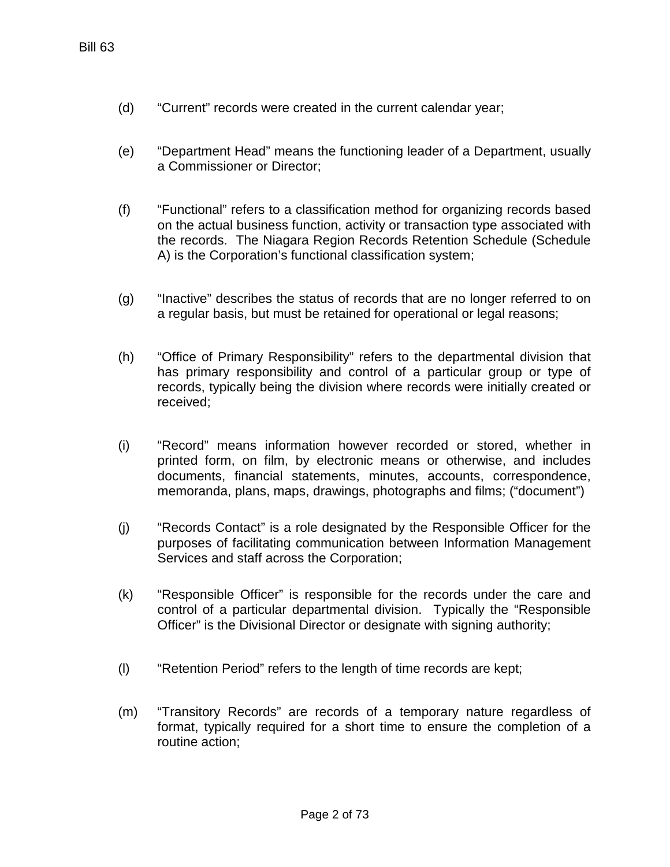- (d) "Current" records were created in the current calendar year;
- (e) "Department Head" means the functioning leader of a Department, usually a Commissioner or Director;
- (f) "Functional" refers to a classification method for organizing records based on the actual business function, activity or transaction type associated with the records. The Niagara Region Records Retention Schedule (Schedule A) is the Corporation's functional classification system;
- (g) "Inactive" describes the status of records that are no longer referred to on a regular basis, but must be retained for operational or legal reasons;
- (h) "Office of Primary Responsibility" refers to the departmental division that has primary responsibility and control of a particular group or type of records, typically being the division where records were initially created or received;
- (i) "Record" means information however recorded or stored, whether in printed form, on film, by electronic means or otherwise, and includes documents, financial statements, minutes, accounts, correspondence, memoranda, plans, maps, drawings, photographs and films; ("document")
- (j) "Records Contact" is a role designated by the Responsible Officer for the purposes of facilitating communication between Information Management Services and staff across the Corporation;
- (k) "Responsible Officer" is responsible for the records under the care and control of a particular departmental division. Typically the "Responsible Officer" is the Divisional Director or designate with signing authority;
- (l) "Retention Period" refers to the length of time records are kept;
- (m) "Transitory Records" are records of a temporary nature regardless of format, typically required for a short time to ensure the completion of a routine action;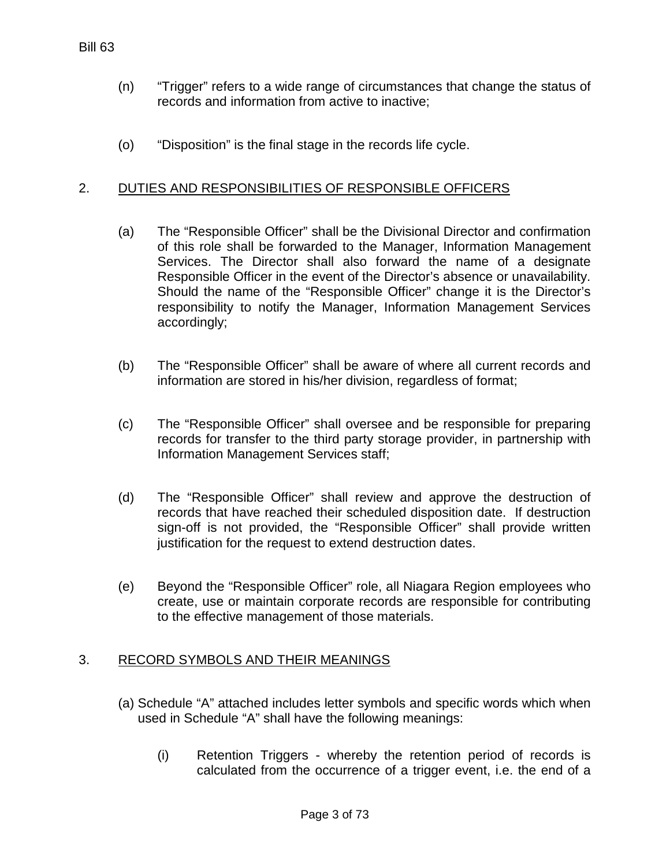- (n) "Trigger" refers to a wide range of circumstances that change the status of records and information from active to inactive;
- (o) "Disposition" is the final stage in the records life cycle.

## 2. DUTIES AND RESPONSIBILITIES OF RESPONSIBLE OFFICERS

- (a) The "Responsible Officer" shall be the Divisional Director and confirmation of this role shall be forwarded to the Manager, Information Management Services. The Director shall also forward the name of a designate Responsible Officer in the event of the Director's absence or unavailability. Should the name of the "Responsible Officer" change it is the Director's responsibility to notify the Manager, Information Management Services accordingly;
- (b) The "Responsible Officer" shall be aware of where all current records and information are stored in his/her division, regardless of format;
- (c) The "Responsible Officer" shall oversee and be responsible for preparing records for transfer to the third party storage provider, in partnership with Information Management Services staff;
- (d) The "Responsible Officer" shall review and approve the destruction of records that have reached their scheduled disposition date. If destruction sign-off is not provided, the "Responsible Officer" shall provide written justification for the request to extend destruction dates.
- (e) Beyond the "Responsible Officer" role, all Niagara Region employees who create, use or maintain corporate records are responsible for contributing to the effective management of those materials.

## 3. RECORD SYMBOLS AND THEIR MEANINGS

- (a) Schedule "A" attached includes letter symbols and specific words which when used in Schedule "A" shall have the following meanings:
	- (i) Retention Triggers whereby the retention period of records is calculated from the occurrence of a trigger event, i.e. the end of a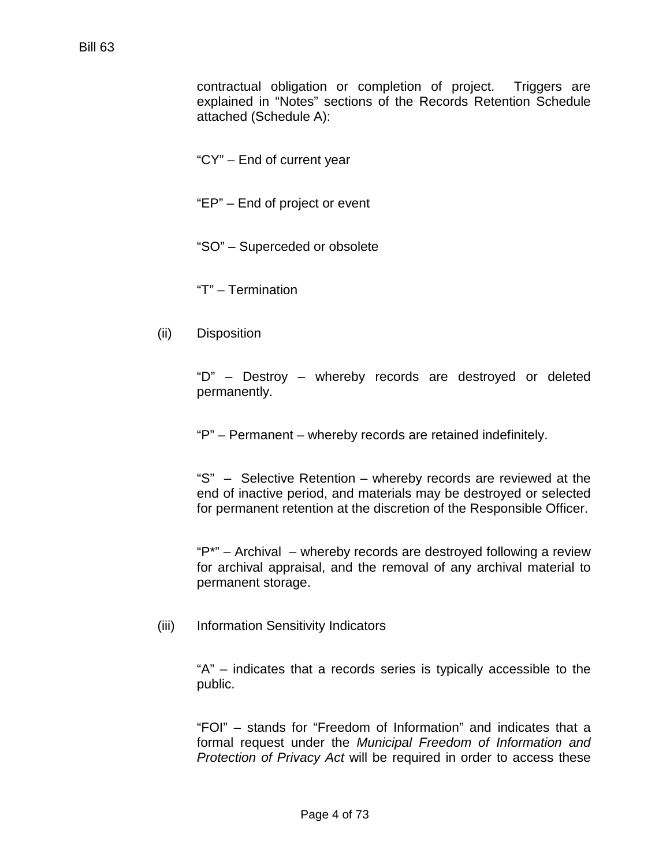contractual obligation or completion of project. Triggers are explained in "Notes" sections of the Records Retention Schedule attached (Schedule A):

"CY" – End of current year

"EP" – End of project or event

"SO" – Superceded or obsolete

"T" – Termination

(ii) Disposition

"D" – Destroy – whereby records are destroyed or deleted permanently.

"P" – Permanent – whereby records are retained indefinitely.

"S" – Selective Retention – whereby records are reviewed at the end of inactive period, and materials may be destroyed or selected for permanent retention at the discretion of the Responsible Officer.

"P\*" – Archival – whereby records are destroyed following a review for archival appraisal, and the removal of any archival material to permanent storage.

(iii) Information Sensitivity Indicators

"A" – indicates that a records series is typically accessible to the public.

"FOI" – stands for "Freedom of Information" and indicates that a formal request under the *Municipal Freedom of Information and Protection of Privacy Act* will be required in order to access these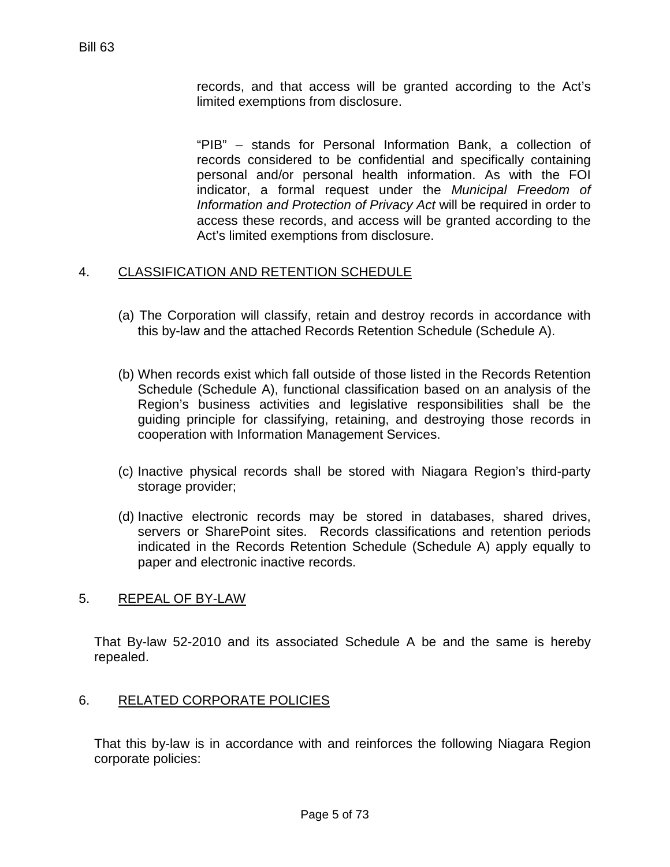records, and that access will be granted according to the Act's limited exemptions from disclosure.

"PIB" – stands for Personal Information Bank, a collection of records considered to be confidential and specifically containing personal and/or personal health information. As with the FOI indicator, a formal request under the *Municipal Freedom of Information and Protection of Privacy Act* will be required in order to access these records, and access will be granted according to the Act's limited exemptions from disclosure.

## 4. CLASSIFICATION AND RETENTION SCHEDULE

- (a) The Corporation will classify, retain and destroy records in accordance with this by-law and the attached Records Retention Schedule (Schedule A).
- (b) When records exist which fall outside of those listed in the Records Retention Schedule (Schedule A), functional classification based on an analysis of the Region's business activities and legislative responsibilities shall be the guiding principle for classifying, retaining, and destroying those records in cooperation with Information Management Services.
- (c) Inactive physical records shall be stored with Niagara Region's third-party storage provider;
- (d) Inactive electronic records may be stored in databases, shared drives, servers or SharePoint sites. Records classifications and retention periods indicated in the Records Retention Schedule (Schedule A) apply equally to paper and electronic inactive records.

#### 5. REPEAL OF BY-LAW

That By-law 52-2010 and its associated Schedule A be and the same is hereby repealed.

#### 6. RELATED CORPORATE POLICIES

That this by-law is in accordance with and reinforces the following Niagara Region corporate policies: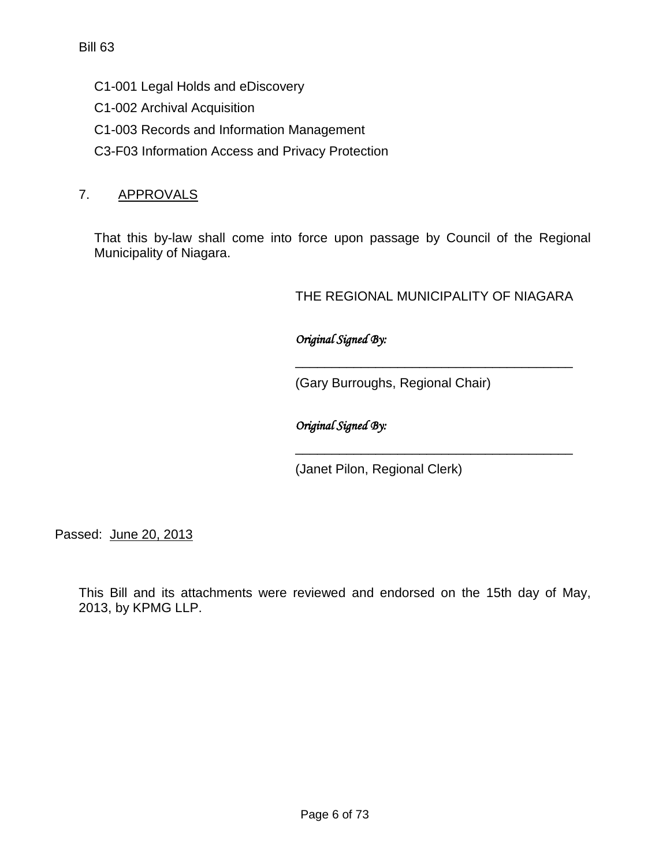- C1-001 Legal Holds and eDiscovery
- C1-002 Archival Acquisition
- C1-003 Records and Information Management
- C3-F03 Information Access and Privacy Protection

## 7. APPROVALS

That this by-law shall come into force upon passage by Council of the Regional Municipality of Niagara.

THE REGIONAL MUNICIPALITY OF NIAGARA

\_\_\_\_\_\_\_\_\_\_\_\_\_\_\_\_\_\_\_\_\_\_\_\_\_\_\_\_\_\_\_\_\_\_\_\_\_\_

\_\_\_\_\_\_\_\_\_\_\_\_\_\_\_\_\_\_\_\_\_\_\_\_\_\_\_\_\_\_\_\_\_\_\_\_\_\_

*Original Signed By:* 

(Gary Burroughs, Regional Chair)

*Original Signed By:* 

(Janet Pilon, Regional Clerk)

Passed: June 20, 2013

This Bill and its attachments were reviewed and endorsed on the 15th day of May, 2013, by KPMG LLP.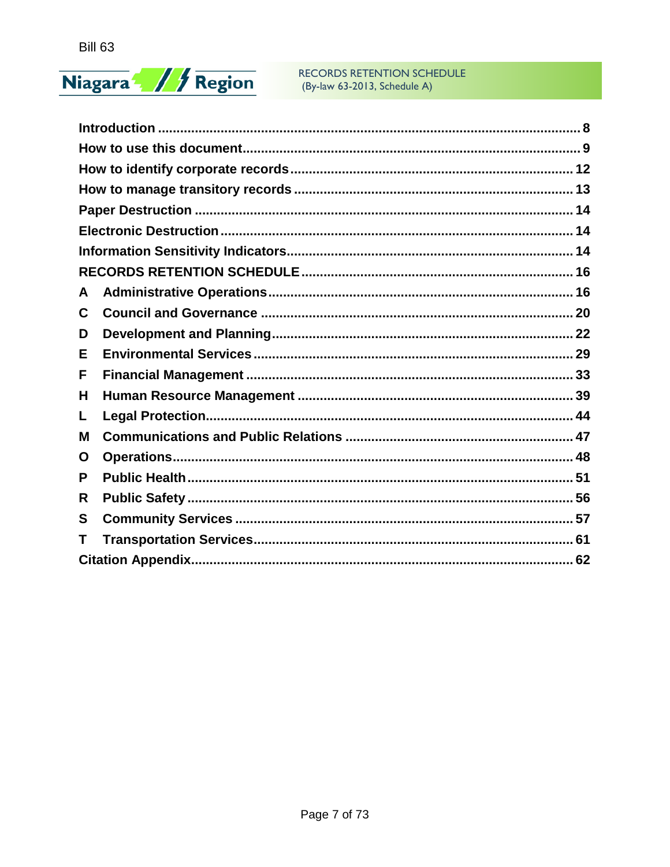# Niagara / / Region

#### **RECORDS RETENTION SCHEDULE** (By-law 63-2013, Schedule A)

| A |  |
|---|--|
| C |  |
| D |  |
| Е |  |
| F |  |
| Н |  |
| L |  |
| M |  |
| O |  |
| P |  |
| R |  |
| S |  |
| Τ |  |
|   |  |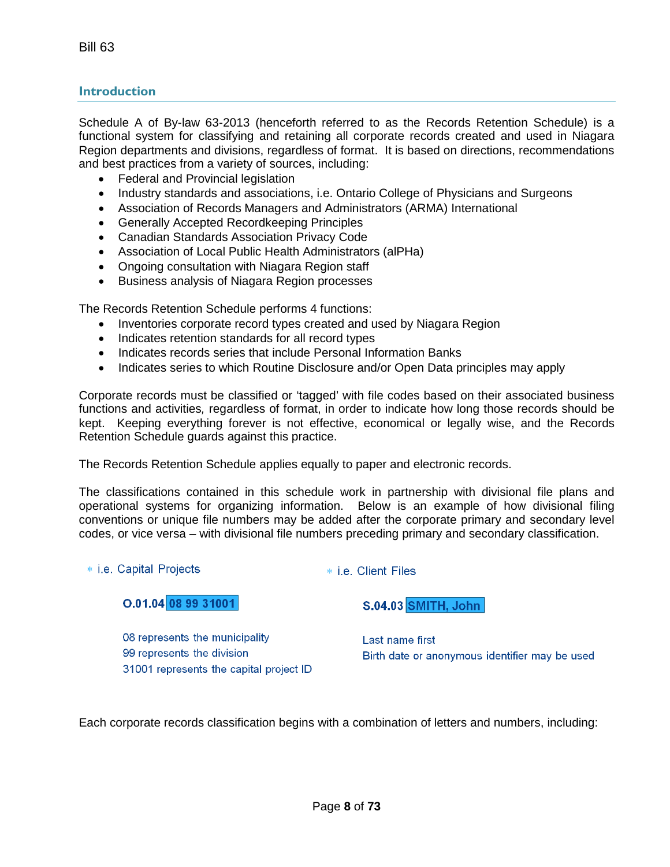## <span id="page-7-0"></span>**Introduction**

Schedule A of By-law 63-2013 (henceforth referred to as the Records Retention Schedule) is a functional system for classifying and retaining all corporate records created and used in Niagara Region departments and divisions, regardless of format. It is based on directions, recommendations and best practices from a variety of sources, including:

- Federal and Provincial legislation
- Industry standards and associations, i.e. Ontario College of Physicians and Surgeons
- Association of Records Managers and Administrators (ARMA) International
- Generally Accepted Recordkeeping Principles
- Canadian Standards Association Privacy Code
- Association of Local Public Health Administrators (alPHa)
- Ongoing consultation with Niagara Region staff
- Business analysis of Niagara Region processes

The Records Retention Schedule performs 4 functions:

- Inventories corporate record types created and used by Niagara Region
- Indicates retention standards for all record types
- Indicates records series that include Personal Information Banks
- Indicates series to which Routine Disclosure and/or Open Data principles may apply

Corporate records must be classified or 'tagged' with file codes based on their associated business functions and activities*,* regardless of format, in order to indicate how long those records should be kept. Keeping everything forever is not effective, economical or legally wise, and the Records Retention Schedule guards against this practice.

The Records Retention Schedule applies equally to paper and electronic records.

The classifications contained in this schedule work in partnership with divisional file plans and operational systems for organizing information. Below is an example of how divisional filing conventions or unique file numbers may be added after the corporate primary and secondary level codes, or vice versa – with divisional file numbers preceding primary and secondary classification.

#### \* i.e. Capital Projects

\* i.e. Client Files

**S.04.03 SMITH, John** 

 $0.01.04$  08 99 31001

08 represents the municipality 99 represents the division 31001 represents the capital project ID

Last name first Birth date or anonymous identifier may be used

Each corporate records classification begins with a combination of letters and numbers, including: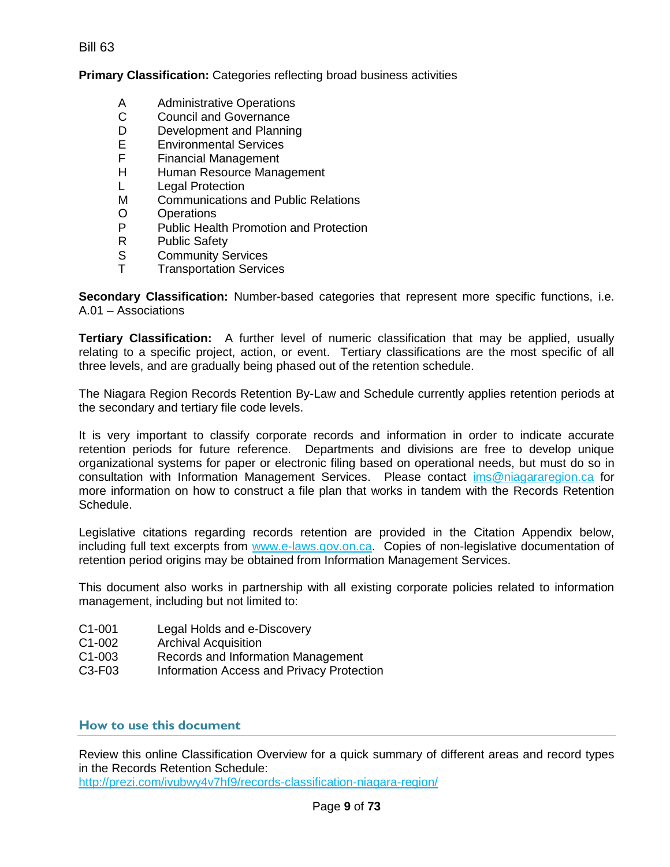Bill 63

#### **Primary Classification:** Categories reflecting broad business activities

- A Administrative Operations<br>C Council and Governance
- C Council and Governance<br>D Development and Plannin
- D Development and Planning<br>E Environmental Services
- E Environmental Services<br>F Financial Management
- **Financial Management**
- H Human Resource Management
- L Legal Protection
- M Communications and Public Relations
- O Operations<br>P Public Heal
- P Public Health Promotion and Protection<br>R Public Safety
- R Public Safety<br>S Community S
- S Community Services<br>T Transportation Servic
- **Transportation Services**

**Secondary Classification:** Number-based categories that represent more specific functions, i.e. A.01 – Associations

**Tertiary Classification:** A further level of numeric classification that may be applied, usually relating to a specific project, action, or event. Tertiary classifications are the most specific of all three levels, and are gradually being phased out of the retention schedule.

The Niagara Region Records Retention By-Law and Schedule currently applies retention periods at the secondary and tertiary file code levels.

It is very important to classify corporate records and information in order to indicate accurate retention periods for future reference. Departments and divisions are free to develop unique organizational systems for paper or electronic filing based on operational needs, but must do so in consultation with Information Management Services. Please contact [ims@niagararegion.ca](mailto:ims@niagararegion.ca) for more information on how to construct a file plan that works in tandem with the Records Retention Schedule.

Legislative citations regarding records retention are provided in the Citation Appendix below, including full text excerpts from [www.e-laws.gov.on.ca.](http://www.e-laws.gov.on.ca/) Copies of non-legislative documentation of retention period origins may be obtained from Information Management Services.

This document also works in partnership with all existing corporate policies related to information management, including but not limited to:

- C1-001 Legal Holds and e-Discovery
- C1-002 Archival Acquisition
- C1-003 Records and Information Management
- C3-F03 Information Access and Privacy Protection

#### <span id="page-8-0"></span>**How to use this document**

Review this online Classification Overview for a quick summary of different areas and record types in the Records Retention Schedule:

<http://prezi.com/ivubwy4v7hf9/records-classification-niagara-region/>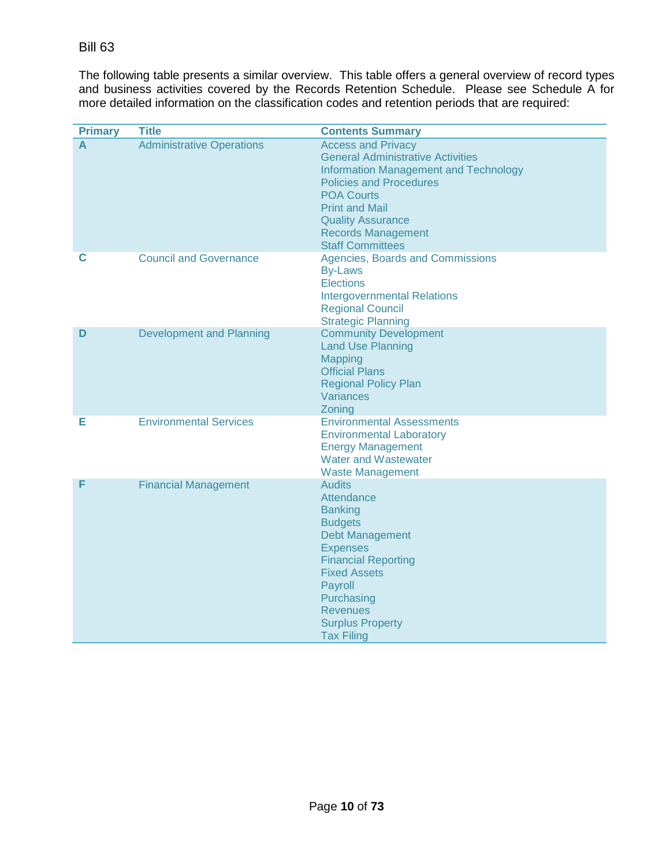The following table presents a similar overview. This table offers a general overview of record types and business activities covered by the Records Retention Schedule. Please see Schedule A for more detailed information on the classification codes and retention periods that are required:

| <b>Primary</b> | <b>Title</b>                     | <b>Contents Summary</b>                                                                                                                                                                                                                                                                   |
|----------------|----------------------------------|-------------------------------------------------------------------------------------------------------------------------------------------------------------------------------------------------------------------------------------------------------------------------------------------|
| A              | <b>Administrative Operations</b> | <b>Access and Privacy</b><br><b>General Administrative Activities</b><br><b>Information Management and Technology</b><br><b>Policies and Procedures</b><br><b>POA Courts</b><br><b>Print and Mail</b><br><b>Quality Assurance</b><br><b>Records Management</b><br><b>Staff Committees</b> |
| С              | <b>Council and Governance</b>    | Agencies, Boards and Commissions<br><b>By-Laws</b><br><b>Elections</b><br><b>Intergovernmental Relations</b><br><b>Regional Council</b><br><b>Strategic Planning</b>                                                                                                                      |
| D              | <b>Development and Planning</b>  | <b>Community Development</b><br><b>Land Use Planning</b><br><b>Mapping</b><br><b>Official Plans</b><br><b>Regional Policy Plan</b><br>Variances<br>Zoning                                                                                                                                 |
| Е              | <b>Environmental Services</b>    | <b>Environmental Assessments</b><br><b>Environmental Laboratory</b><br><b>Energy Management</b><br><b>Water and Wastewater</b><br><b>Waste Management</b>                                                                                                                                 |
| F              | <b>Financial Management</b>      | <b>Audits</b><br>Attendance<br><b>Banking</b><br><b>Budgets</b><br><b>Debt Management</b><br><b>Expenses</b><br><b>Financial Reporting</b><br><b>Fixed Assets</b><br>Payroll<br>Purchasing<br><b>Revenues</b><br><b>Surplus Property</b><br><b>Tax Filing</b>                             |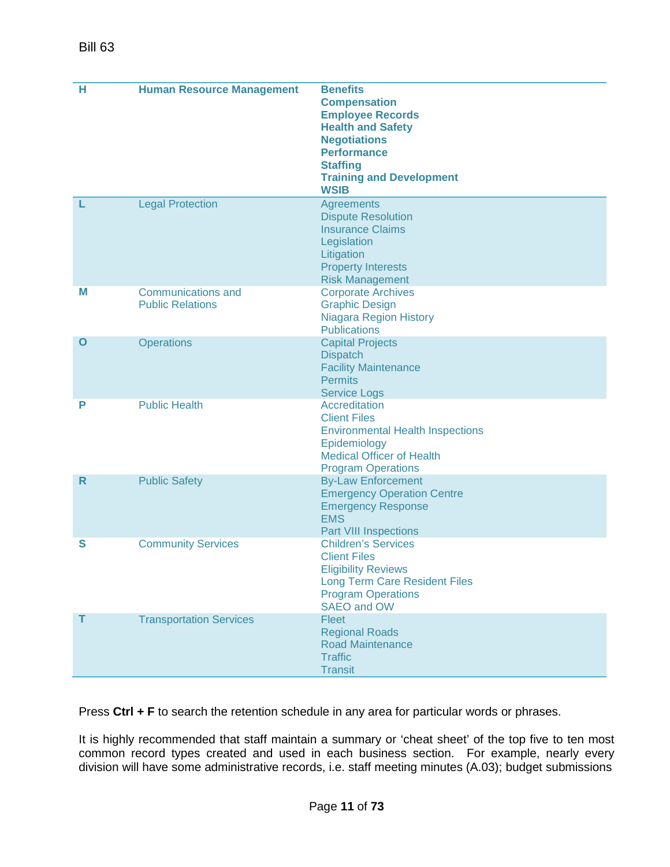| н  | <b>Human Resource Management</b> | <b>Benefits</b><br><b>Compensation</b>                         |
|----|----------------------------------|----------------------------------------------------------------|
|    |                                  | <b>Employee Records</b><br><b>Health and Safety</b>            |
|    |                                  | <b>Negotiations</b>                                            |
|    |                                  | <b>Performance</b>                                             |
|    |                                  | <b>Staffing</b><br><b>Training and Development</b>             |
|    |                                  | <b>WSIB</b>                                                    |
| L  | <b>Legal Protection</b>          | <b>Agreements</b>                                              |
|    |                                  | <b>Dispute Resolution</b><br><b>Insurance Claims</b>           |
|    |                                  | Legislation                                                    |
|    |                                  | Litigation                                                     |
|    |                                  | <b>Property Interests</b><br><b>Risk Management</b>            |
| Μ  | <b>Communications and</b>        | <b>Corporate Archives</b>                                      |
|    | <b>Public Relations</b>          | <b>Graphic Design</b>                                          |
|    |                                  | <b>Niagara Region History</b>                                  |
| O  | <b>Operations</b>                | <b>Publications</b><br><b>Capital Projects</b>                 |
|    |                                  | <b>Dispatch</b>                                                |
|    |                                  | <b>Facility Maintenance</b>                                    |
|    |                                  | <b>Permits</b><br><b>Service Logs</b>                          |
| Р  | <b>Public Health</b>             | <b>Accreditation</b>                                           |
|    |                                  | <b>Client Files</b>                                            |
|    |                                  | <b>Environmental Health Inspections</b><br>Epidemiology        |
|    |                                  | <b>Medical Officer of Health</b>                               |
|    |                                  | <b>Program Operations</b>                                      |
| R. | <b>Public Safety</b>             | <b>By-Law Enforcement</b>                                      |
|    |                                  | <b>Emergency Operation Centre</b><br><b>Emergency Response</b> |
|    |                                  | <b>EMS</b>                                                     |
|    |                                  | <b>Part VIII Inspections</b>                                   |
| S  | <b>Community Services</b>        | <b>Children's Services</b><br><b>Client Files</b>              |
|    |                                  | <b>Eligibility Reviews</b>                                     |
|    |                                  | <b>Long Term Care Resident Files</b>                           |
|    |                                  | <b>Program Operations</b><br>SAEO and OW                       |
| т  | <b>Transportation Services</b>   | Fleet                                                          |
|    |                                  | <b>Regional Roads</b>                                          |
|    |                                  | <b>Road Maintenance</b><br><b>Traffic</b>                      |
|    |                                  | <b>Transit</b>                                                 |

Press **Ctrl + F** to search the retention schedule in any area for particular words or phrases.

It is highly recommended that staff maintain a summary or 'cheat sheet' of the top five to ten most common record types created and used in each business section. For example, nearly every division will have some administrative records, i.e. staff meeting minutes (A.03); budget submissions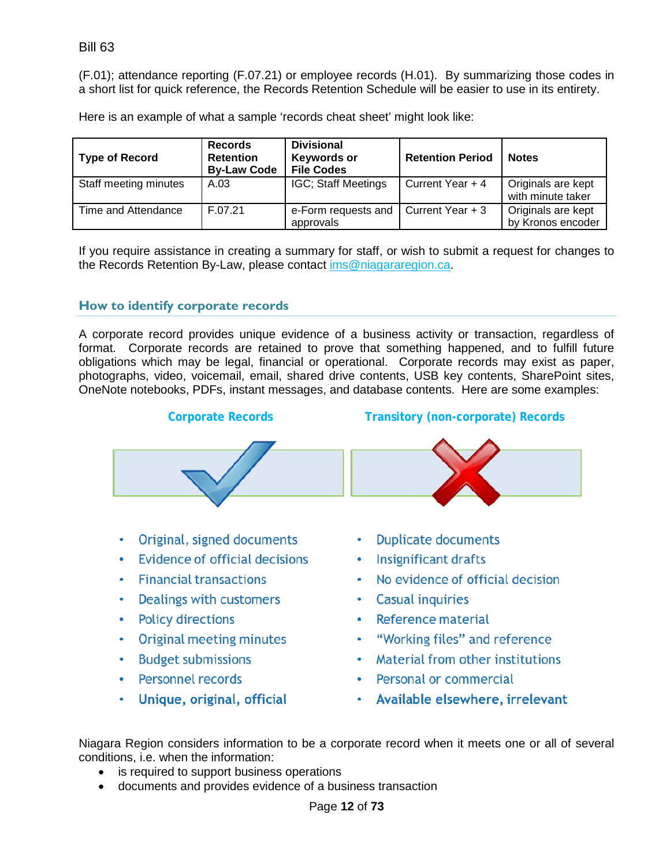Bill 63

(F.01); attendance reporting (F.07.21) or employee records (H.01). By summarizing those codes in a short list for quick reference, the Records Retention Schedule will be easier to use in its entirety.

Here is an example of what a sample 'records cheat sheet' might look like:

| <b>Type of Record</b> | <b>Records</b><br><b>Retention</b><br><b>By-Law Code</b> | <b>Divisional</b><br>Keywords or<br><b>File Codes</b> | <b>Retention Period</b> | <b>Notes</b>                            |
|-----------------------|----------------------------------------------------------|-------------------------------------------------------|-------------------------|-----------------------------------------|
| Staff meeting minutes | A.03                                                     | <b>IGC: Staff Meetings</b>                            | Current Year + 4        | Originals are kept<br>with minute taker |
| Time and Attendance   | F.07.21                                                  | e-Form requests and<br>approvals                      | Current Year + 3        | Originals are kept<br>by Kronos encoder |

If you require assistance in creating a summary for staff, or wish to submit a request for changes to the Records Retention By-Law, please contact [ims@niagararegion.ca.](mailto:ims@niagararegion.ca)

## <span id="page-11-0"></span>**How to identify corporate records**

A corporate record provides unique evidence of a business activity or transaction, regardless of format. Corporate records are retained to prove that something happened, and to fulfill future obligations which may be legal, financial or operational. Corporate records may exist as paper, photographs, video, voicemail, email, shared drive contents, USB key contents, SharePoint sites, OneNote notebooks, PDFs, instant messages, and database contents. Here are some examples:



- Unique, original, official
- Personal or commercial
- Available elsewhere, irrelevant

Niagara Region considers information to be a corporate record when it meets one or all of several conditions, i.e. when the information:

- is required to support business operations
- documents and provides evidence of a business transaction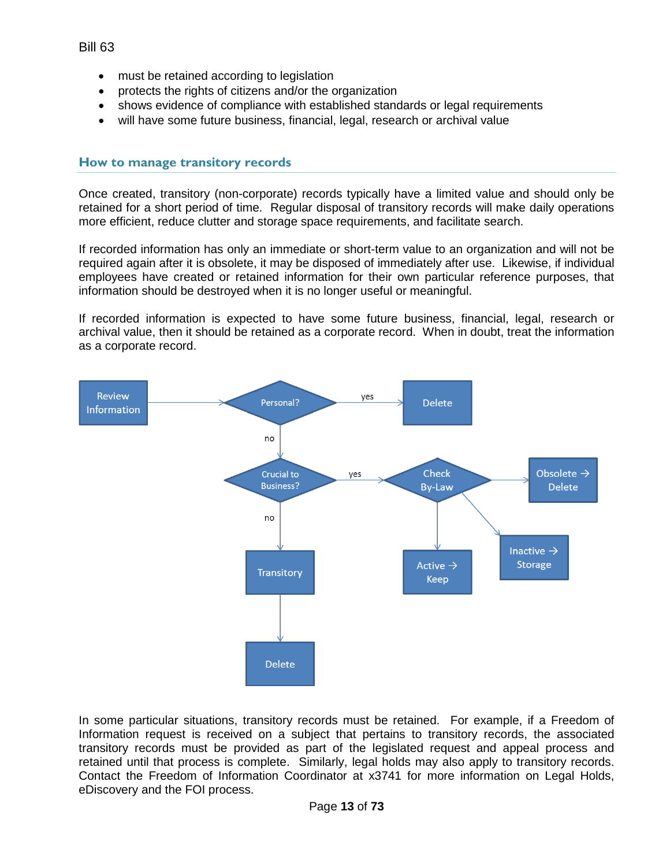- must be retained according to legislation
- protects the rights of citizens and/or the organization
- shows evidence of compliance with established standards or legal requirements
- will have some future business, financial, legal, research or archival value

#### <span id="page-12-0"></span>**How to manage transitory records**

Once created, transitory (non-corporate) records typically have a limited value and should only be retained for a short period of time. Regular disposal of transitory records will make daily operations more efficient, reduce clutter and storage space requirements, and facilitate search.

If recorded information has only an immediate or short-term value to an organization and will not be required again after it is obsolete, it may be disposed of immediately after use. Likewise, if individual employees have created or retained information for their own particular reference purposes, that information should be destroyed when it is no longer useful or meaningful.

If recorded information is expected to have some future business, financial, legal, research or archival value, then it should be retained as a corporate record. When in doubt, treat the information as a corporate record.



In some particular situations, transitory records must be retained. For example, if a Freedom of Information request is received on a subject that pertains to transitory records, the associated transitory records must be provided as part of the legislated request and appeal process and retained until that process is complete. Similarly, legal holds may also apply to transitory records. Contact the Freedom of Information Coordinator at x3741 for more information on Legal Holds, eDiscovery and the FOI process.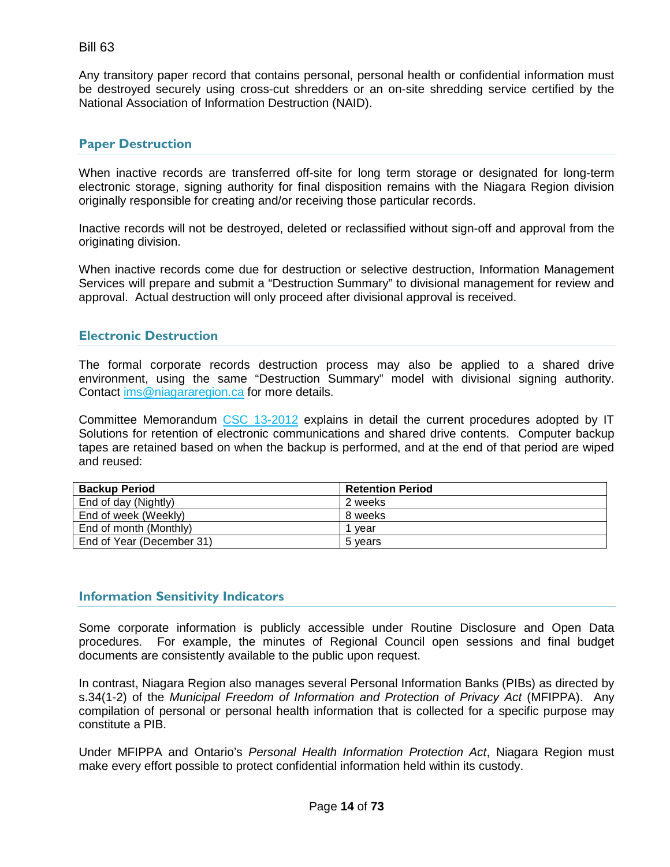Any transitory paper record that contains personal, personal health or confidential information must be destroyed securely using cross-cut shredders or an on-site shredding service certified by the National Association of Information Destruction (NAID).

#### <span id="page-13-0"></span>**Paper Destruction**

When inactive records are transferred off-site for long term storage or designated for long-term electronic storage, signing authority for final disposition remains with the Niagara Region division originally responsible for creating and/or receiving those particular records.

Inactive records will not be destroyed, deleted or reclassified without sign-off and approval from the originating division.

When inactive records come due for destruction or selective destruction, Information Management Services will prepare and submit a "Destruction Summary" to divisional management for review and approval. Actual destruction will only proceed after divisional approval is received.

#### <span id="page-13-1"></span>**Electronic Destruction**

The formal corporate records destruction process may also be applied to a shared drive environment, using the same "Destruction Summary" model with divisional signing authority. Contact [ims@niagararegion.ca](mailto:ims@niagararegion.ca) for more details.

Committee Memorandum [CSC 13-2012](http://collaboration.rmon.pri/Chair/council/2012/Council%20Documents/OCRBW-csc%2013-20122012-02-07%20102041.pdf) explains in detail the current procedures adopted by IT Solutions for retention of electronic communications and shared drive contents. Computer backup tapes are retained based on when the backup is performed, and at the end of that period are wiped and reused:

| <b>Backup Period</b>      | <b>Retention Period</b> |
|---------------------------|-------------------------|
| End of day (Nightly)      | 2 weeks                 |
| End of week (Weekly)      | 8 weeks                 |
| End of month (Monthly)    | vear                    |
| End of Year (December 31) | 5 vears                 |

#### <span id="page-13-2"></span>**Information Sensitivity Indicators**

Some corporate information is publicly accessible under Routine Disclosure and Open Data procedures. For example, the minutes of Regional Council open sessions and final budget documents are consistently available to the public upon request.

In contrast, Niagara Region also manages several Personal Information Banks (PIBs) as directed by s.34(1-2) of the *Municipal Freedom of Information and Protection of Privacy Act* (MFIPPA). Any compilation of personal or personal health information that is collected for a specific purpose may constitute a PIB.

Under MFIPPA and Ontario's *Personal Health Information Protection Act*, Niagara Region must make every effort possible to protect confidential information held within its custody.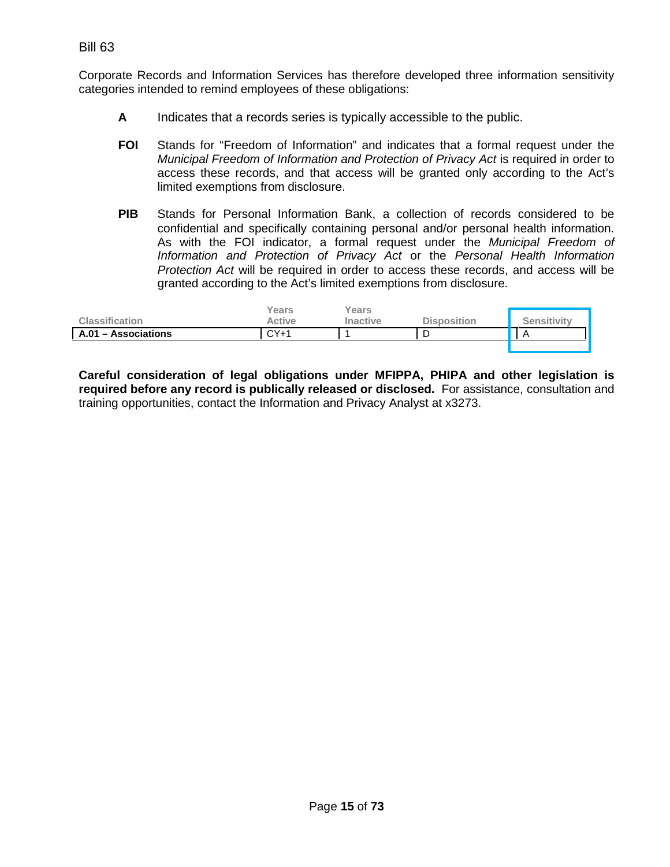Corporate Records and Information Services has therefore developed three information sensitivity categories intended to remind employees of these obligations:

- **A** Indicates that a records series is typically accessible to the public.
- **FOI** Stands for "Freedom of Information" and indicates that a formal request under the *Municipal Freedom of Information and Protection of Privacy Act* is required in order to access these records, and that access will be granted only according to the Act's limited exemptions from disclosure.
- **PIB** Stands for Personal Information Bank, a collection of records considered to be confidential and specifically containing personal and/or personal health information. As with the FOI indicator, a formal request under the *Municipal Freedom of Information and Protection of Privacy Act* or the *Personal Health Information Protection Act* will be required in order to access these records, and access will be granted according to the Act's limited exemptions from disclosure.

| <b>Classification</b> | Years<br>Active | Years<br><b>Inactive</b> | <b>Disposition</b> | <b>Sensitivity</b> |
|-----------------------|-----------------|--------------------------|--------------------|--------------------|
| A.01 - Associations   | $CY+1$          |                          |                    |                    |
|                       |                 |                          |                    |                    |

**Careful consideration of legal obligations under MFIPPA, PHIPA and other legislation is required before any record is publically released or disclosed.** For assistance, consultation and training opportunities, contact the Information and Privacy Analyst at x3273.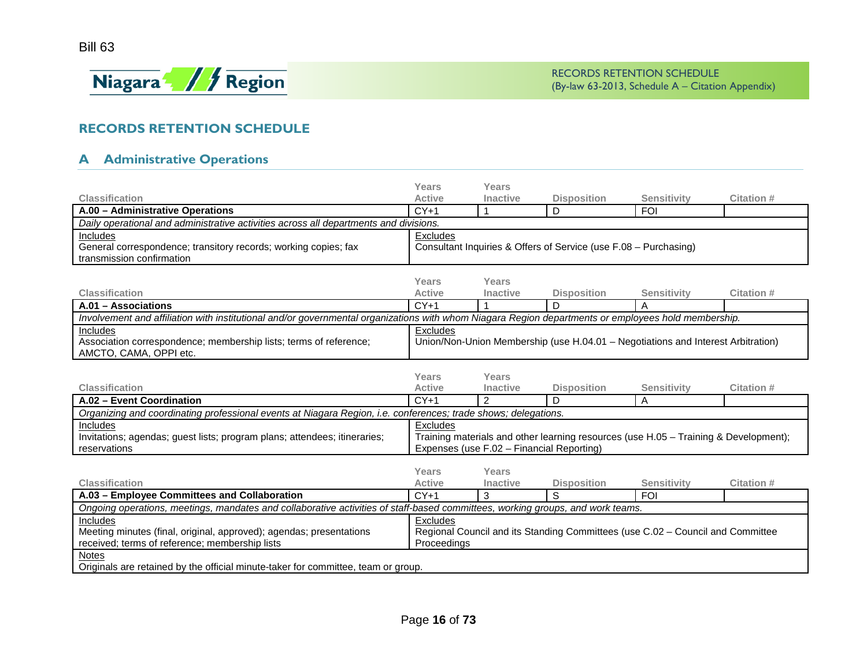

## **RECORDS RETENTION SCHEDULE**

## **A Administrative Operations**

<span id="page-15-1"></span><span id="page-15-0"></span>

|                                                                                                                                                     | Years                                                                                        | Years                                     |                                                                                |                    |            |
|-----------------------------------------------------------------------------------------------------------------------------------------------------|----------------------------------------------------------------------------------------------|-------------------------------------------|--------------------------------------------------------------------------------|--------------------|------------|
| <b>Classification</b>                                                                                                                               | <b>Active</b>                                                                                | Inactive                                  | <b>Disposition</b>                                                             | <b>Sensitivity</b> | Citation # |
| A.00 - Administrative Operations                                                                                                                    | $CY+1$                                                                                       |                                           | D                                                                              | <b>FOI</b>         |            |
| Daily operational and administrative activities across all departments and divisions.                                                               |                                                                                              |                                           |                                                                                |                    |            |
| Includes                                                                                                                                            | Excludes                                                                                     |                                           |                                                                                |                    |            |
| General correspondence; transitory records; working copies; fax                                                                                     |                                                                                              |                                           | Consultant Inquiries & Offers of Service (use F.08 - Purchasing)               |                    |            |
| transmission confirmation                                                                                                                           |                                                                                              |                                           |                                                                                |                    |            |
|                                                                                                                                                     |                                                                                              |                                           |                                                                                |                    |            |
|                                                                                                                                                     | Years                                                                                        | Years                                     |                                                                                |                    |            |
| <b>Classification</b>                                                                                                                               | <b>Active</b>                                                                                | Inactive                                  | <b>Disposition</b>                                                             | <b>Sensitivity</b> | Citation # |
| A.01 - Associations                                                                                                                                 | $CY+1$                                                                                       |                                           | D                                                                              | A                  |            |
| Involvement and affiliation with institutional and/or governmental organizations with whom Niagara Region departments or employees hold membership. |                                                                                              |                                           |                                                                                |                    |            |
| Includes                                                                                                                                            | Excludes<br>Union/Non-Union Membership (use H.04.01 - Negotiations and Interest Arbitration) |                                           |                                                                                |                    |            |
| Association correspondence; membership lists; terms of reference;                                                                                   |                                                                                              |                                           |                                                                                |                    |            |
| AMCTO, CAMA, OPPI etc.                                                                                                                              |                                                                                              |                                           |                                                                                |                    |            |
|                                                                                                                                                     |                                                                                              |                                           |                                                                                |                    |            |
| <b>Classification</b>                                                                                                                               | Years<br><b>Active</b>                                                                       | Years<br><b>Inactive</b>                  |                                                                                |                    |            |
|                                                                                                                                                     |                                                                                              |                                           | <b>Disposition</b><br>D                                                        | <b>Sensitivity</b> | Citation # |
| A.02 - Event Coordination                                                                                                                           | $CY+1$                                                                                       | 2                                         |                                                                                | A                  |            |
| Organizing and coordinating professional events at Niagara Region, i.e. conferences; trade shows; delegations.                                      |                                                                                              |                                           |                                                                                |                    |            |
| Includes                                                                                                                                            | Excludes                                                                                     |                                           |                                                                                |                    |            |
| Invitations; agendas; guest lists; program plans; attendees; itineraries;                                                                           | Training materials and other learning resources (use H.05 - Training & Development);         |                                           |                                                                                |                    |            |
|                                                                                                                                                     |                                                                                              |                                           |                                                                                |                    |            |
| reservations                                                                                                                                        |                                                                                              | Expenses (use F.02 - Financial Reporting) |                                                                                |                    |            |
|                                                                                                                                                     |                                                                                              |                                           |                                                                                |                    |            |
|                                                                                                                                                     | Years                                                                                        | Years                                     |                                                                                |                    |            |
| <b>Classification</b>                                                                                                                               | <b>Active</b>                                                                                | <b>Inactive</b>                           | <b>Disposition</b>                                                             | <b>Sensitivity</b> | Citation # |
| A.03 - Employee Committees and Collaboration                                                                                                        | $CY+1$                                                                                       | 3                                         | S                                                                              | <b>FOI</b>         |            |
| Ongoing operations, meetings, mandates and collaborative activities of staff-based committees, working groups, and work teams.                      |                                                                                              |                                           |                                                                                |                    |            |
| <b>Includes</b>                                                                                                                                     | <b>Excludes</b>                                                                              |                                           |                                                                                |                    |            |
| Meeting minutes (final, original, approved); agendas; presentations                                                                                 |                                                                                              |                                           | Regional Council and its Standing Committees (use C.02 - Council and Committee |                    |            |
| received; terms of reference; membership lists                                                                                                      | Proceedings                                                                                  |                                           |                                                                                |                    |            |
| <b>Notes</b><br>Originals are retained by the official minute-taker for committee, team or group.                                                   |                                                                                              |                                           |                                                                                |                    |            |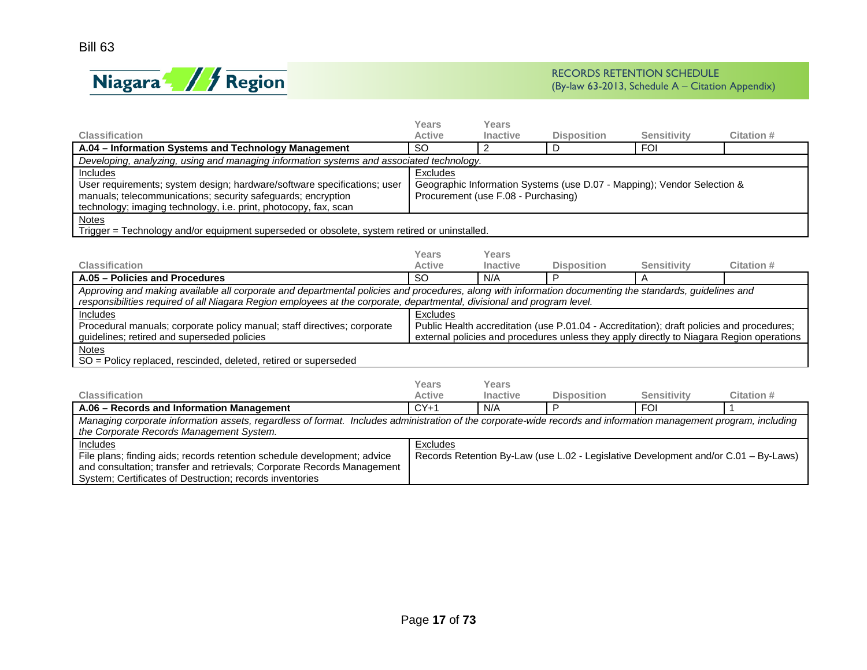

|                                                                                                                                                                  | <b>Years</b>  | <b>Years</b>                        |                                                                                           |                    |                  |  |
|------------------------------------------------------------------------------------------------------------------------------------------------------------------|---------------|-------------------------------------|-------------------------------------------------------------------------------------------|--------------------|------------------|--|
| <b>Classification</b>                                                                                                                                            | <b>Active</b> | <b>Inactive</b>                     | <b>Disposition</b>                                                                        | <b>Sensitivity</b> | Citation #       |  |
| A.04 - Information Systems and Technology Management                                                                                                             | <b>SO</b>     | 2                                   | D                                                                                         | <b>FOI</b>         |                  |  |
| Developing, analyzing, using and managing information systems and associated technology.                                                                         |               |                                     |                                                                                           |                    |                  |  |
| <b>Includes</b>                                                                                                                                                  | Excludes      |                                     |                                                                                           |                    |                  |  |
| User requirements; system design; hardware/software specifications; user                                                                                         |               |                                     | Geographic Information Systems (use D.07 - Mapping); Vendor Selection &                   |                    |                  |  |
| manuals; telecommunications; security safeguards; encryption                                                                                                     |               | Procurement (use F.08 - Purchasing) |                                                                                           |                    |                  |  |
| technology; imaging technology, i.e. print, photocopy, fax, scan                                                                                                 |               |                                     |                                                                                           |                    |                  |  |
| <b>Notes</b>                                                                                                                                                     |               |                                     |                                                                                           |                    |                  |  |
| Trigger = Technology and/or equipment superseded or obsolete, system retired or uninstalled.                                                                     |               |                                     |                                                                                           |                    |                  |  |
|                                                                                                                                                                  |               |                                     |                                                                                           |                    |                  |  |
|                                                                                                                                                                  | Years         | Years                               |                                                                                           |                    |                  |  |
| <b>Classification</b>                                                                                                                                            | <b>Active</b> | Inactive                            | <b>Disposition</b>                                                                        | <b>Sensitivity</b> | <b>Citation#</b> |  |
| A.05 - Policies and Procedures                                                                                                                                   | <b>SO</b>     | N/A                                 | P                                                                                         | A                  |                  |  |
| Approving and making available all corporate and departmental policies and procedures, along with information documenting the standards, guidelines and          |               |                                     |                                                                                           |                    |                  |  |
| responsibilities required of all Niagara Region employees at the corporate, departmental, divisional and program level.                                          |               |                                     |                                                                                           |                    |                  |  |
| <b>Includes</b>                                                                                                                                                  | Excludes      |                                     |                                                                                           |                    |                  |  |
| Procedural manuals; corporate policy manual; staff directives; corporate                                                                                         |               |                                     | Public Health accreditation (use P.01.04 - Accreditation); draft policies and procedures; |                    |                  |  |
| guidelines; retired and superseded policies                                                                                                                      |               |                                     | external policies and procedures unless they apply directly to Niagara Region operations  |                    |                  |  |
| Notes                                                                                                                                                            |               |                                     |                                                                                           |                    |                  |  |
| SO = Policy replaced, rescinded, deleted, retired or superseded                                                                                                  |               |                                     |                                                                                           |                    |                  |  |
|                                                                                                                                                                  | <b>Years</b>  | Years                               |                                                                                           |                    |                  |  |
| <b>Classification</b>                                                                                                                                            | <b>Active</b> | <b>Inactive</b>                     | <b>Disposition</b>                                                                        | <b>Sensitivity</b> | Citation #       |  |
| A.06 - Records and Information Management                                                                                                                        | $CY+1$        | N/A                                 | P                                                                                         | <b>FOI</b>         |                  |  |
| Managing corporate information assets, regardless of format. Includes administration of the corporate-wide records and information management program, including |               |                                     |                                                                                           |                    |                  |  |
| the Corporate Records Management System.                                                                                                                         |               |                                     |                                                                                           |                    |                  |  |
| Includes                                                                                                                                                         | Excludes      |                                     |                                                                                           |                    |                  |  |
| File plans; finding aids; records retention schedule development; advice                                                                                         |               |                                     | Records Retention By-Law (use L.02 - Legislative Development and/or C.01 - By-Laws)       |                    |                  |  |
| and consultation; transfer and retrievals; Corporate Records Management                                                                                          |               |                                     |                                                                                           |                    |                  |  |
| System: Certificates of Destruction: records inventories                                                                                                         |               |                                     |                                                                                           |                    |                  |  |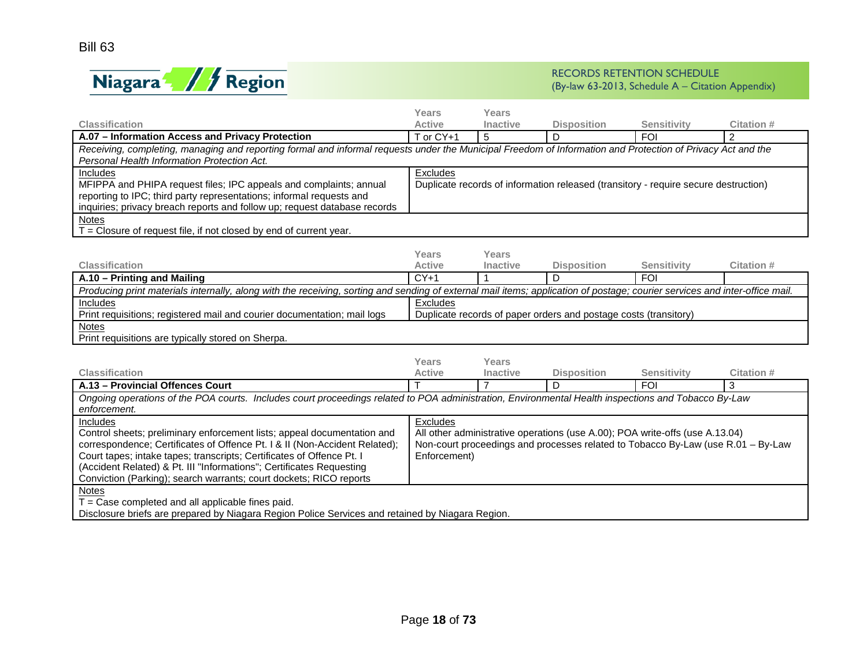

|                                                                                                                                                                             | Years         | Years           |                                                                                     |                    |                  |  |
|-----------------------------------------------------------------------------------------------------------------------------------------------------------------------------|---------------|-----------------|-------------------------------------------------------------------------------------|--------------------|------------------|--|
| <b>Classification</b>                                                                                                                                                       | <b>Active</b> | Inactive        | <b>Disposition</b>                                                                  | <b>Sensitivity</b> | Citation #       |  |
| A.07 - Information Access and Privacy Protection                                                                                                                            | T or CY+1     | 5               | D                                                                                   | <b>FOI</b>         | 2                |  |
| Receiving, completing, managing and reporting formal and informal requests under the Municipal Freedom of Information and Protection of Privacy Act and the                 |               |                 |                                                                                     |                    |                  |  |
| Personal Health Information Protection Act.                                                                                                                                 |               |                 |                                                                                     |                    |                  |  |
| Includes                                                                                                                                                                    | Excludes      |                 |                                                                                     |                    |                  |  |
| MFIPPA and PHIPA request files; IPC appeals and complaints; annual                                                                                                          |               |                 | Duplicate records of information released (transitory - require secure destruction) |                    |                  |  |
| reporting to IPC; third party representations; informal requests and                                                                                                        |               |                 |                                                                                     |                    |                  |  |
| inquiries; privacy breach reports and follow up; request database records                                                                                                   |               |                 |                                                                                     |                    |                  |  |
| <b>Notes</b>                                                                                                                                                                |               |                 |                                                                                     |                    |                  |  |
| T = Closure of request file, if not closed by end of current year.                                                                                                          |               |                 |                                                                                     |                    |                  |  |
|                                                                                                                                                                             |               |                 |                                                                                     |                    |                  |  |
|                                                                                                                                                                             | Years         | Years           |                                                                                     |                    |                  |  |
| <b>Classification</b>                                                                                                                                                       | <b>Active</b> | Inactive        | <b>Disposition</b>                                                                  | <b>Sensitivity</b> | <b>Citation#</b> |  |
| A.10 - Printing and Mailing                                                                                                                                                 | $CY+1$        |                 | D                                                                                   | <b>FOI</b>         |                  |  |
| Producing print materials internally, along with the receiving, sorting and sending of external mail items; application of postage; courier services and inter-office mail. |               |                 |                                                                                     |                    |                  |  |
| Includes                                                                                                                                                                    | Excludes      |                 |                                                                                     |                    |                  |  |
| Print requisitions; registered mail and courier documentation; mail logs                                                                                                    |               |                 | Duplicate records of paper orders and postage costs (transitory)                    |                    |                  |  |
| <b>Notes</b>                                                                                                                                                                |               |                 |                                                                                     |                    |                  |  |
| Print requisitions are typically stored on Sherpa.                                                                                                                          |               |                 |                                                                                     |                    |                  |  |
|                                                                                                                                                                             |               |                 |                                                                                     |                    |                  |  |
|                                                                                                                                                                             | Years         | Years           |                                                                                     |                    |                  |  |
| <b>Classification</b>                                                                                                                                                       | <b>Active</b> | <b>Inactive</b> | <b>Disposition</b>                                                                  | <b>Sensitivity</b> | Citation #       |  |
| A.13 - Provincial Offences Court                                                                                                                                            | T             | $\overline{7}$  | D                                                                                   | <b>FOI</b>         | 3                |  |
| Ongoing operations of the POA courts. Includes court proceedings related to POA administration, Environmental Health inspections and Tobacco By-Law                         |               |                 |                                                                                     |                    |                  |  |
| enforcement.                                                                                                                                                                |               |                 |                                                                                     |                    |                  |  |
| Includes                                                                                                                                                                    | Excludes      |                 |                                                                                     |                    |                  |  |
| Control sheets; preliminary enforcement lists; appeal documentation and                                                                                                     |               |                 | All other administrative operations (use A.00); POA write-offs (use A.13.04)        |                    |                  |  |
| correspondence; Certificates of Offence Pt. I & II (Non-Accident Related);                                                                                                  |               |                 | Non-court proceedings and processes related to Tobacco By-Law (use R.01 - By-Law    |                    |                  |  |
| Court tapes; intake tapes; transcripts; Certificates of Offence Pt. I                                                                                                       | Enforcement)  |                 |                                                                                     |                    |                  |  |
| (Accident Related) & Pt. III "Informations"; Certificates Requesting                                                                                                        |               |                 |                                                                                     |                    |                  |  |
| Conviction (Parking); search warrants; court dockets; RICO reports                                                                                                          |               |                 |                                                                                     |                    |                  |  |
| <b>Notes</b>                                                                                                                                                                |               |                 |                                                                                     |                    |                  |  |
| $T = Case$ completed and all applicable fines paid.                                                                                                                         |               |                 |                                                                                     |                    |                  |  |
| Disclosure briefs are prepared by Niagara Region Police Services and retained by Niagara Region.                                                                            |               |                 |                                                                                     |                    |                  |  |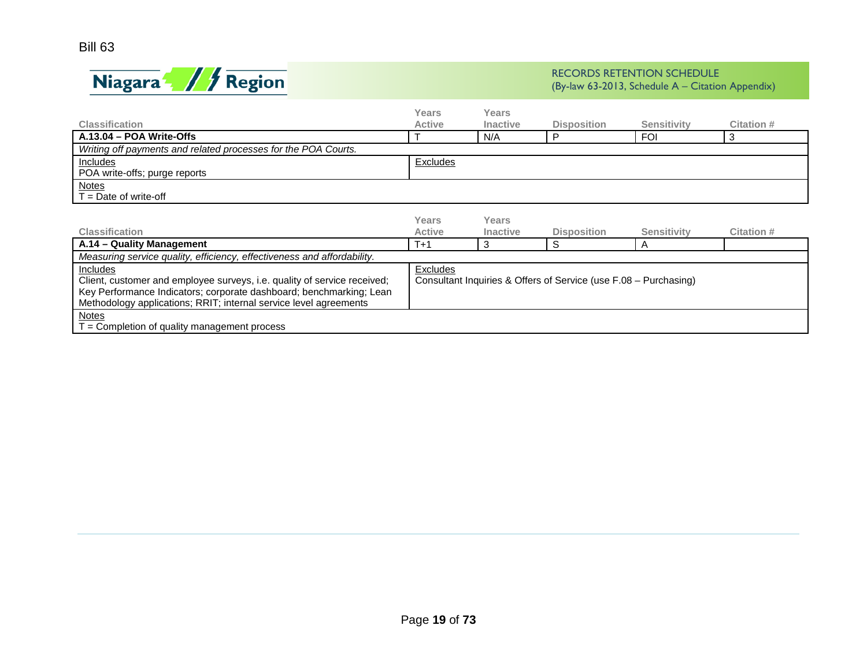

|                                                                          | Years           | Years           |                                                                  |                    |                   |
|--------------------------------------------------------------------------|-----------------|-----------------|------------------------------------------------------------------|--------------------|-------------------|
| <b>Classification</b>                                                    | <b>Active</b>   | <b>Inactive</b> | <b>Disposition</b>                                               | <b>Sensitivity</b> | Citation #        |
| A.13.04 - POA Write-Offs                                                 |                 | N/A             | P                                                                | <b>FOI</b>         | 3                 |
| Writing off payments and related processes for the POA Courts.           |                 |                 |                                                                  |                    |                   |
| Includes                                                                 | <b>Excludes</b> |                 |                                                                  |                    |                   |
| POA write-offs; purge reports                                            |                 |                 |                                                                  |                    |                   |
| <b>Notes</b>                                                             |                 |                 |                                                                  |                    |                   |
| $T =$ Date of write-off                                                  |                 |                 |                                                                  |                    |                   |
|                                                                          |                 |                 |                                                                  |                    |                   |
|                                                                          | Years           | Years           |                                                                  |                    |                   |
| <b>Classification</b>                                                    | <b>Active</b>   | <b>Inactive</b> | <b>Disposition</b>                                               | <b>Sensitivity</b> | <b>Citation #</b> |
| A.14 - Quality Management                                                | $T+1$           | 3               | S                                                                | A                  |                   |
| Measuring service quality, efficiency, effectiveness and affordability.  |                 |                 |                                                                  |                    |                   |
| Includes                                                                 | Excludes        |                 |                                                                  |                    |                   |
| Client, customer and employee surveys, i.e. quality of service received; |                 |                 | Consultant Inquiries & Offers of Service (use F.08 - Purchasing) |                    |                   |
| Key Performance Indicators; corporate dashboard; benchmarking; Lean      |                 |                 |                                                                  |                    |                   |
| Methodology applications; RRIT; internal service level agreements        |                 |                 |                                                                  |                    |                   |
| Notes                                                                    |                 |                 |                                                                  |                    |                   |
| $T =$ Completion of quality management process                           |                 |                 |                                                                  |                    |                   |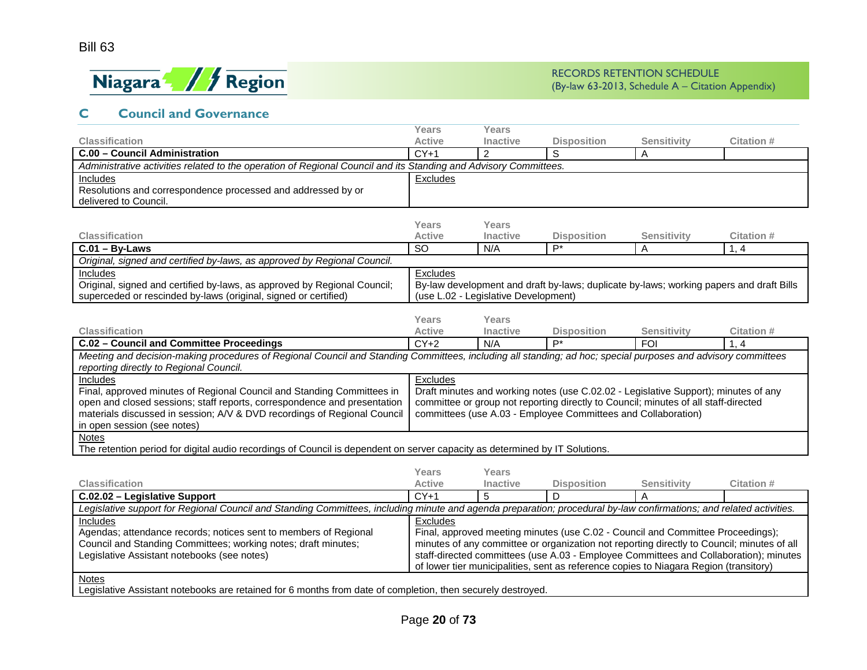

## **C Council and Governance**

<span id="page-19-0"></span>

|                                                                                                                                                                     | Years                                                                                   | Years                                |                                                               |                                                                                       |                                                                                            |
|---------------------------------------------------------------------------------------------------------------------------------------------------------------------|-----------------------------------------------------------------------------------------|--------------------------------------|---------------------------------------------------------------|---------------------------------------------------------------------------------------|--------------------------------------------------------------------------------------------|
| <b>Classification</b>                                                                                                                                               | <b>Active</b>                                                                           | <b>Inactive</b>                      | <b>Disposition</b>                                            | <b>Sensitivity</b>                                                                    | <b>Citation#</b>                                                                           |
| C.00 - Council Administration                                                                                                                                       | $CY+1$                                                                                  | $\overline{2}$                       | S                                                             | Α                                                                                     |                                                                                            |
| Administrative activities related to the operation of Regional Council and its Standing and Advisory Committees.                                                    |                                                                                         |                                      |                                                               |                                                                                       |                                                                                            |
| Includes                                                                                                                                                            | Excludes                                                                                |                                      |                                                               |                                                                                       |                                                                                            |
| Resolutions and correspondence processed and addressed by or                                                                                                        |                                                                                         |                                      |                                                               |                                                                                       |                                                                                            |
| delivered to Council.                                                                                                                                               |                                                                                         |                                      |                                                               |                                                                                       |                                                                                            |
|                                                                                                                                                                     |                                                                                         |                                      |                                                               |                                                                                       |                                                                                            |
|                                                                                                                                                                     | Years                                                                                   | Years                                |                                                               |                                                                                       |                                                                                            |
| <b>Classification</b>                                                                                                                                               | Active                                                                                  | <b>Inactive</b>                      | <b>Disposition</b>                                            | <b>Sensitivity</b>                                                                    | Citation #                                                                                 |
| $C.01 - By-Laws$                                                                                                                                                    | <b>SO</b>                                                                               | N/A                                  | $P^*$                                                         | Α                                                                                     | 1, 4                                                                                       |
| Original, signed and certified by-laws, as approved by Regional Council.                                                                                            |                                                                                         |                                      |                                                               |                                                                                       |                                                                                            |
| Includes                                                                                                                                                            | Excludes                                                                                |                                      |                                                               |                                                                                       |                                                                                            |
| Original, signed and certified by-laws, as approved by Regional Council;                                                                                            | By-law development and draft by-laws; duplicate by-laws; working papers and draft Bills |                                      |                                                               |                                                                                       |                                                                                            |
| superceded or rescinded by-laws (original, signed or certified)                                                                                                     |                                                                                         | (use L.02 - Legislative Development) |                                                               |                                                                                       |                                                                                            |
|                                                                                                                                                                     |                                                                                         | <b>Years</b>                         |                                                               |                                                                                       |                                                                                            |
| Classification                                                                                                                                                      | <b>Years</b><br><b>Active</b>                                                           | Inactive                             | <b>Disposition</b>                                            | <b>Sensitivity</b>                                                                    | <b>Citation #</b>                                                                          |
| C.02 - Council and Committee Proceedings                                                                                                                            | $CY+2$                                                                                  | N/A                                  | $\overline{P^*}$                                              | <b>FOI</b>                                                                            | 1, 4                                                                                       |
| Meeting and decision-making procedures of Regional Council and Standing Committees, including all standing; ad hoc; special purposes and advisory committees        |                                                                                         |                                      |                                                               |                                                                                       |                                                                                            |
| reporting directly to Regional Council.                                                                                                                             |                                                                                         |                                      |                                                               |                                                                                       |                                                                                            |
| Includes                                                                                                                                                            | Excludes                                                                                |                                      |                                                               |                                                                                       |                                                                                            |
| Final, approved minutes of Regional Council and Standing Committees in                                                                                              |                                                                                         |                                      |                                                               | Draft minutes and working notes (use C.02.02 - Legislative Support); minutes of any   |                                                                                            |
| open and closed sessions; staff reports, correspondence and presentation                                                                                            |                                                                                         |                                      |                                                               | committee or group not reporting directly to Council; minutes of all staff-directed   |                                                                                            |
| materials discussed in session; A/V & DVD recordings of Regional Council                                                                                            |                                                                                         |                                      | committees (use A.03 - Employee Committees and Collaboration) |                                                                                       |                                                                                            |
| in open session (see notes)                                                                                                                                         |                                                                                         |                                      |                                                               |                                                                                       |                                                                                            |
| Notes                                                                                                                                                               |                                                                                         |                                      |                                                               |                                                                                       |                                                                                            |
| The retention period for digital audio recordings of Council is dependent on server capacity as determined by IT Solutions.                                         |                                                                                         |                                      |                                                               |                                                                                       |                                                                                            |
|                                                                                                                                                                     |                                                                                         |                                      |                                                               |                                                                                       |                                                                                            |
|                                                                                                                                                                     | <b>Years</b>                                                                            | <b>Years</b>                         |                                                               |                                                                                       |                                                                                            |
| <b>Classification</b>                                                                                                                                               | <b>Active</b>                                                                           | Inactive                             | <b>Disposition</b>                                            | <b>Sensitivity</b>                                                                    | <b>Citation #</b>                                                                          |
| C.02.02 - Legislative Support                                                                                                                                       | $CY+1$                                                                                  | 5                                    | $\mathsf{D}$                                                  | A                                                                                     |                                                                                            |
| Legislative support for Regional Council and Standing Committees, including minute and agenda preparation; procedural by-law confirmations; and related activities. |                                                                                         |                                      |                                                               |                                                                                       |                                                                                            |
| <b>Includes</b>                                                                                                                                                     | Excludes                                                                                |                                      |                                                               |                                                                                       |                                                                                            |
| Agendas; attendance records; notices sent to members of Regional                                                                                                    |                                                                                         |                                      |                                                               | Final, approved meeting minutes (use C.02 - Council and Committee Proceedings);       |                                                                                            |
| Council and Standing Committees; working notes; draft minutes;                                                                                                      |                                                                                         |                                      |                                                               |                                                                                       | minutes of any committee or organization not reporting directly to Council; minutes of all |
| Legislative Assistant notebooks (see notes)                                                                                                                         |                                                                                         |                                      |                                                               |                                                                                       | staff-directed committees (use A.03 - Employee Committees and Collaboration); minutes      |
|                                                                                                                                                                     |                                                                                         |                                      |                                                               | of lower tier municipalities, sent as reference copies to Niagara Region (transitory) |                                                                                            |
| <b>Notes</b>                                                                                                                                                        |                                                                                         |                                      |                                                               |                                                                                       |                                                                                            |
| Legislative Assistant notebooks are retained for 6 months from date of completion, then securely destroyed.                                                         |                                                                                         |                                      |                                                               |                                                                                       |                                                                                            |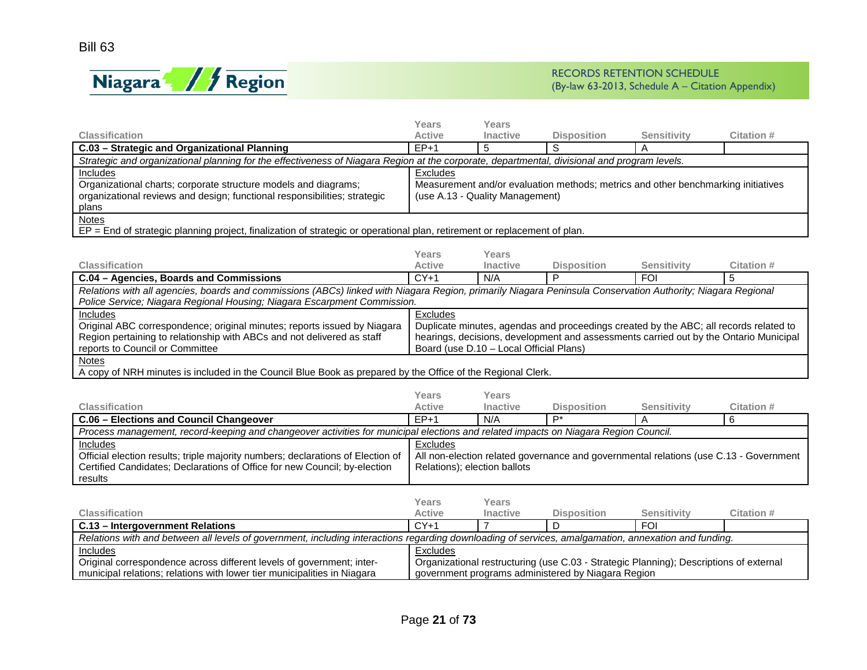

|                                                                                                                                                             | Years                                                                                  | <b>Years</b>                            |                                                                                       |                    |                                                                                       |  |
|-------------------------------------------------------------------------------------------------------------------------------------------------------------|----------------------------------------------------------------------------------------|-----------------------------------------|---------------------------------------------------------------------------------------|--------------------|---------------------------------------------------------------------------------------|--|
| <b>Classification</b>                                                                                                                                       | <b>Active</b>                                                                          | Inactive                                | <b>Disposition</b>                                                                    | <b>Sensitivity</b> | Citation #                                                                            |  |
| C.03 - Strategic and Organizational Planning                                                                                                                | $EP+1$                                                                                 | 5                                       | S                                                                                     | A                  |                                                                                       |  |
| Strategic and organizational planning for the effectiveness of Niagara Region at the corporate, departmental, divisional and program levels.                |                                                                                        |                                         |                                                                                       |                    |                                                                                       |  |
| Includes                                                                                                                                                    | Excludes                                                                               |                                         |                                                                                       |                    |                                                                                       |  |
| Organizational charts; corporate structure models and diagrams;                                                                                             |                                                                                        |                                         | Measurement and/or evaluation methods; metrics and other benchmarking initiatives     |                    |                                                                                       |  |
| organizational reviews and design; functional responsibilities; strategic                                                                                   |                                                                                        | (use A.13 - Quality Management)         |                                                                                       |                    |                                                                                       |  |
| plans                                                                                                                                                       |                                                                                        |                                         |                                                                                       |                    |                                                                                       |  |
| <b>Notes</b>                                                                                                                                                |                                                                                        |                                         |                                                                                       |                    |                                                                                       |  |
| EP = End of strategic planning project, finalization of strategic or operational plan, retirement or replacement of plan.                                   |                                                                                        |                                         |                                                                                       |                    |                                                                                       |  |
|                                                                                                                                                             |                                                                                        |                                         |                                                                                       |                    |                                                                                       |  |
|                                                                                                                                                             | Years                                                                                  | Years                                   |                                                                                       |                    |                                                                                       |  |
| <b>Classification</b>                                                                                                                                       | <b>Active</b>                                                                          | <b>Inactive</b>                         | <b>Disposition</b>                                                                    | Sensitivity        | Citation #                                                                            |  |
| C.04 - Agencies, Boards and Commissions                                                                                                                     | $CY+1$                                                                                 | N/A                                     | P                                                                                     | <b>FOI</b>         | 5                                                                                     |  |
| Relations with all agencies, boards and commissions (ABCs) linked with Niagara Region, primarily Niagara Peninsula Conservation Authority; Niagara Regional |                                                                                        |                                         |                                                                                       |                    |                                                                                       |  |
| Police Service; Niagara Regional Housing; Niagara Escarpment Commission.                                                                                    |                                                                                        |                                         |                                                                                       |                    |                                                                                       |  |
| Includes                                                                                                                                                    | Excludes                                                                               |                                         |                                                                                       |                    |                                                                                       |  |
| Original ABC correspondence; original minutes; reports issued by Niagara                                                                                    |                                                                                        |                                         | Duplicate minutes, agendas and proceedings created by the ABC; all records related to |                    |                                                                                       |  |
| Region pertaining to relationship with ABCs and not delivered as staff<br>reports to Council or Committee                                                   |                                                                                        |                                         |                                                                                       |                    | hearings, decisions, development and assessments carried out by the Ontario Municipal |  |
|                                                                                                                                                             |                                                                                        | Board (use D.10 - Local Official Plans) |                                                                                       |                    |                                                                                       |  |
| <b>Notes</b><br>A copy of NRH minutes is included in the Council Blue Book as prepared by the Office of the Regional Clerk.                                 |                                                                                        |                                         |                                                                                       |                    |                                                                                       |  |
|                                                                                                                                                             |                                                                                        |                                         |                                                                                       |                    |                                                                                       |  |
|                                                                                                                                                             | Years                                                                                  | Years                                   |                                                                                       |                    |                                                                                       |  |
| <b>Classification</b>                                                                                                                                       | <b>Active</b>                                                                          | <b>Inactive</b>                         | <b>Disposition</b>                                                                    | <b>Sensitivity</b> | <b>Citation#</b>                                                                      |  |
| C.06 - Elections and Council Changeover                                                                                                                     | $EP+1$                                                                                 | N/A                                     | $P^*$                                                                                 | A                  | 6                                                                                     |  |
| Process management, record-keeping and changeover activities for municipal elections and related impacts on Niagara Region Council.                         |                                                                                        |                                         |                                                                                       |                    |                                                                                       |  |
| Includes                                                                                                                                                    | Excludes                                                                               |                                         |                                                                                       |                    |                                                                                       |  |
| Official election results; triple majority numbers; declarations of Election of                                                                             |                                                                                        |                                         |                                                                                       |                    | All non-election related governance and governmental relations (use C.13 - Government |  |
| Certified Candidates; Declarations of Office for new Council; by-election                                                                                   |                                                                                        | Relations); election ballots            |                                                                                       |                    |                                                                                       |  |
| results                                                                                                                                                     |                                                                                        |                                         |                                                                                       |                    |                                                                                       |  |
|                                                                                                                                                             |                                                                                        |                                         |                                                                                       |                    |                                                                                       |  |
|                                                                                                                                                             | Years                                                                                  | Years                                   |                                                                                       |                    |                                                                                       |  |
| <b>Classification</b>                                                                                                                                       | <b>Active</b>                                                                          | <b>Inactive</b>                         | <b>Disposition</b>                                                                    | <b>Sensitivity</b> | Citation #                                                                            |  |
| C.13 - Intergovernment Relations                                                                                                                            | $CY+1$                                                                                 | $\overline{7}$                          | D                                                                                     | $F$ OI             |                                                                                       |  |
| Relations with and between all levels of government, including interactions regarding downloading of services, amalgamation, annexation and funding.        |                                                                                        |                                         |                                                                                       |                    |                                                                                       |  |
| Includes                                                                                                                                                    | Excludes                                                                               |                                         |                                                                                       |                    |                                                                                       |  |
| Original correspondence across different levels of government; inter-                                                                                       | Organizational restructuring (use C.03 - Strategic Planning); Descriptions of external |                                         |                                                                                       |                    |                                                                                       |  |
| municipal relations; relations with lower tier municipalities in Niagara<br>government programs administered by Niagara Region                              |                                                                                        |                                         |                                                                                       |                    |                                                                                       |  |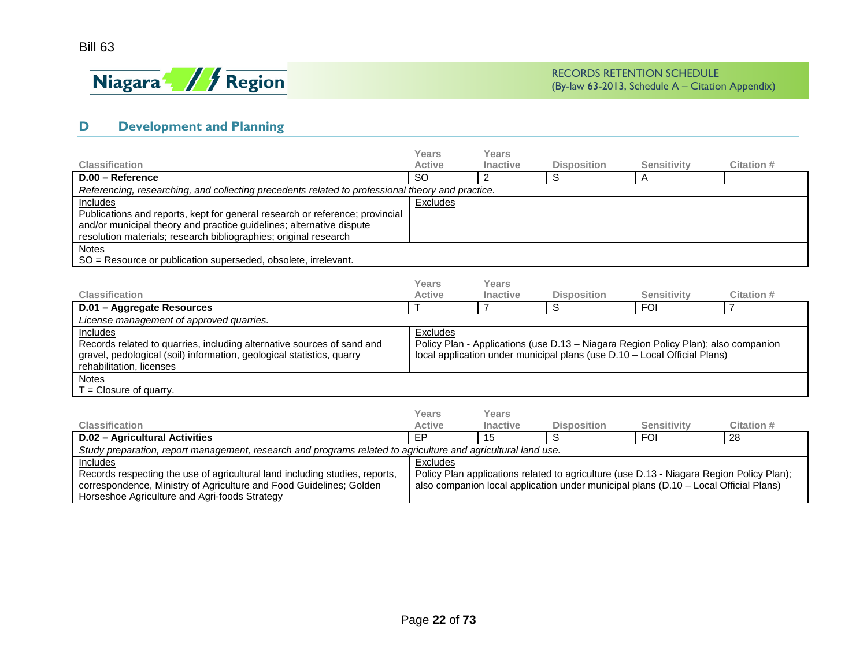

also companion local application under municipal plans (D.10 – Local Official Plans)

## **D Development and Planning**

<span id="page-21-0"></span>correspondence, Ministry of Agriculture and Food Guidelines; Golden

Horseshoe Agriculture and Agri-foods Strategy

|                                                                                                                                                                          | Years           | Years           |                    |                                                                                          |                  |
|--------------------------------------------------------------------------------------------------------------------------------------------------------------------------|-----------------|-----------------|--------------------|------------------------------------------------------------------------------------------|------------------|
| <b>Classification</b>                                                                                                                                                    | <b>Active</b>   | Inactive        | <b>Disposition</b> | <b>Sensitivity</b>                                                                       | <b>Citation#</b> |
| D.00 - Reference                                                                                                                                                         | <b>SO</b>       | $\overline{2}$  | S                  | Α                                                                                        |                  |
| Referencing, researching, and collecting precedents related to professional theory and practice.                                                                         |                 |                 |                    |                                                                                          |                  |
| Includes                                                                                                                                                                 | Excludes        |                 |                    |                                                                                          |                  |
| Publications and reports, kept for general research or reference; provincial                                                                                             |                 |                 |                    |                                                                                          |                  |
| and/or municipal theory and practice guidelines; alternative dispute                                                                                                     |                 |                 |                    |                                                                                          |                  |
| resolution materials; research bibliographies; original research                                                                                                         |                 |                 |                    |                                                                                          |                  |
| <b>Notes</b>                                                                                                                                                             |                 |                 |                    |                                                                                          |                  |
| SO = Resource or publication superseded, obsolete, irrelevant.                                                                                                           |                 |                 |                    |                                                                                          |                  |
|                                                                                                                                                                          |                 |                 |                    |                                                                                          |                  |
|                                                                                                                                                                          | Years           | Years           |                    |                                                                                          |                  |
| <b>Classification</b>                                                                                                                                                    | <b>Active</b>   | <b>Inactive</b> | <b>Disposition</b> | <b>Sensitivity</b>                                                                       | Citation #       |
| D.01 - Aggregate Resources                                                                                                                                               |                 | $\overline{7}$  | S                  | <b>FOI</b>                                                                               | $\overline{7}$   |
| License management of approved quarries.                                                                                                                                 |                 |                 |                    |                                                                                          |                  |
| Includes                                                                                                                                                                 | <b>Excludes</b> |                 |                    |                                                                                          |                  |
| Records related to quarries, including alternative sources of sand and                                                                                                   |                 |                 |                    | Policy Plan - Applications (use D.13 - Niagara Region Policy Plan); also companion       |                  |
| gravel, pedological (soil) information, geological statistics, quarry                                                                                                    |                 |                 |                    | local application under municipal plans (use D.10 - Local Official Plans)                |                  |
| rehabilitation, licenses                                                                                                                                                 |                 |                 |                    |                                                                                          |                  |
| <b>Notes</b>                                                                                                                                                             |                 |                 |                    |                                                                                          |                  |
| $T =$ Closure of quarry.                                                                                                                                                 |                 |                 |                    |                                                                                          |                  |
|                                                                                                                                                                          |                 |                 |                    |                                                                                          |                  |
|                                                                                                                                                                          |                 |                 |                    |                                                                                          |                  |
|                                                                                                                                                                          | Years           | Years           |                    |                                                                                          |                  |
|                                                                                                                                                                          | <b>Active</b>   | <b>Inactive</b> | <b>Disposition</b> | <b>Sensitivity</b>                                                                       | Citation #       |
|                                                                                                                                                                          | EP              | 15              | S                  | <b>FOI</b>                                                                               | 28               |
| <b>Classification</b><br>D.02 - Agricultural Activities<br>Study preparation, report management, research and programs related to agriculture and agricultural land use. |                 |                 |                    |                                                                                          |                  |
| Includes<br>Records respecting the use of agricultural land including studies, reports,                                                                                  | <b>Excludes</b> |                 |                    | Policy Plan applications related to agriculture (use D.13 - Niagara Region Policy Plan); |                  |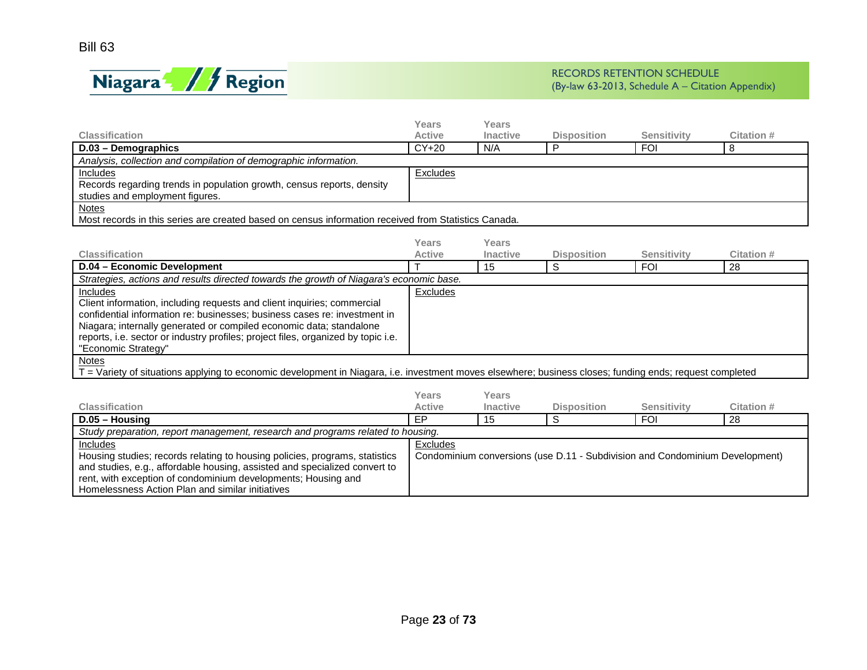

rent, with exception of condominium developments; Housing and

Homelessness Action Plan and similar initiatives

|                                                                                                                                                                        | Years         | Years           |                                                                              |                    |                   |
|------------------------------------------------------------------------------------------------------------------------------------------------------------------------|---------------|-----------------|------------------------------------------------------------------------------|--------------------|-------------------|
| <b>Classification</b>                                                                                                                                                  | <b>Active</b> | <b>Inactive</b> | <b>Disposition</b>                                                           | <b>Sensitivity</b> | Citation #        |
| D.03 - Demographics                                                                                                                                                    | $CY+20$       | N/A             | P                                                                            | <b>FOI</b>         | 8                 |
| Analysis, collection and compilation of demographic information.                                                                                                       |               |                 |                                                                              |                    |                   |
| Includes                                                                                                                                                               | Excludes      |                 |                                                                              |                    |                   |
| Records regarding trends in population growth, census reports, density                                                                                                 |               |                 |                                                                              |                    |                   |
| studies and employment figures.                                                                                                                                        |               |                 |                                                                              |                    |                   |
| <b>Notes</b>                                                                                                                                                           |               |                 |                                                                              |                    |                   |
| Most records in this series are created based on census information received from Statistics Canada.                                                                   |               |                 |                                                                              |                    |                   |
|                                                                                                                                                                        |               |                 |                                                                              |                    |                   |
|                                                                                                                                                                        | Years         | <b>Years</b>    |                                                                              |                    |                   |
| Classification                                                                                                                                                         | <b>Active</b> | Inactive        | <b>Disposition</b>                                                           | <b>Sensitivity</b> | Citation #        |
| D.04 - Economic Development                                                                                                                                            |               | 15              | S                                                                            | <b>FOI</b>         | 28                |
| Strategies, actions and results directed towards the growth of Niagara's economic base.                                                                                |               |                 |                                                                              |                    |                   |
| Includes                                                                                                                                                               | Excludes      |                 |                                                                              |                    |                   |
| Client information, including requests and client inquiries; commercial                                                                                                |               |                 |                                                                              |                    |                   |
| confidential information re: businesses: business cases re: investment in                                                                                              |               |                 |                                                                              |                    |                   |
| Niagara; internally generated or compiled economic data; standalone                                                                                                    |               |                 |                                                                              |                    |                   |
| reports, i.e. sector or industry profiles; project files, organized by topic i.e.                                                                                      |               |                 |                                                                              |                    |                   |
| "Economic Strategy"                                                                                                                                                    |               |                 |                                                                              |                    |                   |
| <b>Notes</b><br>- Variety of situations applying to economic development in Niagara, i.e. investment moves elsewhere; business closes; funding ends; request completed |               |                 |                                                                              |                    |                   |
|                                                                                                                                                                        |               |                 |                                                                              |                    |                   |
|                                                                                                                                                                        | Years         | Years           |                                                                              |                    |                   |
| Classification                                                                                                                                                         | Active        | Inactive        | <b>Disposition</b>                                                           | <b>Sensitivity</b> | <b>Citation #</b> |
| $D.05 - Housing$                                                                                                                                                       | <b>FP</b>     | 15              | S                                                                            | <b>FOI</b>         | 28                |
| Study preparation, report management, research and programs related to housing.                                                                                        |               |                 |                                                                              |                    |                   |
| Includes                                                                                                                                                               | Excludes      |                 |                                                                              |                    |                   |
| Housing studies; records relating to housing policies, programs, statistics                                                                                            |               |                 | Condominium conversions (use D.11 - Subdivision and Condominium Development) |                    |                   |
| and studies, e.g., affordable housing, assisted and specialized convert to                                                                                             |               |                 |                                                                              |                    |                   |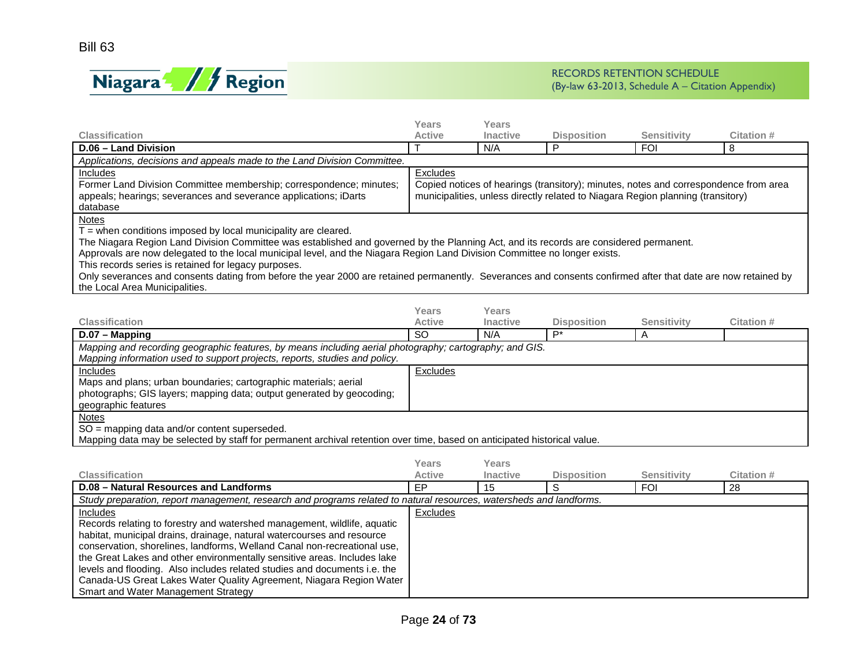

| <b>Classification</b>                                                                                                                                                                                                                                                                                                                                                                                                                                                                                                                                                                                        | <b>Years</b><br>Active | Years<br>Inactive        | <b>Disposition</b>                                                                                                                                                      | <b>Sensitivity</b> | <b>Citation #</b> |
|--------------------------------------------------------------------------------------------------------------------------------------------------------------------------------------------------------------------------------------------------------------------------------------------------------------------------------------------------------------------------------------------------------------------------------------------------------------------------------------------------------------------------------------------------------------------------------------------------------------|------------------------|--------------------------|-------------------------------------------------------------------------------------------------------------------------------------------------------------------------|--------------------|-------------------|
| D.06 - Land Division                                                                                                                                                                                                                                                                                                                                                                                                                                                                                                                                                                                         |                        | N/A                      | P                                                                                                                                                                       | <b>FOI</b>         | 8                 |
| Applications, decisions and appeals made to the Land Division Committee.                                                                                                                                                                                                                                                                                                                                                                                                                                                                                                                                     |                        |                          |                                                                                                                                                                         |                    |                   |
| Includes<br>Former Land Division Committee membership; correspondence; minutes;<br>appeals; hearings; severances and severance applications; iDarts<br>database                                                                                                                                                                                                                                                                                                                                                                                                                                              | Excludes               |                          | Copied notices of hearings (transitory); minutes, notes and correspondence from area<br>municipalities, unless directly related to Niagara Region planning (transitory) |                    |                   |
| Notes<br>$T =$ when conditions imposed by local municipality are cleared.<br>The Niagara Region Land Division Committee was established and governed by the Planning Act, and its records are considered permanent.<br>Approvals are now delegated to the local municipal level, and the Niagara Region Land Division Committee no longer exists.<br>This records series is retained for legacy purposes.<br>Only severances and consents dating from before the year 2000 are retained permanently. Severances and consents confirmed after that date are now retained by<br>the Local Area Municipalities. |                        |                          |                                                                                                                                                                         |                    |                   |
|                                                                                                                                                                                                                                                                                                                                                                                                                                                                                                                                                                                                              | Years                  | Years                    |                                                                                                                                                                         |                    |                   |
| <b>Classification</b>                                                                                                                                                                                                                                                                                                                                                                                                                                                                                                                                                                                        | <b>Active</b>          | <b>Inactive</b>          | <b>Disposition</b>                                                                                                                                                      | <b>Sensitivity</b> | <b>Citation #</b> |
| D.07 - Mapping                                                                                                                                                                                                                                                                                                                                                                                                                                                                                                                                                                                               | $\overline{SO}$        | N/A                      | $P^*$                                                                                                                                                                   | A                  |                   |
| Mapping and recording geographic features, by means including aerial photography; cartography; and GIS.<br>Mapping information used to support projects, reports, studies and policy.<br><b>Includes</b><br>Maps and plans; urban boundaries; cartographic materials; aerial<br>photographs; GIS layers; mapping data; output generated by geocoding;<br>geographic features                                                                                                                                                                                                                                 | Excludes               |                          |                                                                                                                                                                         |                    |                   |
| Notes<br>SO = mapping data and/or content superseded.<br>Mapping data may be selected by staff for permanent archival retention over time, based on anticipated historical value.                                                                                                                                                                                                                                                                                                                                                                                                                            |                        |                          |                                                                                                                                                                         |                    |                   |
| Classification                                                                                                                                                                                                                                                                                                                                                                                                                                                                                                                                                                                               | Years<br><b>Active</b> | Years<br><b>Inactive</b> | <b>Disposition</b>                                                                                                                                                      | <b>Sensitivity</b> | <b>Citation#</b>  |
| <b>D.08 - Natural Resources and Landforms</b>                                                                                                                                                                                                                                                                                                                                                                                                                                                                                                                                                                | EP                     | 15                       | S                                                                                                                                                                       | <b>FOI</b>         | 28                |
| Study preparation, report management, research and programs related to natural resources, watersheds and landforms.                                                                                                                                                                                                                                                                                                                                                                                                                                                                                          |                        |                          |                                                                                                                                                                         |                    |                   |
| Includes<br>Records relating to forestry and watershed management, wildlife, aquatic<br>habitat, municipal drains, drainage, natural watercourses and resource<br>conservation, shorelines, landforms, Welland Canal non-recreational use,<br>the Great Lakes and other environmentally sensitive areas. Includes lake<br>levels and flooding. Also includes related studies and documents i.e. the<br>Canada-US Great Lakes Water Quality Agreement, Niagara Region Water<br>Smart and Water Management Strategy                                                                                            | <b>Excludes</b>        |                          |                                                                                                                                                                         |                    |                   |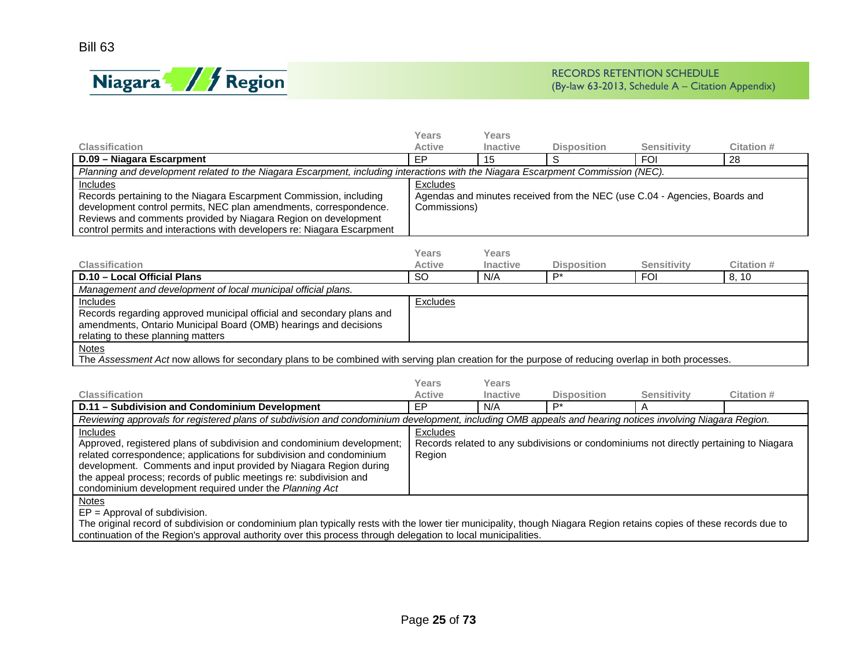

|                                                                                                                                                                                                                                                                                                                                                                         | <b>Years</b>             | <b>Years</b>             |                                                                                        |                    |            |
|-------------------------------------------------------------------------------------------------------------------------------------------------------------------------------------------------------------------------------------------------------------------------------------------------------------------------------------------------------------------------|--------------------------|--------------------------|----------------------------------------------------------------------------------------|--------------------|------------|
| <b>Classification</b>                                                                                                                                                                                                                                                                                                                                                   | <b>Active</b>            | <b>Inactive</b>          | <b>Disposition</b>                                                                     | <b>Sensitivity</b> | Citation # |
| D.09 - Niagara Escarpment                                                                                                                                                                                                                                                                                                                                               | <b>EP</b>                | 15                       | S                                                                                      | <b>FOI</b>         | 28         |
| Planning and development related to the Niagara Escarpment, including interactions with the Niagara Escarpment Commission (NEC).                                                                                                                                                                                                                                        |                          |                          |                                                                                        |                    |            |
| <b>Includes</b><br>Records pertaining to the Niagara Escarpment Commission, including<br>development control permits, NEC plan amendments, correspondence.<br>Reviews and comments provided by Niagara Region on development<br>control permits and interactions with developers re: Niagara Escarpment                                                                 | Excludes<br>Commissions) |                          | Agendas and minutes received from the NEC (use C.04 - Agencies, Boards and             |                    |            |
| <b>Classification</b>                                                                                                                                                                                                                                                                                                                                                   | Years<br><b>Active</b>   | Years<br><b>Inactive</b> | <b>Disposition</b>                                                                     | <b>Sensitivity</b> | Citation # |
| D.10 - Local Official Plans                                                                                                                                                                                                                                                                                                                                             | <sub>SO</sub>            | N/A                      | $\overline{P^*}$                                                                       | <b>FOI</b>         | 8, 10      |
| Management and development of local municipal official plans.                                                                                                                                                                                                                                                                                                           |                          |                          |                                                                                        |                    |            |
| <b>Includes</b><br>Records regarding approved municipal official and secondary plans and<br>amendments, Ontario Municipal Board (OMB) hearings and decisions<br>relating to these planning matters                                                                                                                                                                      | <b>Excludes</b>          |                          |                                                                                        |                    |            |
| <b>Notes</b><br>The Assessment Act now allows for secondary plans to be combined with serving plan creation for the purpose of reducing overlap in both processes.                                                                                                                                                                                                      |                          |                          |                                                                                        |                    |            |
|                                                                                                                                                                                                                                                                                                                                                                         | Years                    | <b>Years</b>             |                                                                                        |                    |            |
| <b>Classification</b>                                                                                                                                                                                                                                                                                                                                                   | <b>Active</b>            | <b>Inactive</b>          | <b>Disposition</b>                                                                     | <b>Sensitivity</b> | Citation # |
| D.11 - Subdivision and Condominium Development                                                                                                                                                                                                                                                                                                                          | EP                       | N/A                      | $P^*$                                                                                  | A                  |            |
| Reviewing approvals for registered plans of subdivision and condominium development, including OMB appeals and hearing notices involving Niagara Region.                                                                                                                                                                                                                |                          |                          |                                                                                        |                    |            |
| <b>Includes</b><br>Approved, registered plans of subdivision and condominium development;<br>related correspondence; applications for subdivision and condominium<br>development. Comments and input provided by Niagara Region during<br>the appeal process; records of public meetings re: subdivision and<br>condominium development required under the Planning Act | Excludes<br>Region       |                          | Records related to any subdivisions or condominiums not directly pertaining to Niagara |                    |            |
| <b>Notes</b><br>$EP = Approval of subdivision.$<br>The original record of subdivision or condominium plan typically rests with the lower tier municipality, though Niagara Region retains copies of these records due to<br>continuation of the Region's approval authority over this process through delegation to local municipalities.                               |                          |                          |                                                                                        |                    |            |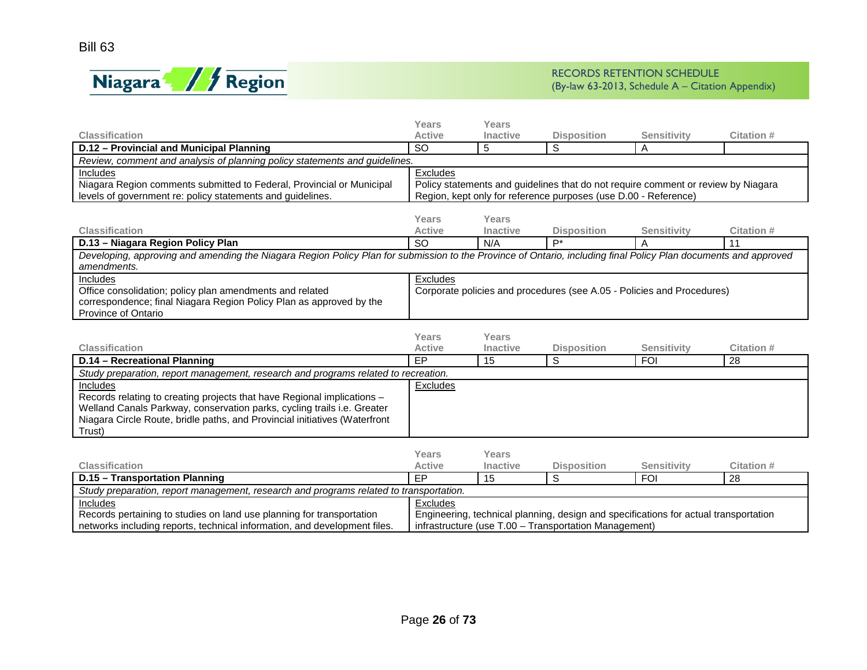

|                                                                                                                                                                                | Years                  | Years                    |                                                                                      |                    |                  |
|--------------------------------------------------------------------------------------------------------------------------------------------------------------------------------|------------------------|--------------------------|--------------------------------------------------------------------------------------|--------------------|------------------|
| <b>Classification</b>                                                                                                                                                          | <b>Active</b>          | <b>Inactive</b>          | <b>Disposition</b>                                                                   | <b>Sensitivity</b> | Citation #       |
| D.12 - Provincial and Municipal Planning                                                                                                                                       | <b>SO</b>              | 5                        | S                                                                                    | A                  |                  |
| Review, comment and analysis of planning policy statements and guidelines.                                                                                                     |                        |                          |                                                                                      |                    |                  |
| Includes                                                                                                                                                                       | Excludes               |                          |                                                                                      |                    |                  |
| Niagara Region comments submitted to Federal, Provincial or Municipal                                                                                                          |                        |                          | Policy statements and guidelines that do not require comment or review by Niagara    |                    |                  |
| levels of government re: policy statements and guidelines.                                                                                                                     |                        |                          | Region, kept only for reference purposes (use D.00 - Reference)                      |                    |                  |
|                                                                                                                                                                                |                        |                          |                                                                                      |                    |                  |
| <b>Classification</b>                                                                                                                                                          | Years<br><b>Active</b> | Years<br><b>Inactive</b> | <b>Disposition</b>                                                                   | <b>Sensitivity</b> | Citation #       |
|                                                                                                                                                                                | <b>SO</b>              | N/A                      | $\mathsf{P}^*$                                                                       | A                  | 11               |
| D.13 - Niagara Region Policy Plan                                                                                                                                              |                        |                          |                                                                                      |                    |                  |
| Developing, approving and amending the Niagara Region Policy Plan for submission to the Province of Ontario, including final Policy Plan documents and approved<br>amendments. |                        |                          |                                                                                      |                    |                  |
| Includes                                                                                                                                                                       | Excludes               |                          |                                                                                      |                    |                  |
| Office consolidation; policy plan amendments and related                                                                                                                       |                        |                          | Corporate policies and procedures (see A.05 - Policies and Procedures)               |                    |                  |
| correspondence; final Niagara Region Policy Plan as approved by the                                                                                                            |                        |                          |                                                                                      |                    |                  |
| Province of Ontario                                                                                                                                                            |                        |                          |                                                                                      |                    |                  |
|                                                                                                                                                                                |                        |                          |                                                                                      |                    |                  |
|                                                                                                                                                                                | Years                  | Years                    |                                                                                      |                    |                  |
| <b>Classification</b>                                                                                                                                                          | <b>Active</b>          | <b>Inactive</b>          | <b>Disposition</b>                                                                   | <b>Sensitivity</b> | Citation #       |
| D.14 - Recreational Planning                                                                                                                                                   | EP                     | 15                       | $\overline{s}$                                                                       | <b>FOI</b>         | $\overline{28}$  |
| Study preparation, report management, research and programs related to recreation.                                                                                             |                        |                          |                                                                                      |                    |                  |
| Includes                                                                                                                                                                       | Excludes               |                          |                                                                                      |                    |                  |
| Records relating to creating projects that have Regional implications -                                                                                                        |                        |                          |                                                                                      |                    |                  |
| Welland Canals Parkway, conservation parks, cycling trails i.e. Greater                                                                                                        |                        |                          |                                                                                      |                    |                  |
| Niagara Circle Route, bridle paths, and Provincial initiatives (Waterfront                                                                                                     |                        |                          |                                                                                      |                    |                  |
| Trust)                                                                                                                                                                         |                        |                          |                                                                                      |                    |                  |
|                                                                                                                                                                                |                        |                          |                                                                                      |                    |                  |
|                                                                                                                                                                                | <b>Years</b>           | Years                    |                                                                                      |                    |                  |
| <b>Classification</b>                                                                                                                                                          | <b>Active</b>          | <b>Inactive</b>          | <b>Disposition</b>                                                                   | <b>Sensitivity</b> | <b>Citation#</b> |
| D.15 - Transportation Planning                                                                                                                                                 | EP                     | 15                       | S                                                                                    | <b>FOI</b>         | 28               |
| Study preparation, report management, research and programs related to transportation.                                                                                         |                        |                          |                                                                                      |                    |                  |
| Includes                                                                                                                                                                       | Excludes               |                          |                                                                                      |                    |                  |
| Records pertaining to studies on land use planning for transportation                                                                                                          |                        |                          | Engineering, technical planning, design and specifications for actual transportation |                    |                  |
| networks including reports, technical information, and development files.                                                                                                      |                        |                          | infrastructure (use T.00 - Transportation Management)                                |                    |                  |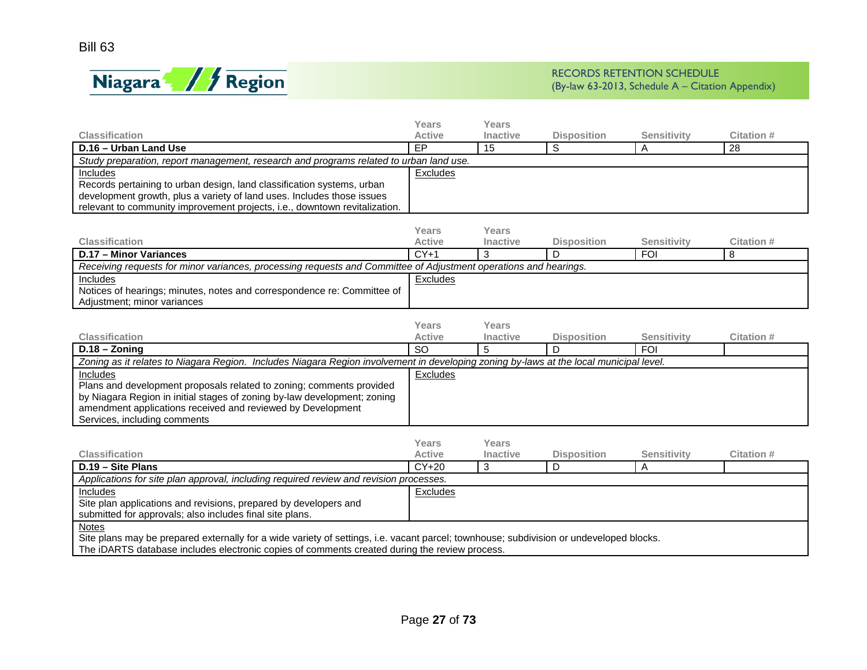

|                                                                                                                                                  | Years                  | Years                    |                         |                    |                   |
|--------------------------------------------------------------------------------------------------------------------------------------------------|------------------------|--------------------------|-------------------------|--------------------|-------------------|
| <b>Classification</b>                                                                                                                            | <b>Active</b>          | <b>Inactive</b>          | <b>Disposition</b>      | <b>Sensitivity</b> | Citation #        |
| D.16 - Urban Land Use                                                                                                                            | EP                     | 15                       | S                       | A                  | $\overline{28}$   |
| Study preparation, report management, research and programs related to urban land use.                                                           |                        |                          |                         |                    |                   |
| Includes                                                                                                                                         | Excludes               |                          |                         |                    |                   |
| Records pertaining to urban design, land classification systems, urban<br>development growth, plus a variety of land uses. Includes those issues |                        |                          |                         |                    |                   |
| relevant to community improvement projects, i.e., downtown revitalization.                                                                       |                        |                          |                         |                    |                   |
|                                                                                                                                                  |                        |                          |                         |                    |                   |
|                                                                                                                                                  | Years                  | Years                    |                         |                    |                   |
| <b>Classification</b>                                                                                                                            | <b>Active</b>          | <b>Inactive</b>          | <b>Disposition</b>      | <b>Sensitivity</b> | <b>Citation #</b> |
| D.17 - Minor Variances                                                                                                                           | $CY+1$                 | 3                        | D                       | <b>FOI</b>         | 8                 |
| Receiving requests for minor variances, processing requests and Committee of Adjustment operations and hearings.                                 |                        |                          |                         |                    |                   |
| Includes                                                                                                                                         | Excludes               |                          |                         |                    |                   |
| Notices of hearings; minutes, notes and correspondence re: Committee of                                                                          |                        |                          |                         |                    |                   |
| Adjustment; minor variances                                                                                                                      |                        |                          |                         |                    |                   |
|                                                                                                                                                  |                        |                          |                         |                    |                   |
| <b>Classification</b>                                                                                                                            | Years<br><b>Active</b> | Years<br><b>Inactive</b> |                         | Sensitivity        | <b>Citation #</b> |
| $D.18 - Zoning$                                                                                                                                  | <b>SO</b>              | 5                        | <b>Disposition</b><br>D | <b>FOI</b>         |                   |
| Zoning as it relates to Niagara Region. Includes Niagara Region involvement in developing zoning by-laws at the local municipal level.           |                        |                          |                         |                    |                   |
| <b>Includes</b>                                                                                                                                  | <b>Excludes</b>        |                          |                         |                    |                   |
| Plans and development proposals related to zoning; comments provided                                                                             |                        |                          |                         |                    |                   |
| by Niagara Region in initial stages of zoning by-law development; zoning                                                                         |                        |                          |                         |                    |                   |
| amendment applications received and reviewed by Development                                                                                      |                        |                          |                         |                    |                   |
| Services, including comments                                                                                                                     |                        |                          |                         |                    |                   |
|                                                                                                                                                  |                        |                          |                         |                    |                   |
|                                                                                                                                                  | Years                  | Years                    |                         |                    |                   |
| <b>Classification</b>                                                                                                                            | <b>Active</b>          | Inactive                 | <b>Disposition</b>      | <b>Sensitivity</b> | Citation #        |
| D.19 - Site Plans                                                                                                                                | $CY+20$                | 3                        | D                       | Α                  |                   |
| Applications for site plan approval, including required review and revision processes.                                                           |                        |                          |                         |                    |                   |
| <b>Includes</b><br>Site plan applications and revisions, prepared by developers and                                                              | Excludes               |                          |                         |                    |                   |
| submitted for approvals; also includes final site plans.                                                                                         |                        |                          |                         |                    |                   |
| <b>Notes</b>                                                                                                                                     |                        |                          |                         |                    |                   |
| Site plans may be prepared externally for a wide variety of settings, i.e. vacant parcel; townhouse; subdivision or undeveloped blocks.          |                        |                          |                         |                    |                   |
| The iDARTS database includes electronic copies of comments created during the review process.                                                    |                        |                          |                         |                    |                   |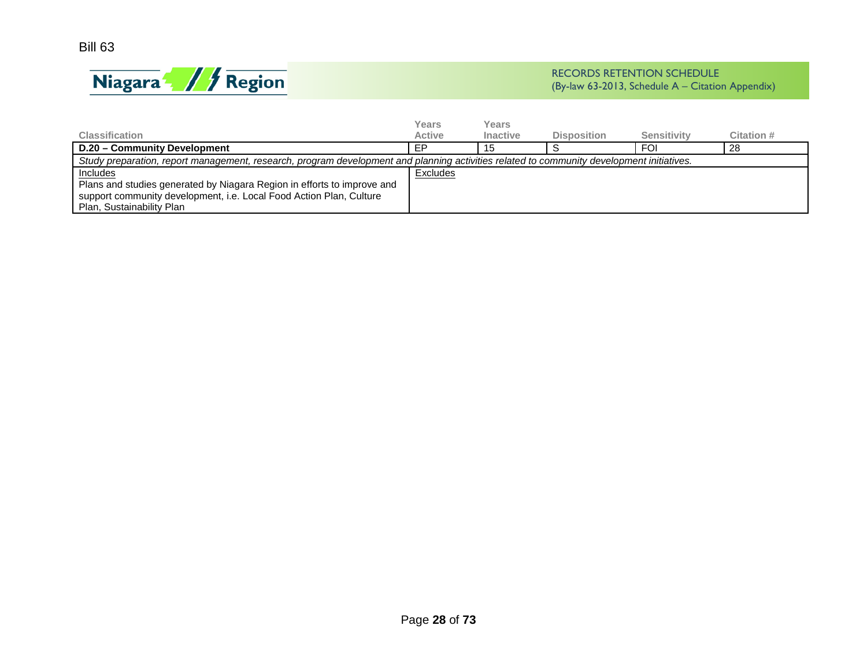Bill 63



<span id="page-27-0"></span>

|                                                                                                                                           | Years         | Years           |                    |             |            |
|-------------------------------------------------------------------------------------------------------------------------------------------|---------------|-----------------|--------------------|-------------|------------|
| <b>Classification</b>                                                                                                                     | <b>Active</b> | <b>Inactive</b> | <b>Disposition</b> | Sensitivity | Citation # |
| D.20 - Community Development                                                                                                              | ЕP            | 15              |                    | <b>FOI</b>  | 28         |
| Study preparation, report management, research, program development and planning activities related to community development initiatives. |               |                 |                    |             |            |
| Includes                                                                                                                                  | Excludes      |                 |                    |             |            |
| Plans and studies generated by Niagara Region in efforts to improve and                                                                   |               |                 |                    |             |            |
| support community development, i.e. Local Food Action Plan, Culture                                                                       |               |                 |                    |             |            |
| Plan, Sustainability Plan                                                                                                                 |               |                 |                    |             |            |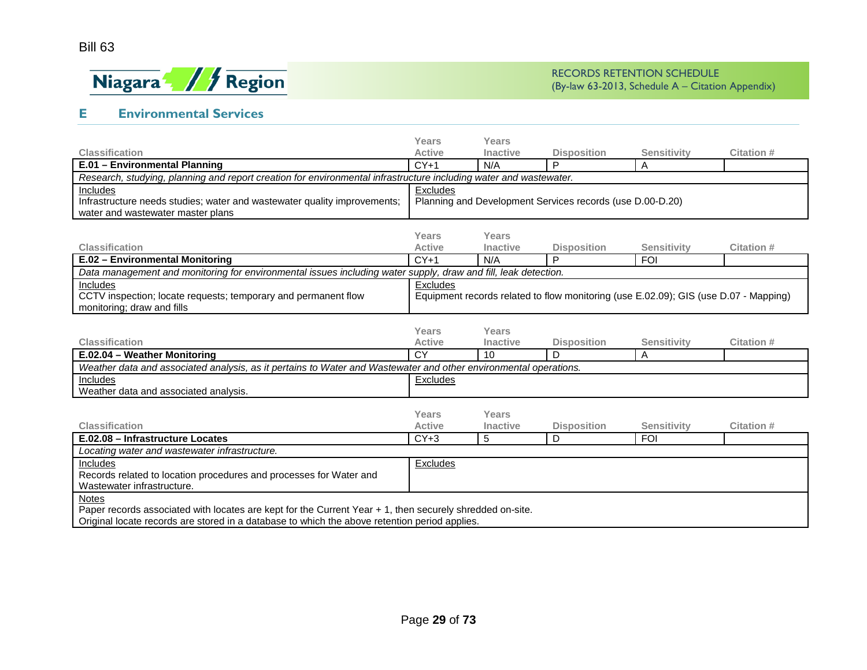

## **E Environmental Services**

|                                                                                                                   | Years           | Years    |                                                                                      |                    |            |
|-------------------------------------------------------------------------------------------------------------------|-----------------|----------|--------------------------------------------------------------------------------------|--------------------|------------|
| <b>Classification</b>                                                                                             | <b>Active</b>   | Inactive | <b>Disposition</b>                                                                   | <b>Sensitivity</b> | Citation # |
| E.01 - Environmental Planning                                                                                     | $CY+1$          | N/A      | P                                                                                    | A                  |            |
| Research, studying, planning and report creation for environmental infrastructure including water and wastewater. |                 |          |                                                                                      |                    |            |
| Includes                                                                                                          | Excludes        |          |                                                                                      |                    |            |
| Infrastructure needs studies; water and wastewater quality improvements;                                          |                 |          | Planning and Development Services records (use D.00-D.20)                            |                    |            |
| water and wastewater master plans                                                                                 |                 |          |                                                                                      |                    |            |
|                                                                                                                   |                 |          |                                                                                      |                    |            |
|                                                                                                                   | Years           | Years    |                                                                                      |                    |            |
| <b>Classification</b>                                                                                             | <b>Active</b>   | Inactive | <b>Disposition</b>                                                                   | <b>Sensitivity</b> | Citation # |
| E.02 - Environmental Monitoring                                                                                   | $CY+1$          | N/A      | P                                                                                    | <b>FOI</b>         |            |
| Data management and monitoring for environmental issues including water supply, draw and fill, leak detection.    |                 |          |                                                                                      |                    |            |
| Includes                                                                                                          | Excludes        |          |                                                                                      |                    |            |
| CCTV inspection; locate requests; temporary and permanent flow                                                    |                 |          | Equipment records related to flow monitoring (use E.02.09); GIS (use D.07 - Mapping) |                    |            |
| monitoring; draw and fills                                                                                        |                 |          |                                                                                      |                    |            |
|                                                                                                                   |                 |          |                                                                                      |                    |            |
|                                                                                                                   | <b>Years</b>    | Years    |                                                                                      |                    |            |
| <b>Classification</b>                                                                                             | <b>Active</b>   | Inactive | <b>Disposition</b>                                                                   | <b>Sensitivity</b> | Citation # |
| $\overline{E.02.04}$ – Weather Monitoring                                                                         | $\overline{CY}$ | 10       | D                                                                                    | A                  |            |
| Weather data and associated analysis, as it pertains to Water and Wastewater and other environmental operations.  |                 |          |                                                                                      |                    |            |
| Includes                                                                                                          | Excludes        |          |                                                                                      |                    |            |
| Weather data and associated analysis.                                                                             |                 |          |                                                                                      |                    |            |
|                                                                                                                   |                 |          |                                                                                      |                    |            |
|                                                                                                                   | <b>Years</b>    | Years    |                                                                                      |                    |            |
| <b>Classification</b>                                                                                             | <b>Active</b>   | Inactive | <b>Disposition</b>                                                                   | <b>Sensitivity</b> | Citation # |
| E.02.08 - Infrastructure Locates                                                                                  | $CY+3$          | 5        | D                                                                                    | <b>FOI</b>         |            |
| Locating water and wastewater infrastructure.                                                                     |                 |          |                                                                                      |                    |            |
| Includes                                                                                                          | Excludes        |          |                                                                                      |                    |            |
| Records related to location procedures and processes for Water and                                                |                 |          |                                                                                      |                    |            |
| Wastewater infrastructure.                                                                                        |                 |          |                                                                                      |                    |            |
| Notes                                                                                                             |                 |          |                                                                                      |                    |            |
| Paper records associated with locates are kept for the Current Year + 1, then securely shredded on-site.          |                 |          |                                                                                      |                    |            |
| Original locate records are stored in a database to which the above retention period applies.                     |                 |          |                                                                                      |                    |            |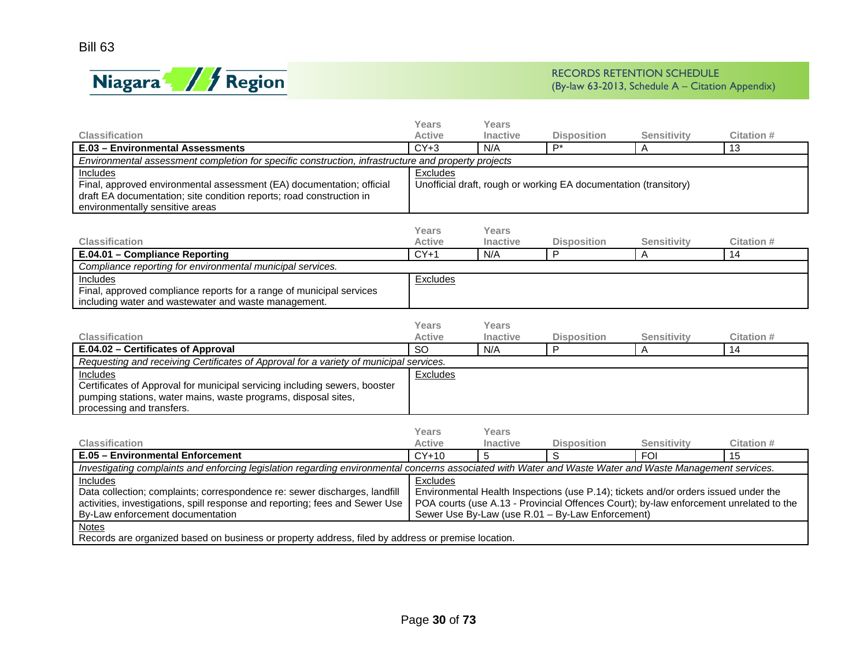

| <b>Active</b><br>$CY+3$<br>Environmental assessment completion for specific construction, infrastructure and property projects<br>Excludes<br>Years<br><b>Active</b><br>$CY+1$ | Inactive<br>N/A<br>Years<br>Inactive<br>N/A | <b>Disposition</b><br>$P^*$<br>Unofficial draft, rough or working EA documentation (transitory)<br><b>Disposition</b>      | <b>Sensitivity</b><br>Α<br><b>Sensitivity</b> | <b>Citation#</b><br>13<br>Citation #                                                                                                                                                                                                                                                                                                                                                                                                                  |
|--------------------------------------------------------------------------------------------------------------------------------------------------------------------------------|---------------------------------------------|----------------------------------------------------------------------------------------------------------------------------|-----------------------------------------------|-------------------------------------------------------------------------------------------------------------------------------------------------------------------------------------------------------------------------------------------------------------------------------------------------------------------------------------------------------------------------------------------------------------------------------------------------------|
|                                                                                                                                                                                |                                             |                                                                                                                            |                                               |                                                                                                                                                                                                                                                                                                                                                                                                                                                       |
|                                                                                                                                                                                |                                             |                                                                                                                            |                                               |                                                                                                                                                                                                                                                                                                                                                                                                                                                       |
|                                                                                                                                                                                |                                             |                                                                                                                            |                                               |                                                                                                                                                                                                                                                                                                                                                                                                                                                       |
|                                                                                                                                                                                |                                             |                                                                                                                            |                                               |                                                                                                                                                                                                                                                                                                                                                                                                                                                       |
|                                                                                                                                                                                |                                             |                                                                                                                            |                                               |                                                                                                                                                                                                                                                                                                                                                                                                                                                       |
|                                                                                                                                                                                |                                             |                                                                                                                            |                                               | 14                                                                                                                                                                                                                                                                                                                                                                                                                                                    |
|                                                                                                                                                                                |                                             |                                                                                                                            |                                               |                                                                                                                                                                                                                                                                                                                                                                                                                                                       |
|                                                                                                                                                                                |                                             |                                                                                                                            |                                               |                                                                                                                                                                                                                                                                                                                                                                                                                                                       |
| Years<br><b>Active</b>                                                                                                                                                         | Years<br>Inactive                           | <b>Disposition</b>                                                                                                         | <b>Sensitivity</b>                            | <b>Citation#</b>                                                                                                                                                                                                                                                                                                                                                                                                                                      |
| <b>SO</b>                                                                                                                                                                      | N/A                                         |                                                                                                                            | A                                             | 14                                                                                                                                                                                                                                                                                                                                                                                                                                                    |
| Requesting and receiving Certificates of Approval for a variety of municipal services.                                                                                         |                                             |                                                                                                                            |                                               |                                                                                                                                                                                                                                                                                                                                                                                                                                                       |
| Excludes                                                                                                                                                                       |                                             |                                                                                                                            |                                               |                                                                                                                                                                                                                                                                                                                                                                                                                                                       |
| Years                                                                                                                                                                          | Years                                       |                                                                                                                            |                                               | <b>Citation #</b>                                                                                                                                                                                                                                                                                                                                                                                                                                     |
|                                                                                                                                                                                |                                             |                                                                                                                            |                                               | 15                                                                                                                                                                                                                                                                                                                                                                                                                                                    |
|                                                                                                                                                                                |                                             |                                                                                                                            |                                               |                                                                                                                                                                                                                                                                                                                                                                                                                                                       |
| <b>Excludes</b>                                                                                                                                                                |                                             |                                                                                                                            |                                               |                                                                                                                                                                                                                                                                                                                                                                                                                                                       |
|                                                                                                                                                                                | Excludes<br>Active<br>$CY+10$               | <b>Inactive</b><br>5<br>Records are organized based on business or property address, filed by address or premise location. | P<br><b>Disposition</b><br>S                  | P<br>$\mathsf A$<br><b>Sensitivity</b><br><b>FOI</b><br>Investigating complaints and enforcing legislation regarding environmental concerns associated with Water and Waste Water and Waste Management services.<br>Environmental Health Inspections (use P.14); tickets and/or orders issued under the<br>POA courts (use A.13 - Provincial Offences Court); by-law enforcement unrelated to the<br>Sewer Use By-Law (use R.01 - By-Law Enforcement) |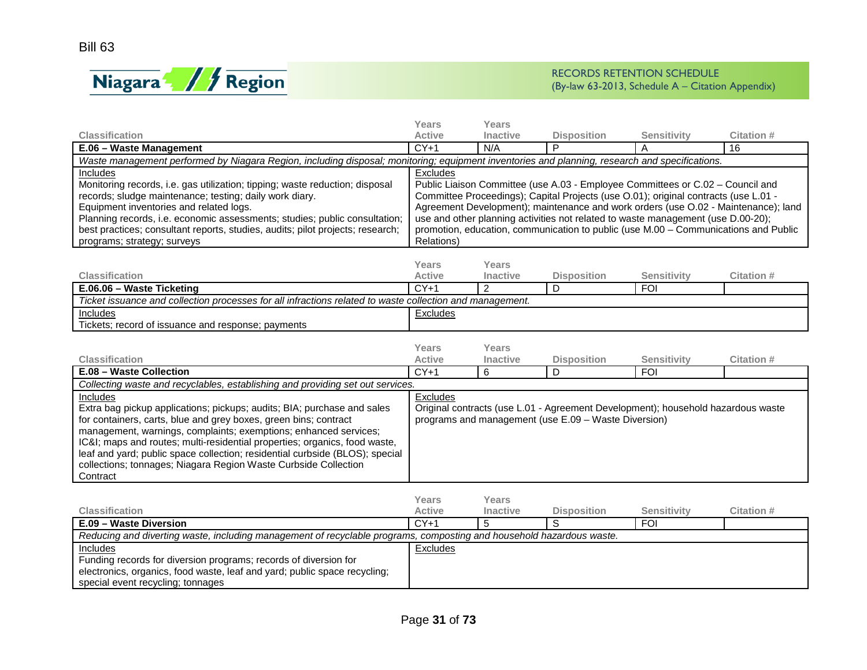

|                                                                                                                                                | <b>Years</b>           | Years                           |                                                                                     |                                  |                                                                                     |
|------------------------------------------------------------------------------------------------------------------------------------------------|------------------------|---------------------------------|-------------------------------------------------------------------------------------|----------------------------------|-------------------------------------------------------------------------------------|
| <b>Classification</b>                                                                                                                          | <b>Active</b>          | <b>Inactive</b>                 | <b>Disposition</b>                                                                  | Sensitivity                      | <b>Citation#</b>                                                                    |
| E.06 - Waste Management                                                                                                                        | $CY+1$                 | N/A                             | P                                                                                   | A                                | 16                                                                                  |
| Waste management performed by Niagara Region, including disposal; monitoring; equipment inventories and planning, research and specifications. |                        |                                 |                                                                                     |                                  |                                                                                     |
| Includes<br>Monitoring records, i.e. gas utilization; tipping; waste reduction; disposal                                                       | Excludes               |                                 | Public Liaison Committee (use A.03 - Employee Committees or C.02 - Council and      |                                  |                                                                                     |
| records; sludge maintenance; testing; daily work diary.                                                                                        |                        |                                 | Committee Proceedings); Capital Projects (use O.01); original contracts (use L.01 - |                                  |                                                                                     |
| Equipment inventories and related logs.                                                                                                        |                        |                                 |                                                                                     |                                  | Agreement Development); maintenance and work orders (use O.02 - Maintenance); land  |
| Planning records, i.e. economic assessments; studies; public consultation;                                                                     |                        |                                 | use and other planning activities not related to waste management (use D.00-20);    |                                  |                                                                                     |
| best practices; consultant reports, studies, audits; pilot projects; research;                                                                 |                        |                                 |                                                                                     |                                  | promotion, education, communication to public (use M.00 - Communications and Public |
| programs; strategy; surveys                                                                                                                    | Relations)             |                                 |                                                                                     |                                  |                                                                                     |
|                                                                                                                                                |                        |                                 |                                                                                     |                                  |                                                                                     |
|                                                                                                                                                | Years                  | Years                           |                                                                                     |                                  |                                                                                     |
| <b>Classification</b>                                                                                                                          | <b>Active</b>          | <b>Inactive</b>                 | <b>Disposition</b>                                                                  | <b>Sensitivity</b>               | Citation #                                                                          |
| E.06.06 - Waste Ticketing                                                                                                                      | $CY+1$                 | $\mathcal{P}$                   | D                                                                                   | <b>FOI</b>                       |                                                                                     |
| Ticket issuance and collection processes for all infractions related to waste collection and management.                                       |                        |                                 |                                                                                     |                                  |                                                                                     |
| Includes                                                                                                                                       | Excludes               |                                 |                                                                                     |                                  |                                                                                     |
| Tickets; record of issuance and response; payments                                                                                             |                        |                                 |                                                                                     |                                  |                                                                                     |
|                                                                                                                                                |                        |                                 |                                                                                     |                                  |                                                                                     |
|                                                                                                                                                | Years                  | Years                           |                                                                                     |                                  |                                                                                     |
| <b>Classification</b>                                                                                                                          | <b>Active</b>          | Inactive                        | <b>Disposition</b>                                                                  | <b>Sensitivity</b>               | Citation #                                                                          |
| E.08 - Waste Collection                                                                                                                        | $CY+1$                 | 6                               | D                                                                                   | <b>FOI</b>                       |                                                                                     |
| Collecting waste and recyclables, establishing and providing set out services.                                                                 |                        |                                 |                                                                                     |                                  |                                                                                     |
| Includes                                                                                                                                       | Excludes               |                                 |                                                                                     |                                  |                                                                                     |
| Extra bag pickup applications; pickups; audits; BIA; purchase and sales<br>for containers, carts, blue and grey boxes, green bins; contract    |                        |                                 | Original contracts (use L.01 - Agreement Development); household hazardous waste    |                                  |                                                                                     |
|                                                                                                                                                |                        |                                 |                                                                                     |                                  |                                                                                     |
|                                                                                                                                                |                        |                                 | programs and management (use E.09 - Waste Diversion)                                |                                  |                                                                                     |
| management, warnings, complaints; exemptions; enhanced services;                                                                               |                        |                                 |                                                                                     |                                  |                                                                                     |
| IC&I maps and routes; multi-residential properties; organics, food waste,                                                                      |                        |                                 |                                                                                     |                                  |                                                                                     |
| leaf and yard; public space collection; residential curbside (BLOS); special                                                                   |                        |                                 |                                                                                     |                                  |                                                                                     |
| collections; tonnages; Niagara Region Waste Curbside Collection                                                                                |                        |                                 |                                                                                     |                                  |                                                                                     |
| Contract                                                                                                                                       |                        |                                 |                                                                                     |                                  |                                                                                     |
|                                                                                                                                                |                        |                                 |                                                                                     |                                  |                                                                                     |
| <b>Classification</b>                                                                                                                          | <b>Years</b><br>Active | <b>Years</b><br><b>Inactive</b> |                                                                                     |                                  | <b>Citation #</b>                                                                   |
| E.09 - Waste Diversion                                                                                                                         | $CY+1$                 | 5                               | <b>Disposition</b><br>S                                                             | <b>Sensitivity</b><br><b>FOI</b> |                                                                                     |
| Reducing and diverting waste, including management of recyclable programs, composting and household hazardous waste.                           |                        |                                 |                                                                                     |                                  |                                                                                     |
| Includes                                                                                                                                       | Excludes               |                                 |                                                                                     |                                  |                                                                                     |
| Funding records for diversion programs; records of diversion for                                                                               |                        |                                 |                                                                                     |                                  |                                                                                     |
| electronics, organics, food waste, leaf and yard; public space recycling;<br>special event recycling; tonnages                                 |                        |                                 |                                                                                     |                                  |                                                                                     |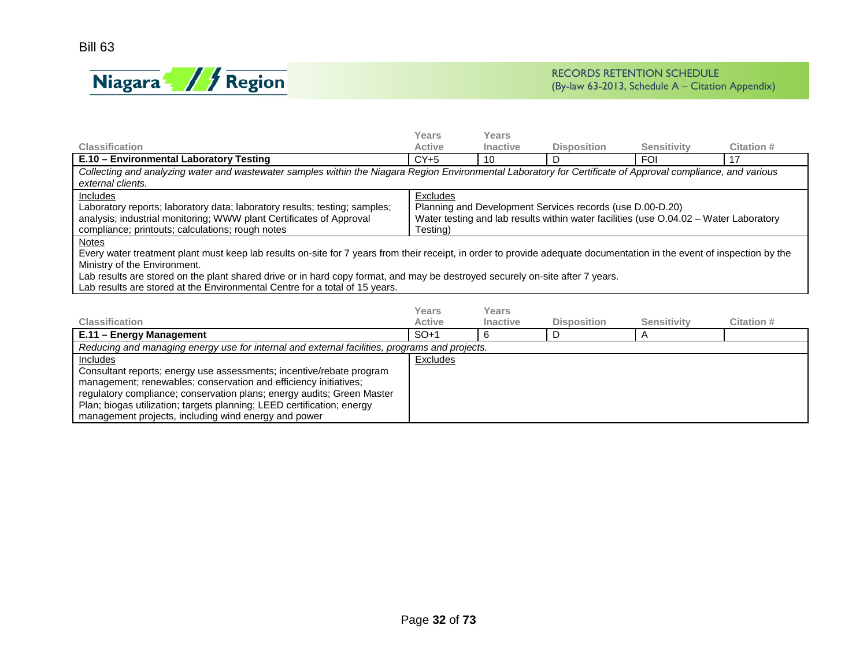

|                                                                                                                                                                                                                                                                                                                                                                                                                                        | Years                  | Years                           |                                                                                                                                                    |                    |            |
|----------------------------------------------------------------------------------------------------------------------------------------------------------------------------------------------------------------------------------------------------------------------------------------------------------------------------------------------------------------------------------------------------------------------------------------|------------------------|---------------------------------|----------------------------------------------------------------------------------------------------------------------------------------------------|--------------------|------------|
| <b>Classification</b>                                                                                                                                                                                                                                                                                                                                                                                                                  | <b>Active</b>          | <b>Inactive</b>                 | <b>Disposition</b>                                                                                                                                 | <b>Sensitivity</b> | Citation # |
| E.10 - Environmental Laboratory Testing                                                                                                                                                                                                                                                                                                                                                                                                | $CY+5$                 | 10                              | D                                                                                                                                                  | <b>FOI</b>         | 17         |
| Collecting and analyzing water and wastewater samples within the Niagara Region Environmental Laboratory for Certificate of Approval compliance, and various<br>external clients.                                                                                                                                                                                                                                                      |                        |                                 |                                                                                                                                                    |                    |            |
| Includes<br>Laboratory reports; laboratory data; laboratory results; testing; samples;<br>analysis; industrial monitoring; WWW plant Certificates of Approval<br>compliance; printouts; calculations; rough notes                                                                                                                                                                                                                      | Excludes<br>Testing)   |                                 | Planning and Development Services records (use D.00-D.20)<br>Water testing and lab results within water facilities (use 0.04.02 - Water Laboratory |                    |            |
| <b>Notes</b><br>Every water treatment plant must keep lab results on-site for 7 years from their receipt, in order to provide adequate documentation in the event of inspection by the<br>Ministry of the Environment.<br>Lab results are stored on the plant shared drive or in hard copy format, and may be destroyed securely on-site after 7 years.<br>Lab results are stored at the Environmental Centre for a total of 15 years. |                        |                                 |                                                                                                                                                    |                    |            |
| <b>Classification</b>                                                                                                                                                                                                                                                                                                                                                                                                                  | Years<br><b>Active</b> | <b>Years</b><br><b>Inactive</b> | <b>Disposition</b>                                                                                                                                 | <b>Sensitivity</b> | Citation # |
| E.11 - Energy Management                                                                                                                                                                                                                                                                                                                                                                                                               | $SO+1$                 | 6                               | D                                                                                                                                                  | A                  |            |
| Reducing and managing energy use for internal and external facilities, programs and projects.                                                                                                                                                                                                                                                                                                                                          |                        |                                 |                                                                                                                                                    |                    |            |
| Includes                                                                                                                                                                                                                                                                                                                                                                                                                               | Excludes               |                                 |                                                                                                                                                    |                    |            |
| Consultant reports: energy use assessments: incentive/rebate program                                                                                                                                                                                                                                                                                                                                                                   |                        |                                 |                                                                                                                                                    |                    |            |

| Consultant reports; energy use assessments; incentive/rebate program   |
|------------------------------------------------------------------------|
| ' management; renewables; conservation and efficiency initiatives;     |
| regulatory compliance; conservation plans; energy audits; Green Master |
| Plan; biogas utilization; targets planning; LEED certification; energy |
|                                                                        |

management projects, including wind energy and power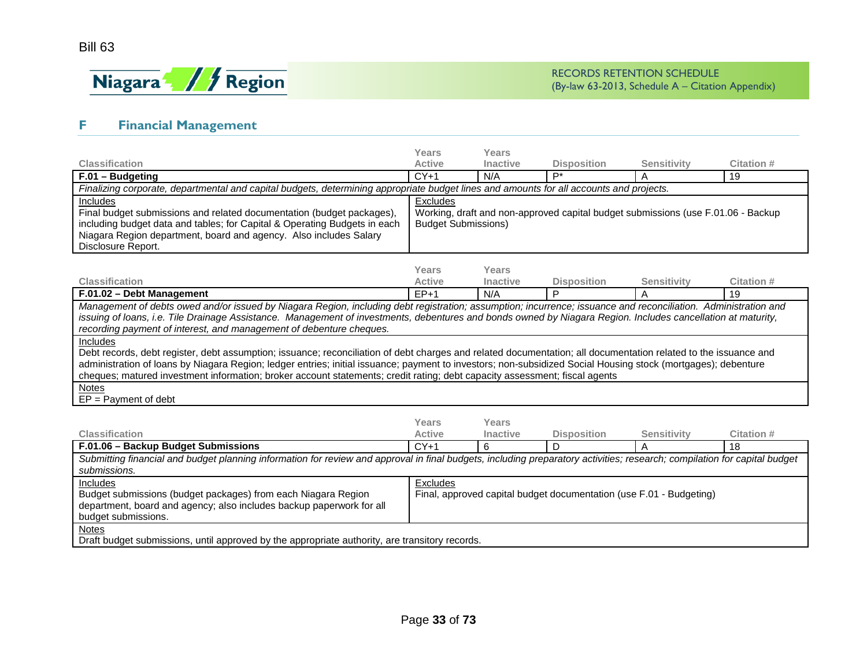

## **F Financial Management**

<span id="page-32-0"></span>

|                                                                                                                                                                                                                                                                                                                                                                                                                                                                                                                                                                                                                                                                                                                                                                    | <b>Years</b>                                                                                                               | Years                    |                    |                    |                   |  |  |
|--------------------------------------------------------------------------------------------------------------------------------------------------------------------------------------------------------------------------------------------------------------------------------------------------------------------------------------------------------------------------------------------------------------------------------------------------------------------------------------------------------------------------------------------------------------------------------------------------------------------------------------------------------------------------------------------------------------------------------------------------------------------|----------------------------------------------------------------------------------------------------------------------------|--------------------------|--------------------|--------------------|-------------------|--|--|
| <b>Classification</b>                                                                                                                                                                                                                                                                                                                                                                                                                                                                                                                                                                                                                                                                                                                                              | <b>Active</b>                                                                                                              | <b>Inactive</b>          | <b>Disposition</b> | <b>Sensitivity</b> | Citation #        |  |  |
| F.01 - Budgeting                                                                                                                                                                                                                                                                                                                                                                                                                                                                                                                                                                                                                                                                                                                                                   | $CY+1$                                                                                                                     | N/A                      | P*                 | A                  | 19                |  |  |
| Finalizing corporate, departmental and capital budgets, determining appropriate budget lines and amounts for all accounts and projects.                                                                                                                                                                                                                                                                                                                                                                                                                                                                                                                                                                                                                            |                                                                                                                            |                          |                    |                    |                   |  |  |
| Includes<br>Final budget submissions and related documentation (budget packages),<br>including budget data and tables; for Capital & Operating Budgets in each<br>Niagara Region department, board and agency. Also includes Salary<br>Disclosure Report.                                                                                                                                                                                                                                                                                                                                                                                                                                                                                                          | Excludes<br>Working, draft and non-approved capital budget submissions (use F.01.06 - Backup<br><b>Budget Submissions)</b> |                          |                    |                    |                   |  |  |
|                                                                                                                                                                                                                                                                                                                                                                                                                                                                                                                                                                                                                                                                                                                                                                    | Years                                                                                                                      | Years                    |                    |                    |                   |  |  |
| <b>Classification</b>                                                                                                                                                                                                                                                                                                                                                                                                                                                                                                                                                                                                                                                                                                                                              | <b>Active</b>                                                                                                              | Inactive                 | <b>Disposition</b> | <b>Sensitivity</b> | Citation #        |  |  |
| F.01.02 - Debt Management                                                                                                                                                                                                                                                                                                                                                                                                                                                                                                                                                                                                                                                                                                                                          | $FP+1$                                                                                                                     | N/A                      | P                  | A                  | 19                |  |  |
| issuing of loans, i.e. Tile Drainage Assistance. Management of investments, debentures and bonds owned by Niagara Region. Includes cancellation at maturity,<br>recording payment of interest, and management of debenture cheques.<br><b>Includes</b><br>Debt records, debt register, debt assumption; issuance; reconciliation of debt charges and related documentation; all documentation related to the issuance and<br>administration of Ioans by Niagara Region; ledger entries; initial issuance; payment to investors; non-subsidized Social Housing stock (mortgages); debenture<br>cheques; matured investment information; broker account statements; credit rating; debt capacity assessment; fiscal agents<br><b>Notes</b><br>$EP = Payment of debt$ |                                                                                                                            |                          |                    |                    |                   |  |  |
| <b>Classification</b>                                                                                                                                                                                                                                                                                                                                                                                                                                                                                                                                                                                                                                                                                                                                              | Years<br><b>Active</b>                                                                                                     | Years<br><b>Inactive</b> | <b>Disposition</b> | <b>Sensitivity</b> | <b>Citation #</b> |  |  |
| F.01.06 - Backup Budget Submissions                                                                                                                                                                                                                                                                                                                                                                                                                                                                                                                                                                                                                                                                                                                                | $CY+1$                                                                                                                     | 6                        | D                  | A                  | 18                |  |  |
| Submitting financial and budget planning information for review and approval in final budgets, including preparatory activities; research; compilation for capital budget<br>submissions.                                                                                                                                                                                                                                                                                                                                                                                                                                                                                                                                                                          |                                                                                                                            |                          |                    |                    |                   |  |  |
| Includes<br>Budget submissions (budget packages) from each Niagara Region<br>department, board and agency; also includes backup paperwork for all<br>budget submissions.                                                                                                                                                                                                                                                                                                                                                                                                                                                                                                                                                                                           | Excludes<br>Final, approved capital budget documentation (use F.01 - Budgeting)                                            |                          |                    |                    |                   |  |  |
| <b>Notes</b><br>Draft budget submissions, until approved by the appropriate authority, are transitory records.                                                                                                                                                                                                                                                                                                                                                                                                                                                                                                                                                                                                                                                     |                                                                                                                            |                          |                    |                    |                   |  |  |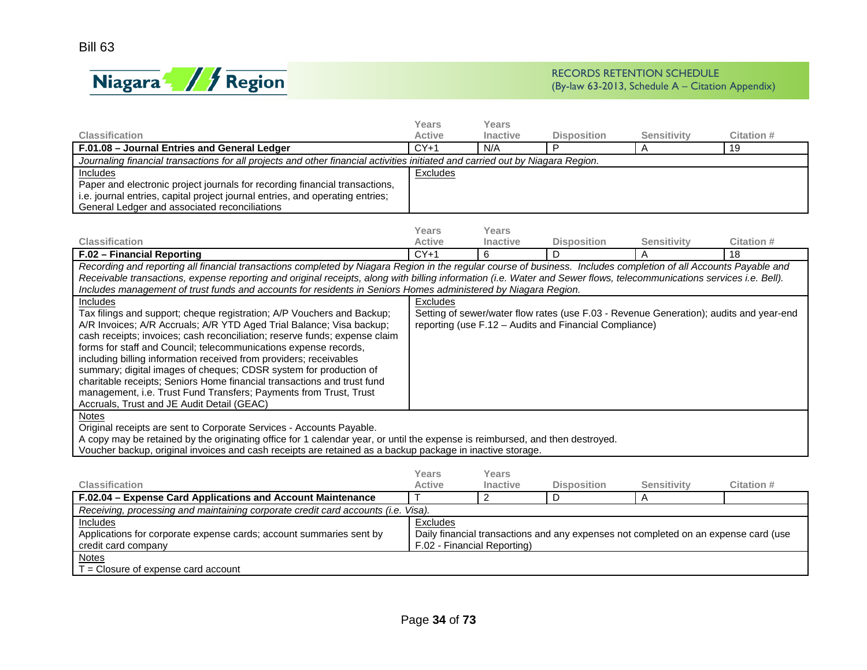

|                                                                                                                                                                       | <b>Years</b>  | Years           |                                                                                        |                    |            |
|-----------------------------------------------------------------------------------------------------------------------------------------------------------------------|---------------|-----------------|----------------------------------------------------------------------------------------|--------------------|------------|
| <b>Classification</b>                                                                                                                                                 | <b>Active</b> | <b>Inactive</b> | <b>Disposition</b>                                                                     | <b>Sensitivity</b> | Citation # |
| F.01.08 - Journal Entries and General Ledger                                                                                                                          | $CY+1$        | N/A             | P                                                                                      | $\overline{A}$     | 19         |
| Journaling financial transactions for all projects and other financial activities initiated and carried out by Niagara Region.                                        |               |                 |                                                                                        |                    |            |
| Includes                                                                                                                                                              | Excludes      |                 |                                                                                        |                    |            |
| Paper and electronic project journals for recording financial transactions,                                                                                           |               |                 |                                                                                        |                    |            |
| i.e. journal entries, capital project journal entries, and operating entries;                                                                                         |               |                 |                                                                                        |                    |            |
| General Ledger and associated reconciliations                                                                                                                         |               |                 |                                                                                        |                    |            |
|                                                                                                                                                                       |               |                 |                                                                                        |                    |            |
|                                                                                                                                                                       | Years         | Years           |                                                                                        |                    |            |
| <b>Classification</b>                                                                                                                                                 | <b>Active</b> | Inactive        | <b>Disposition</b>                                                                     | <b>Sensitivity</b> | Citation # |
| F.02 - Financial Reporting                                                                                                                                            | $CY+1$        | 6               | D                                                                                      | $\overline{A}$     | 18         |
| Recording and reporting all financial transactions completed by Niagara Region in the regular course of business. Includes completion of all Accounts Payable and     |               |                 |                                                                                        |                    |            |
| Receivable transactions, expense reporting and original receipts, along with billing information (i.e. Water and Sewer flows, telecommunications services i.e. Bell). |               |                 |                                                                                        |                    |            |
| Includes management of trust funds and accounts for residents in Seniors Homes administered by Niagara Region.                                                        |               |                 |                                                                                        |                    |            |
| <b>Includes</b>                                                                                                                                                       | Excludes      |                 |                                                                                        |                    |            |
| Tax filings and support; cheque registration; A/P Vouchers and Backup;                                                                                                |               |                 | Setting of sewer/water flow rates (use F.03 - Revenue Generation); audits and year-end |                    |            |
| A/R Invoices; A/R Accruals; A/R YTD Aged Trial Balance; Visa backup;                                                                                                  |               |                 | reporting (use F.12 – Audits and Financial Compliance)                                 |                    |            |
| cash receipts; invoices; cash reconciliation; reserve funds; expense claim                                                                                            |               |                 |                                                                                        |                    |            |
| forms for staff and Council; telecommunications expense records,                                                                                                      |               |                 |                                                                                        |                    |            |
| including billing information received from providers; receivables                                                                                                    |               |                 |                                                                                        |                    |            |
| summary; digital images of cheques; CDSR system for production of                                                                                                     |               |                 |                                                                                        |                    |            |
| charitable receipts; Seniors Home financial transactions and trust fund                                                                                               |               |                 |                                                                                        |                    |            |
| management, i.e. Trust Fund Transfers; Payments from Trust, Trust                                                                                                     |               |                 |                                                                                        |                    |            |
| Accruals, Trust and JE Audit Detail (GEAC)                                                                                                                            |               |                 |                                                                                        |                    |            |
| <b>Notes</b>                                                                                                                                                          |               |                 |                                                                                        |                    |            |
| Original receipts are sent to Corporate Services - Accounts Payable.                                                                                                  |               |                 |                                                                                        |                    |            |
| A copy may be retained by the originating office for 1 calendar year, or until the expense is reimbursed, and then destroyed.                                         |               |                 |                                                                                        |                    |            |
| Voucher backup, original invoices and cash receipts are retained as a backup package in inactive storage.                                                             |               |                 |                                                                                        |                    |            |
|                                                                                                                                                                       |               |                 |                                                                                        |                    |            |
|                                                                                                                                                                       | Years         | Years           |                                                                                        |                    |            |
| <b>Classification</b>                                                                                                                                                 | <b>Active</b> | <b>Inactive</b> | <b>Disposition</b>                                                                     | <b>Sensitivity</b> | Citation # |
| <b>E0204 - Expense Card Applications and Account Maintenance</b>                                                                                                      | $\mathbf{T}$  | $\mathcal{D}$   | D.                                                                                     | $\Delta$           |            |

| F.02.04 – Expense Card Applications and Account Maintenance                                                                                                |                             |  |  |  |  |  |  |  |
|------------------------------------------------------------------------------------------------------------------------------------------------------------|-----------------------------|--|--|--|--|--|--|--|
| Receiving, processing and maintaining corporate credit card accounts (i.e. Visa).                                                                          |                             |  |  |  |  |  |  |  |
| Excludes<br>Includes                                                                                                                                       |                             |  |  |  |  |  |  |  |
| Daily financial transactions and any expenses not completed on an expense card (use<br>Applications for corporate expense cards; account summaries sent by |                             |  |  |  |  |  |  |  |
| credit card company                                                                                                                                        | F.02 - Financial Reporting) |  |  |  |  |  |  |  |
| <b>Notes</b>                                                                                                                                               |                             |  |  |  |  |  |  |  |
| T = Closure of expense card account                                                                                                                        |                             |  |  |  |  |  |  |  |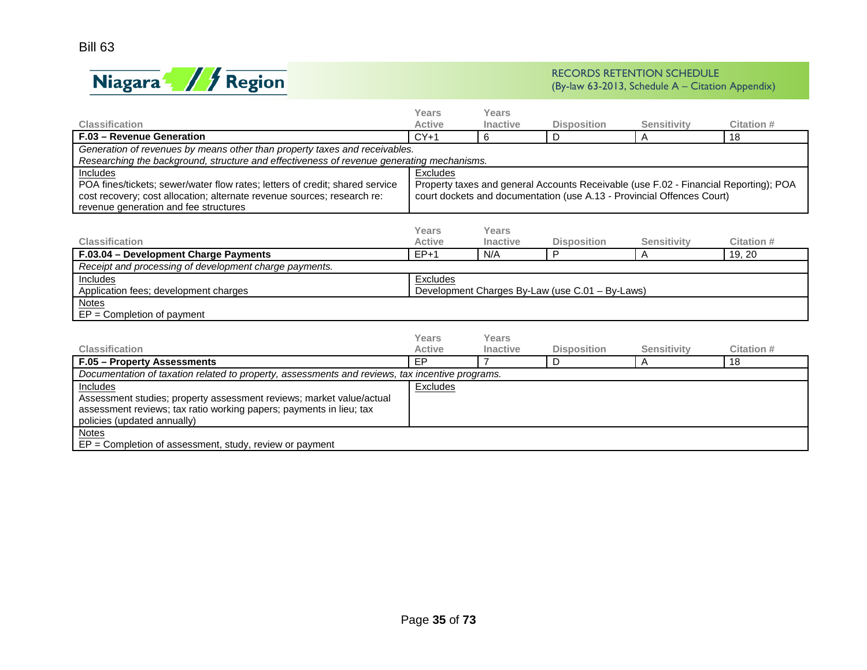

|                                                                                                 | Years                                                                                | Years           |                                                                        |                    |                   |  |  |
|-------------------------------------------------------------------------------------------------|--------------------------------------------------------------------------------------|-----------------|------------------------------------------------------------------------|--------------------|-------------------|--|--|
| <b>Classification</b>                                                                           | <b>Active</b>                                                                        | <b>Inactive</b> | <b>Disposition</b>                                                     | <b>Sensitivity</b> | <b>Citation#</b>  |  |  |
| F.03 - Revenue Generation                                                                       | $CY+1$                                                                               | 6               | D                                                                      | A                  | 18                |  |  |
| Generation of revenues by means other than property taxes and receivables.                      |                                                                                      |                 |                                                                        |                    |                   |  |  |
| Researching the background, structure and effectiveness of revenue generating mechanisms.       |                                                                                      |                 |                                                                        |                    |                   |  |  |
| Includes                                                                                        | Excludes                                                                             |                 |                                                                        |                    |                   |  |  |
| POA fines/tickets; sewer/water flow rates; letters of credit; shared service                    | Property taxes and general Accounts Receivable (use F.02 - Financial Reporting); POA |                 |                                                                        |                    |                   |  |  |
| cost recovery; cost allocation; alternate revenue sources; research re:                         |                                                                                      |                 | court dockets and documentation (use A.13 - Provincial Offences Court) |                    |                   |  |  |
| revenue generation and fee structures                                                           |                                                                                      |                 |                                                                        |                    |                   |  |  |
|                                                                                                 | Years                                                                                | Years           |                                                                        |                    |                   |  |  |
| <b>Classification</b>                                                                           | <b>Active</b>                                                                        | Inactive        | <b>Disposition</b>                                                     | <b>Sensitivity</b> | Citation #        |  |  |
| F.03.04 - Development Charge Payments                                                           | $EP+1$                                                                               | N/A             | P                                                                      | A                  | 19, 20            |  |  |
| Receipt and processing of development charge payments.                                          |                                                                                      |                 |                                                                        |                    |                   |  |  |
| <b>Includes</b>                                                                                 | Excludes                                                                             |                 |                                                                        |                    |                   |  |  |
| Application fees; development charges                                                           | Development Charges By-Law (use C.01 - By-Laws)                                      |                 |                                                                        |                    |                   |  |  |
| <b>Notes</b>                                                                                    |                                                                                      |                 |                                                                        |                    |                   |  |  |
| $EP = Completion of payment$                                                                    |                                                                                      |                 |                                                                        |                    |                   |  |  |
|                                                                                                 |                                                                                      |                 |                                                                        |                    |                   |  |  |
|                                                                                                 | Years                                                                                | Years           |                                                                        |                    |                   |  |  |
| <b>Classification</b>                                                                           | <b>Active</b>                                                                        | <b>Inactive</b> | <b>Disposition</b>                                                     | <b>Sensitivity</b> | <b>Citation #</b> |  |  |
| F.05 - Property Assessments                                                                     | <b>FP</b>                                                                            | $\overline{7}$  | D                                                                      | A                  | 18                |  |  |
| Documentation of taxation related to property, assessments and reviews, tax incentive programs. |                                                                                      |                 |                                                                        |                    |                   |  |  |
| Includes                                                                                        | Excludes                                                                             |                 |                                                                        |                    |                   |  |  |
| Assessment studies; property assessment reviews; market value/actual                            |                                                                                      |                 |                                                                        |                    |                   |  |  |
| assessment reviews; tax ratio working papers; payments in lieu; tax                             |                                                                                      |                 |                                                                        |                    |                   |  |  |
| policies (updated annually)                                                                     |                                                                                      |                 |                                                                        |                    |                   |  |  |
| <b>Notes</b>                                                                                    |                                                                                      |                 |                                                                        |                    |                   |  |  |
| $EP = Completion$ of assessment, study, review or payment                                       |                                                                                      |                 |                                                                        |                    |                   |  |  |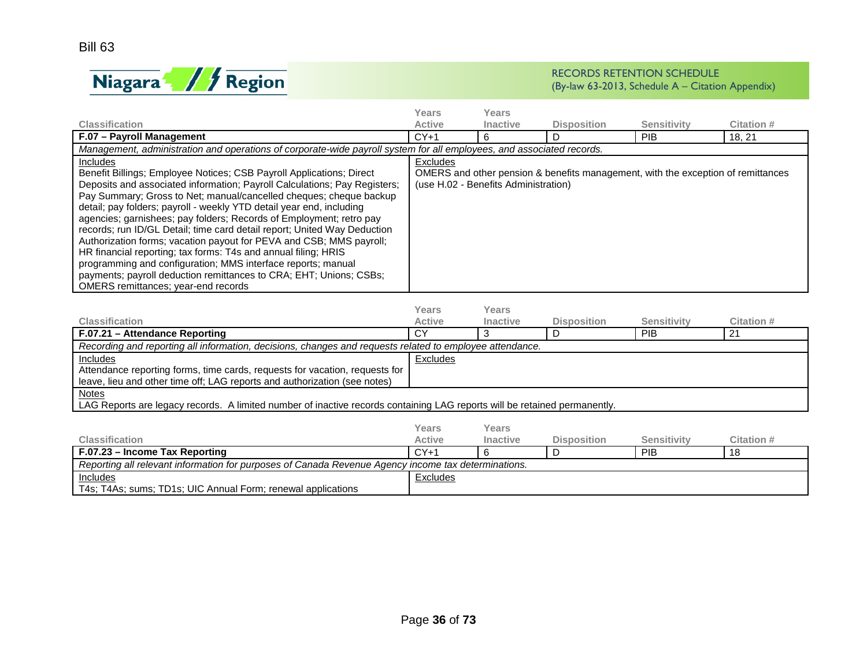

|                                                                                                                                                                                                                                                                                                                                                                                                                                                                                                                                                                                                                                                                                                                                                                                             | Years         | Years                                |                                                                                  |                    |            |  |
|---------------------------------------------------------------------------------------------------------------------------------------------------------------------------------------------------------------------------------------------------------------------------------------------------------------------------------------------------------------------------------------------------------------------------------------------------------------------------------------------------------------------------------------------------------------------------------------------------------------------------------------------------------------------------------------------------------------------------------------------------------------------------------------------|---------------|--------------------------------------|----------------------------------------------------------------------------------|--------------------|------------|--|
| <b>Classification</b>                                                                                                                                                                                                                                                                                                                                                                                                                                                                                                                                                                                                                                                                                                                                                                       | <b>Active</b> | Inactive                             | <b>Disposition</b>                                                               | <b>Sensitivity</b> | Citation # |  |
| F.07 - Payroll Management                                                                                                                                                                                                                                                                                                                                                                                                                                                                                                                                                                                                                                                                                                                                                                   | $CY+1$        | 6.                                   |                                                                                  | <b>PIB</b>         | 18.21      |  |
| Management, administration and operations of corporate-wide payroll system for all employees, and associated records.                                                                                                                                                                                                                                                                                                                                                                                                                                                                                                                                                                                                                                                                       |               |                                      |                                                                                  |                    |            |  |
| Includes<br>Benefit Billings; Employee Notices; CSB Payroll Applications; Direct<br>Deposits and associated information; Payroll Calculations; Pay Registers;<br>Pay Summary; Gross to Net; manual/cancelled cheques; cheque backup<br>detail; pay folders; payroll - weekly YTD detail year end, including<br>agencies; garnishees; pay folders; Records of Employment; retro pay<br>records; run ID/GL Detail; time card detail report; United Way Deduction<br>Authorization forms; vacation payout for PEVA and CSB; MMS payroll;<br>HR financial reporting; tax forms: T4s and annual filing; HRIS<br>programming and configuration; MMS interface reports; manual<br>payments; payroll deduction remittances to CRA; EHT; Unions; CSBs;<br><b>OMERS</b> remittances; year-end records | Excludes      | (use H.02 - Benefits Administration) | OMERS and other pension & benefits management, with the exception of remittances |                    |            |  |

|                                                                                                                           | Years    | Years           |                    |                    |              |  |
|---------------------------------------------------------------------------------------------------------------------------|----------|-----------------|--------------------|--------------------|--------------|--|
| <b>Classification</b>                                                                                                     | Active   | <b>Inactive</b> | <b>Disposition</b> | <b>Sensitivity</b> | Citation #   |  |
| F.07.21 - Attendance Reporting                                                                                            | СY       |                 |                    | <b>PIB</b>         | $2^{\prime}$ |  |
| Recording and reporting all information, decisions, changes and requests related to employee attendance.                  |          |                 |                    |                    |              |  |
| <b>Includes</b>                                                                                                           | Excludes |                 |                    |                    |              |  |
| Attendance reporting forms, time cards, requests for vacation, requests for                                               |          |                 |                    |                    |              |  |
| leave, lieu and other time off; LAG reports and authorization (see notes)                                                 |          |                 |                    |                    |              |  |
| <b>Notes</b>                                                                                                              |          |                 |                    |                    |              |  |
| LAG Reports are legacy records. A limited number of inactive records containing LAG reports will be retained permanently. |          |                 |                    |                    |              |  |
|                                                                                                                           |          |                 |                    |                    |              |  |

|                                                                                                     | Years         | Years           |                    |                    |            |
|-----------------------------------------------------------------------------------------------------|---------------|-----------------|--------------------|--------------------|------------|
| <b>Classification</b>                                                                               | <b>Active</b> | <b>Inactive</b> | <b>Disposition</b> | <b>Sensitivity</b> | Citation # |
| F.07.23 – Income Tax Reporting                                                                      | $CY+1$        |                 |                    | PIB                |            |
| Reporting all relevant information for purposes of Canada Revenue Agency income tax determinations. |               |                 |                    |                    |            |
| Includes                                                                                            | Excludes      |                 |                    |                    |            |
| T4s; T4As; sums; TD1s; UIC Annual Form; renewal applications                                        |               |                 |                    |                    |            |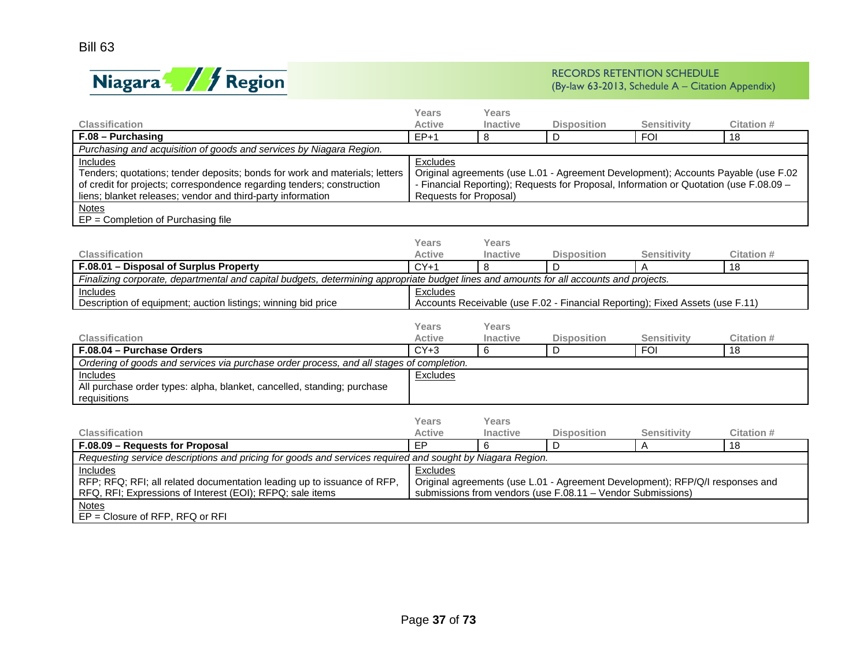

|                                                                                                                                         | <b>Years</b>           | Years           |                                                                                        |                    |                                                                                    |  |  |  |
|-----------------------------------------------------------------------------------------------------------------------------------------|------------------------|-----------------|----------------------------------------------------------------------------------------|--------------------|------------------------------------------------------------------------------------|--|--|--|
| <b>Classification</b>                                                                                                                   | <b>Active</b>          | <b>Inactive</b> | <b>Disposition</b>                                                                     | <b>Sensitivity</b> | Citation #                                                                         |  |  |  |
| $F.08 - Purchasing$                                                                                                                     | $EP+1$                 | 8               | D                                                                                      | <b>FOI</b>         | 18                                                                                 |  |  |  |
| Purchasing and acquisition of goods and services by Niagara Region.                                                                     |                        |                 |                                                                                        |                    |                                                                                    |  |  |  |
| <b>Includes</b>                                                                                                                         | Excludes               |                 |                                                                                        |                    |                                                                                    |  |  |  |
| Tenders; quotations; tender deposits; bonds for work and materials; letters                                                             |                        |                 |                                                                                        |                    | Original agreements (use L.01 - Agreement Development); Accounts Payable (use F.02 |  |  |  |
| of credit for projects; correspondence regarding tenders; construction                                                                  |                        |                 | - Financial Reporting); Requests for Proposal, Information or Quotation (use F.08.09 - |                    |                                                                                    |  |  |  |
| liens; blanket releases; vendor and third-party information                                                                             | Requests for Proposal) |                 |                                                                                        |                    |                                                                                    |  |  |  |
| <b>Notes</b><br>EP = Completion of Purchasing file                                                                                      |                        |                 |                                                                                        |                    |                                                                                    |  |  |  |
|                                                                                                                                         |                        |                 |                                                                                        |                    |                                                                                    |  |  |  |
|                                                                                                                                         | Years                  | <b>Years</b>    |                                                                                        |                    |                                                                                    |  |  |  |
| <b>Classification</b>                                                                                                                   | <b>Active</b>          | Inactive        | <b>Disposition</b>                                                                     | <b>Sensitivity</b> | Citation #                                                                         |  |  |  |
| F.08.01 - Disposal of Surplus Property                                                                                                  | $CY+1$                 | 8               | D                                                                                      | Α                  | 18                                                                                 |  |  |  |
| Finalizing corporate, departmental and capital budgets, determining appropriate budget lines and amounts for all accounts and projects. |                        |                 |                                                                                        |                    |                                                                                    |  |  |  |
| Includes                                                                                                                                | Excludes               |                 |                                                                                        |                    |                                                                                    |  |  |  |
| Description of equipment; auction listings; winning bid price                                                                           |                        |                 | Accounts Receivable (use F.02 - Financial Reporting); Fixed Assets (use F.11)          |                    |                                                                                    |  |  |  |
|                                                                                                                                         |                        |                 |                                                                                        |                    |                                                                                    |  |  |  |
|                                                                                                                                         | <b>Years</b>           | Years           |                                                                                        |                    |                                                                                    |  |  |  |
| <b>Classification</b>                                                                                                                   | <b>Active</b>          | Inactive        | <b>Disposition</b>                                                                     | <b>Sensitivity</b> | Citation #                                                                         |  |  |  |
| F.08.04 - Purchase Orders                                                                                                               | $CY+3$                 | 6               | D                                                                                      | <b>FOI</b>         | 18                                                                                 |  |  |  |
| Ordering of goods and services via purchase order process, and all stages of completion.                                                |                        |                 |                                                                                        |                    |                                                                                    |  |  |  |
| Includes                                                                                                                                | <b>Excludes</b>        |                 |                                                                                        |                    |                                                                                    |  |  |  |
| All purchase order types: alpha, blanket, cancelled, standing; purchase                                                                 |                        |                 |                                                                                        |                    |                                                                                    |  |  |  |
| requisitions                                                                                                                            |                        |                 |                                                                                        |                    |                                                                                    |  |  |  |
|                                                                                                                                         | Years                  | Years           |                                                                                        |                    |                                                                                    |  |  |  |
| <b>Classification</b>                                                                                                                   | <b>Active</b>          | <b>Inactive</b> | <b>Disposition</b>                                                                     | <b>Sensitivity</b> | Citation #                                                                         |  |  |  |
| F.08.09 - Requests for Proposal                                                                                                         | <b>EP</b>              | 6               | D.                                                                                     | A                  | 18                                                                                 |  |  |  |
| Requesting service descriptions and pricing for goods and services required and sought by Niagara Region.                               |                        |                 |                                                                                        |                    |                                                                                    |  |  |  |
| Includes                                                                                                                                | Excludes               |                 |                                                                                        |                    |                                                                                    |  |  |  |
| RFP; RFQ; RFI; all related documentation leading up to issuance of RFP,                                                                 |                        |                 | Original agreements (use L.01 - Agreement Development); RFP/Q/I responses and          |                    |                                                                                    |  |  |  |
| RFQ, RFI; Expressions of Interest (EOI); RFPQ; sale items                                                                               |                        |                 | submissions from vendors (use F.08.11 - Vendor Submissions)                            |                    |                                                                                    |  |  |  |
| <b>Notes</b>                                                                                                                            |                        |                 |                                                                                        |                    |                                                                                    |  |  |  |
| $EP = Closure$ of RFP, RFQ or RFI                                                                                                       |                        |                 |                                                                                        |                    |                                                                                    |  |  |  |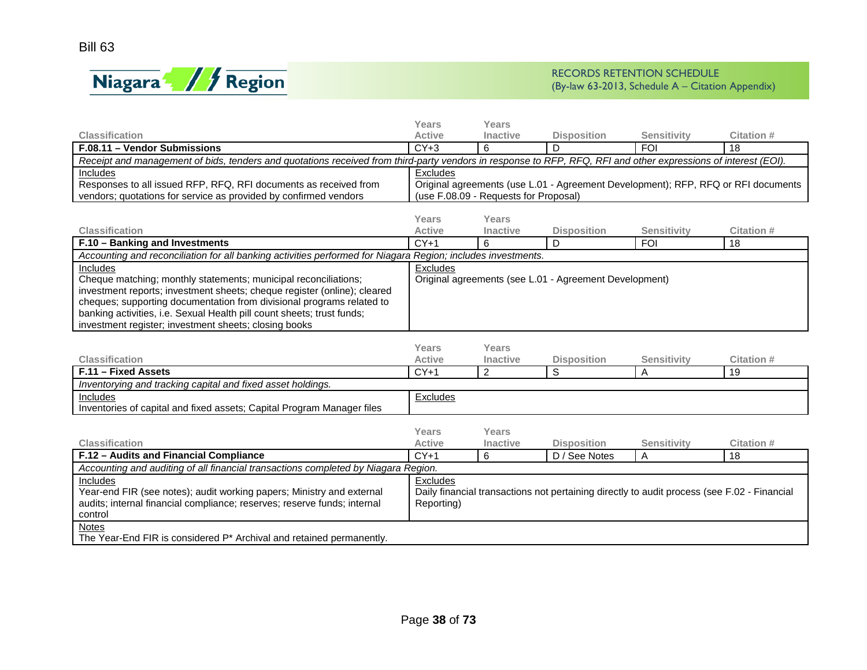

|                                                                                                                                                                | Years                                                                             | Years                                 |                                                                                             |                    |                   |  |  |
|----------------------------------------------------------------------------------------------------------------------------------------------------------------|-----------------------------------------------------------------------------------|---------------------------------------|---------------------------------------------------------------------------------------------|--------------------|-------------------|--|--|
| <b>Classification</b>                                                                                                                                          | Active                                                                            | Inactive                              | <b>Disposition</b>                                                                          | <b>Sensitivity</b> | Citation #        |  |  |
| F.08.11 - Vendor Submissions                                                                                                                                   | $CY+3$                                                                            | 6                                     | D                                                                                           | <b>FOI</b>         | 18                |  |  |
| Receipt and management of bids, tenders and quotations received from third-party vendors in response to RFP, RFQ, RFI and other expressions of interest (EOI). |                                                                                   |                                       |                                                                                             |                    |                   |  |  |
| <b>Includes</b>                                                                                                                                                | Excludes                                                                          |                                       |                                                                                             |                    |                   |  |  |
| Responses to all issued RFP, RFQ, RFI documents as received from                                                                                               | Original agreements (use L.01 - Agreement Development); RFP, RFQ or RFI documents |                                       |                                                                                             |                    |                   |  |  |
| vendors; quotations for service as provided by confirmed vendors                                                                                               |                                                                                   | (use F.08.09 - Requests for Proposal) |                                                                                             |                    |                   |  |  |
|                                                                                                                                                                |                                                                                   |                                       |                                                                                             |                    |                   |  |  |
|                                                                                                                                                                | Years                                                                             | Years                                 |                                                                                             |                    |                   |  |  |
| <b>Classification</b>                                                                                                                                          | <b>Active</b>                                                                     | Inactive                              | <b>Disposition</b>                                                                          | <b>Sensitivity</b> | <b>Citation #</b> |  |  |
| F.10 - Banking and Investments                                                                                                                                 | $CY+1$                                                                            | 6                                     | D                                                                                           | <b>FOI</b>         | 18                |  |  |
| Accounting and reconciliation for all banking activities performed for Niagara Region; includes investments.                                                   |                                                                                   |                                       |                                                                                             |                    |                   |  |  |
| Includes                                                                                                                                                       | Excludes                                                                          |                                       |                                                                                             |                    |                   |  |  |
| Cheque matching; monthly statements; municipal reconciliations;                                                                                                |                                                                                   |                                       | Original agreements (see L.01 - Agreement Development)                                      |                    |                   |  |  |
| investment reports; investment sheets; cheque register (online); cleared<br>cheques; supporting documentation from divisional programs related to              |                                                                                   |                                       |                                                                                             |                    |                   |  |  |
| banking activities, i.e. Sexual Health pill count sheets; trust funds;                                                                                         |                                                                                   |                                       |                                                                                             |                    |                   |  |  |
| investment register; investment sheets; closing books                                                                                                          |                                                                                   |                                       |                                                                                             |                    |                   |  |  |
|                                                                                                                                                                |                                                                                   |                                       |                                                                                             |                    |                   |  |  |
|                                                                                                                                                                | Years                                                                             | Years                                 |                                                                                             |                    |                   |  |  |
| <b>Classification</b>                                                                                                                                          | <b>Active</b>                                                                     | <b>Inactive</b>                       | <b>Disposition</b>                                                                          | <b>Sensitivity</b> | Citation #        |  |  |
| F.11 - Fixed Assets                                                                                                                                            | $CY+1$                                                                            | $\overline{2}$                        | S                                                                                           | A                  | 19                |  |  |
| Inventorying and tracking capital and fixed asset holdings.                                                                                                    |                                                                                   |                                       |                                                                                             |                    |                   |  |  |
| Includes                                                                                                                                                       | Excludes                                                                          |                                       |                                                                                             |                    |                   |  |  |
| Inventories of capital and fixed assets; Capital Program Manager files                                                                                         |                                                                                   |                                       |                                                                                             |                    |                   |  |  |
|                                                                                                                                                                |                                                                                   |                                       |                                                                                             |                    |                   |  |  |
|                                                                                                                                                                | Years                                                                             | Years                                 |                                                                                             |                    |                   |  |  |
| <b>Classification</b>                                                                                                                                          | <b>Active</b>                                                                     | <b>Inactive</b>                       | <b>Disposition</b>                                                                          | Sensitivity        | <b>Citation#</b>  |  |  |
| F.12 - Audits and Financial Compliance                                                                                                                         | $CY+1$                                                                            | 6                                     | $\overline{D}$ / See Notes                                                                  | A                  | 18                |  |  |
| Accounting and auditing of all financial transactions completed by Niagara Region.                                                                             |                                                                                   |                                       |                                                                                             |                    |                   |  |  |
| Includes                                                                                                                                                       | Excludes                                                                          |                                       |                                                                                             |                    |                   |  |  |
| Year-end FIR (see notes); audit working papers; Ministry and external                                                                                          |                                                                                   |                                       | Daily financial transactions not pertaining directly to audit process (see F.02 - Financial |                    |                   |  |  |
| audits; internal financial compliance; reserves; reserve funds; internal                                                                                       | Reporting)                                                                        |                                       |                                                                                             |                    |                   |  |  |
| control                                                                                                                                                        |                                                                                   |                                       |                                                                                             |                    |                   |  |  |
| <b>Notes</b>                                                                                                                                                   |                                                                                   |                                       |                                                                                             |                    |                   |  |  |
| The Year-End FIR is considered P* Archival and retained permanently.                                                                                           |                                                                                   |                                       |                                                                                             |                    |                   |  |  |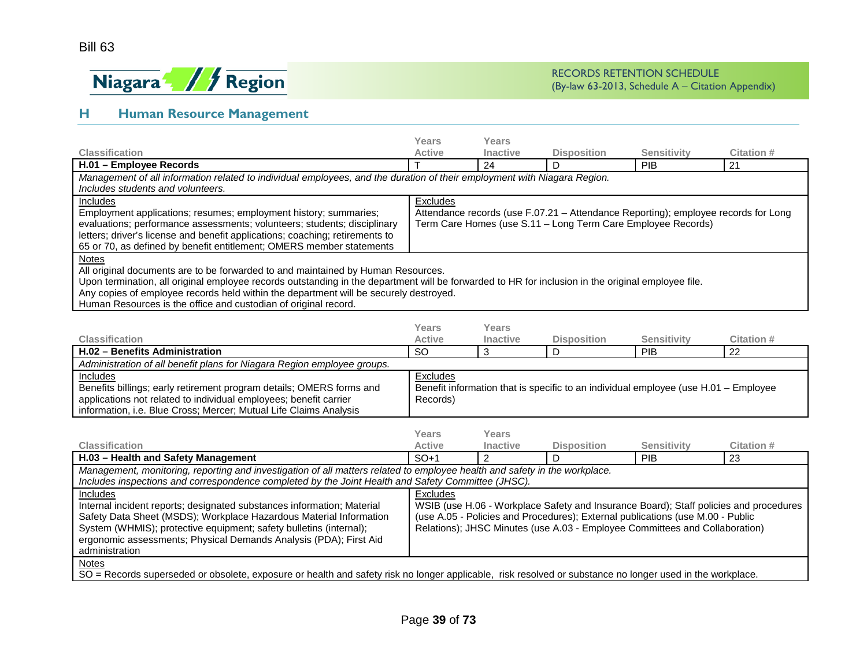

# **H Human Resource Management**

|                                                                                                                                                               | Years                                                                              | Years    |                                                                                     |                    |                                                                                       |  |  |
|---------------------------------------------------------------------------------------------------------------------------------------------------------------|------------------------------------------------------------------------------------|----------|-------------------------------------------------------------------------------------|--------------------|---------------------------------------------------------------------------------------|--|--|
| <b>Classification</b>                                                                                                                                         | <b>Active</b>                                                                      | Inactive | <b>Disposition</b>                                                                  | <b>Sensitivity</b> | Citation #                                                                            |  |  |
| H.01 - Employee Records                                                                                                                                       |                                                                                    | 24       | D                                                                                   | PIB                | 21                                                                                    |  |  |
| Management of all information related to individual employees, and the duration of their employment with Niagara Region.<br>Includes students and volunteers. |                                                                                    |          |                                                                                     |                    |                                                                                       |  |  |
| Includes                                                                                                                                                      | Excludes                                                                           |          |                                                                                     |                    |                                                                                       |  |  |
| Employment applications; resumes; employment history; summaries;                                                                                              | Attendance records (use F.07.21 - Attendance Reporting); employee records for Long |          |                                                                                     |                    |                                                                                       |  |  |
| evaluations; performance assessments; volunteers; students; disciplinary                                                                                      | Term Care Homes (use S.11 - Long Term Care Employee Records)                       |          |                                                                                     |                    |                                                                                       |  |  |
| letters; driver's license and benefit applications; coaching; retirements to                                                                                  |                                                                                    |          |                                                                                     |                    |                                                                                       |  |  |
| 65 or 70, as defined by benefit entitlement; OMERS member statements                                                                                          |                                                                                    |          |                                                                                     |                    |                                                                                       |  |  |
| <b>Notes</b>                                                                                                                                                  |                                                                                    |          |                                                                                     |                    |                                                                                       |  |  |
| All original documents are to be forwarded to and maintained by Human Resources.                                                                              |                                                                                    |          |                                                                                     |                    |                                                                                       |  |  |
| Upon termination, all original employee records outstanding in the department will be forwarded to HR for inclusion in the original employee file.            |                                                                                    |          |                                                                                     |                    |                                                                                       |  |  |
| Any copies of employee records held within the department will be securely destroyed.                                                                         |                                                                                    |          |                                                                                     |                    |                                                                                       |  |  |
| Human Resources is the office and custodian of original record.                                                                                               |                                                                                    |          |                                                                                     |                    |                                                                                       |  |  |
|                                                                                                                                                               | Years                                                                              | Years    |                                                                                     |                    |                                                                                       |  |  |
| <b>Classification</b>                                                                                                                                         | <b>Active</b>                                                                      | Inactive | <b>Disposition</b>                                                                  | <b>Sensitivity</b> | Citation #                                                                            |  |  |
| H.02 - Benefits Administration                                                                                                                                | <b>SO</b>                                                                          | 3        | D                                                                                   | PIB                | 22                                                                                    |  |  |
| Administration of all benefit plans for Niagara Region employee groups.                                                                                       |                                                                                    |          |                                                                                     |                    |                                                                                       |  |  |
| Includes                                                                                                                                                      | Excludes                                                                           |          |                                                                                     |                    |                                                                                       |  |  |
| Benefits billings; early retirement program details; OMERS forms and                                                                                          |                                                                                    |          | Benefit information that is specific to an individual employee (use H.01 - Employee |                    |                                                                                       |  |  |
| applications not related to individual employees; benefit carrier                                                                                             | Records)                                                                           |          |                                                                                     |                    |                                                                                       |  |  |
| information, i.e. Blue Cross; Mercer; Mutual Life Claims Analysis                                                                                             |                                                                                    |          |                                                                                     |                    |                                                                                       |  |  |
|                                                                                                                                                               |                                                                                    |          |                                                                                     |                    |                                                                                       |  |  |
|                                                                                                                                                               | <b>Years</b>                                                                       | Years    |                                                                                     |                    |                                                                                       |  |  |
| Classification                                                                                                                                                | <b>Active</b>                                                                      | Inactive | <b>Disposition</b>                                                                  | <b>Sensitivity</b> | Citation #                                                                            |  |  |
| H.03 - Health and Safety Management                                                                                                                           | $SO+1$                                                                             | 2        | D                                                                                   | PIB                | 23                                                                                    |  |  |
| Management, monitoring, reporting and investigation of all matters related to employee health and safety in the workplace.                                    |                                                                                    |          |                                                                                     |                    |                                                                                       |  |  |
| Includes inspections and correspondence completed by the Joint Health and Safety Committee (JHSC).                                                            |                                                                                    |          |                                                                                     |                    |                                                                                       |  |  |
| Includes                                                                                                                                                      | Excludes                                                                           |          |                                                                                     |                    |                                                                                       |  |  |
| Internal incident reports; designated substances information; Material                                                                                        |                                                                                    |          |                                                                                     |                    | WSIB (use H.06 - Workplace Safety and Insurance Board); Staff policies and procedures |  |  |
| Safety Data Sheet (MSDS); Workplace Hazardous Material Information                                                                                            |                                                                                    |          | (use A.05 - Policies and Procedures); External publications (use M.00 - Public      |                    |                                                                                       |  |  |
| System (WHMIS); protective equipment; safety bulletins (internal);                                                                                            |                                                                                    |          | Relations); JHSC Minutes (use A.03 - Employee Committees and Collaboration)         |                    |                                                                                       |  |  |
| ergonomic assessments; Physical Demands Analysis (PDA); First Aid                                                                                             |                                                                                    |          |                                                                                     |                    |                                                                                       |  |  |
| administration                                                                                                                                                |                                                                                    |          |                                                                                     |                    |                                                                                       |  |  |
| <b>Notes</b>                                                                                                                                                  |                                                                                    |          |                                                                                     |                    |                                                                                       |  |  |
| SO = Records superseded or obsolete, exposure or health and safety risk no longer applicable, risk resolved or substance no longer used in the workplace.     |                                                                                    |          |                                                                                     |                    |                                                                                       |  |  |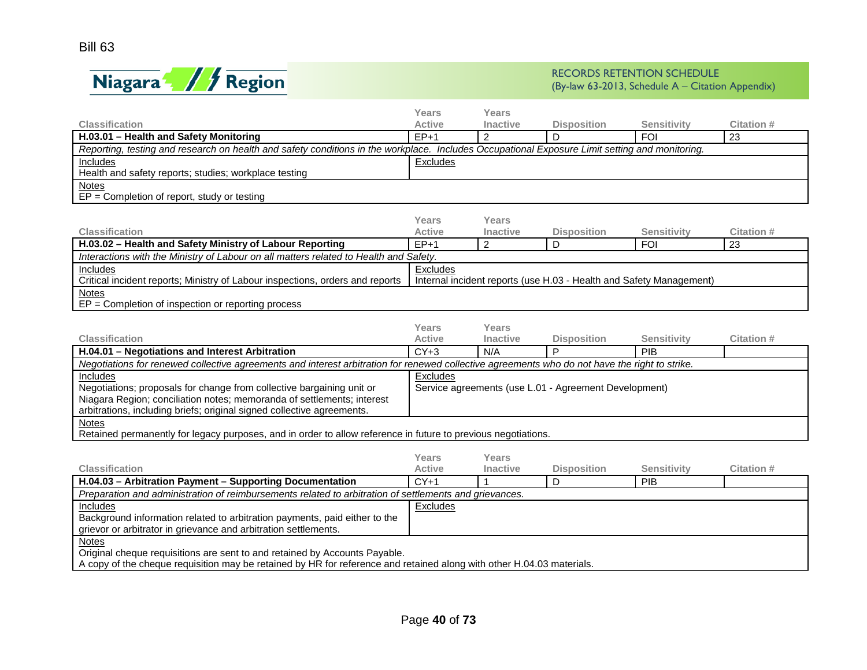

|                                                                                                                                                | <b>Years</b>  | <b>Years</b>    |                                                                     |                    |                   |
|------------------------------------------------------------------------------------------------------------------------------------------------|---------------|-----------------|---------------------------------------------------------------------|--------------------|-------------------|
| <b>Classification</b>                                                                                                                          | <b>Active</b> | Inactive        | <b>Disposition</b>                                                  | <b>Sensitivity</b> | <b>Citation#</b>  |
| H.03.01 - Health and Safety Monitoring                                                                                                         | $EP+1$        | $\mathcal{P}$   | D                                                                   | <b>FOI</b>         | 23                |
| Reporting, testing and research on health and safety conditions in the workplace. Includes Occupational Exposure Limit setting and monitoring. |               |                 |                                                                     |                    |                   |
| <b>Includes</b>                                                                                                                                | Excludes      |                 |                                                                     |                    |                   |
| Health and safety reports; studies; workplace testing                                                                                          |               |                 |                                                                     |                    |                   |
| <b>Notes</b><br>$EP = Completion$ of report, study or testing                                                                                  |               |                 |                                                                     |                    |                   |
|                                                                                                                                                | Years         | Years           |                                                                     |                    |                   |
| Classification                                                                                                                                 | <b>Active</b> | Inactive        | <b>Disposition</b>                                                  | <b>Sensitivity</b> | <b>Citation #</b> |
| H.03.02 - Health and Safety Ministry of Labour Reporting                                                                                       | $EP+1$        | $\overline{2}$  | D                                                                   | <b>FOI</b>         | 23                |
| Interactions with the Ministry of Labour on all matters related to Health and Safety.                                                          |               |                 |                                                                     |                    |                   |
| Includes                                                                                                                                       | Excludes      |                 |                                                                     |                    |                   |
| Critical incident reports; Ministry of Labour inspections, orders and reports                                                                  |               |                 | Internal incident reports (use H.03 - Health and Safety Management) |                    |                   |
| <b>Notes</b>                                                                                                                                   |               |                 |                                                                     |                    |                   |
| $EP = Completion$ of inspection or reporting process                                                                                           |               |                 |                                                                     |                    |                   |
|                                                                                                                                                |               |                 |                                                                     |                    |                   |
|                                                                                                                                                | Years         | Years           |                                                                     |                    |                   |
| <b>Classification</b>                                                                                                                          | <b>Active</b> | <b>Inactive</b> | <b>Disposition</b>                                                  | <b>Sensitivity</b> | Citation #        |
| H.04.01 - Negotiations and Interest Arbitration                                                                                                | $CY+3$        | N/A             | P                                                                   | PIB                |                   |
| Negotiations for renewed collective agreements and interest arbitration for renewed collective agreements who do not have the right to strike. |               |                 |                                                                     |                    |                   |
| Includes                                                                                                                                       | Excludes      |                 |                                                                     |                    |                   |
| Negotiations; proposals for change from collective bargaining unit or                                                                          |               |                 | Service agreements (use L.01 - Agreement Development)               |                    |                   |
| Niagara Region; conciliation notes; memoranda of settlements; interest                                                                         |               |                 |                                                                     |                    |                   |
| arbitrations, including briefs; original signed collective agreements.                                                                         |               |                 |                                                                     |                    |                   |
| <b>Notes</b>                                                                                                                                   |               |                 |                                                                     |                    |                   |
| Retained permanently for legacy purposes, and in order to allow reference in future to previous negotiations.                                  |               |                 |                                                                     |                    |                   |
|                                                                                                                                                |               |                 |                                                                     |                    |                   |
|                                                                                                                                                | Years         | Years           |                                                                     |                    |                   |
| <b>Classification</b>                                                                                                                          | Active        | <b>Inactive</b> | <b>Disposition</b>                                                  | <b>Sensitivity</b> | <b>Citation#</b>  |
| H.04.03 - Arbitration Payment - Supporting Documentation                                                                                       | $CY+1$        | 1               | D                                                                   | PIB                |                   |
| Preparation and administration of reimbursements related to arbitration of settlements and grievances.                                         |               |                 |                                                                     |                    |                   |
| <b>Includes</b>                                                                                                                                | Excludes      |                 |                                                                     |                    |                   |
| Background information related to arbitration payments, paid either to the                                                                     |               |                 |                                                                     |                    |                   |
| grievor or arbitrator in grievance and arbitration settlements.                                                                                |               |                 |                                                                     |                    |                   |
| <b>Notes</b><br>Original cheque requisitions are sent to and retained by Accounts Payable.                                                     |               |                 |                                                                     |                    |                   |
| A copy of the cheque requisition may be retained by HR for reference and retained along with other H.04.03 materials.                          |               |                 |                                                                     |                    |                   |
|                                                                                                                                                |               |                 |                                                                     |                    |                   |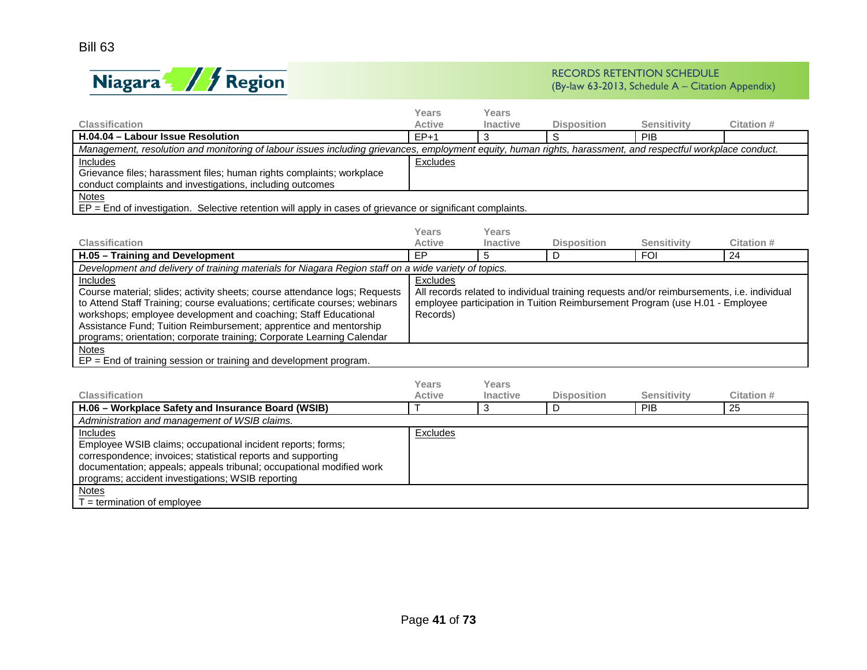

|                                                                                                                                                             | Years         | Years           |                                                                                                   |                    |                   |
|-------------------------------------------------------------------------------------------------------------------------------------------------------------|---------------|-----------------|---------------------------------------------------------------------------------------------------|--------------------|-------------------|
| <b>Classification</b>                                                                                                                                       | <b>Active</b> | <b>Inactive</b> | <b>Disposition</b>                                                                                | <b>Sensitivity</b> | <b>Citation #</b> |
| H.04.04 - Labour Issue Resolution                                                                                                                           | $EP+1$        | 3               | S                                                                                                 | <b>PIB</b>         |                   |
| Management, resolution and monitoring of labour issues including grievances, employment equity, human rights, harassment, and respectful workplace conduct. |               |                 |                                                                                                   |                    |                   |
| <b>Includes</b>                                                                                                                                             | Excludes      |                 |                                                                                                   |                    |                   |
| Grievance files; harassment files; human rights complaints; workplace                                                                                       |               |                 |                                                                                                   |                    |                   |
| conduct complaints and investigations, including outcomes                                                                                                   |               |                 |                                                                                                   |                    |                   |
| Notes                                                                                                                                                       |               |                 |                                                                                                   |                    |                   |
| $EP = End$ of investigation. Selective retention will apply in cases of grievance or significant complaints.                                                |               |                 |                                                                                                   |                    |                   |
|                                                                                                                                                             |               |                 |                                                                                                   |                    |                   |
|                                                                                                                                                             | Years         | Years           |                                                                                                   |                    |                   |
| <b>Classification</b>                                                                                                                                       | <b>Active</b> | <b>Inactive</b> | <b>Disposition</b>                                                                                | <b>Sensitivity</b> | Citation #        |
| H.05 - Training and Development                                                                                                                             | EP            | 5               | D                                                                                                 | <b>FOI</b>         | 24                |
| Development and delivery of training materials for Niagara Region staff on a wide variety of topics.                                                        |               |                 |                                                                                                   |                    |                   |
| <b>Includes</b>                                                                                                                                             | Excludes      |                 |                                                                                                   |                    |                   |
| Course material; slides; activity sheets; course attendance logs; Requests                                                                                  |               |                 | All records related to individual training requests and/or reimbursements, <i>i.e.</i> individual |                    |                   |
| to Attend Staff Training; course evaluations; certificate courses; webinars                                                                                 |               |                 | employee participation in Tuition Reimbursement Program (use H.01 - Employee                      |                    |                   |
| workshops; employee development and coaching; Staff Educational                                                                                             | Records)      |                 |                                                                                                   |                    |                   |

Notes

 $\overline{EP}$  = End of training session or training and development program.

Assistance Fund; Tuition Reimbursement; apprentice and mentorship programs; orientation; corporate training; Corporate Learning Calendar

| <b>Classification</b>                                                                                                                                                                                                                                                | Years<br><b>Active</b> | Years<br><b>Inactive</b> | <b>Disposition</b> | <b>Sensitivity</b> | Citation # |
|----------------------------------------------------------------------------------------------------------------------------------------------------------------------------------------------------------------------------------------------------------------------|------------------------|--------------------------|--------------------|--------------------|------------|
| H.06 - Workplace Safety and Insurance Board (WSIB)                                                                                                                                                                                                                   |                        |                          |                    | <b>PIB</b>         | 25         |
| Administration and management of WSIB claims.                                                                                                                                                                                                                        |                        |                          |                    |                    |            |
| Includes<br>Employee WSIB claims; occupational incident reports; forms;<br>correspondence; invoices; statistical reports and supporting<br>documentation; appeals; appeals tribunal; occupational modified work<br>programs; accident investigations; WSIB reporting | Excludes               |                          |                    |                    |            |
| <b>Notes</b><br>$T =$ termination of employee                                                                                                                                                                                                                        |                        |                          |                    |                    |            |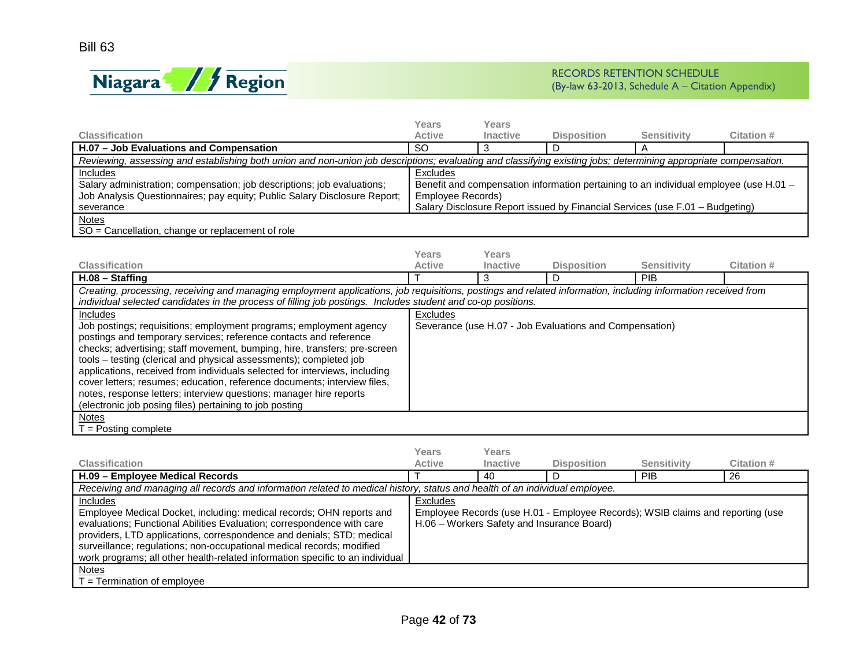

|                                                                                                                                                                  | Years                                                                                 | Years                                      |                                                         |                                                                                |                   |  |  |  |
|------------------------------------------------------------------------------------------------------------------------------------------------------------------|---------------------------------------------------------------------------------------|--------------------------------------------|---------------------------------------------------------|--------------------------------------------------------------------------------|-------------------|--|--|--|
| <b>Classification</b>                                                                                                                                            | <b>Active</b>                                                                         | <b>Inactive</b>                            | <b>Disposition</b>                                      | <b>Sensitivity</b>                                                             | <b>Citation #</b> |  |  |  |
| H.07 - Job Evaluations and Compensation                                                                                                                          | $\overline{SO}$                                                                       | 3                                          | D                                                       |                                                                                |                   |  |  |  |
| Reviewing, assessing and establishing both union and non-union job descriptions; evaluating and classifying existing jobs; determining appropriate compensation. |                                                                                       |                                            |                                                         |                                                                                |                   |  |  |  |
| Includes                                                                                                                                                         | Excludes                                                                              |                                            |                                                         |                                                                                |                   |  |  |  |
| Salary administration; compensation; job descriptions; job evaluations;                                                                                          | Benefit and compensation information pertaining to an individual employee (use H.01 - |                                            |                                                         |                                                                                |                   |  |  |  |
| Job Analysis Questionnaires; pay equity; Public Salary Disclosure Report;                                                                                        | Employee Records)                                                                     |                                            |                                                         |                                                                                |                   |  |  |  |
| severance                                                                                                                                                        |                                                                                       |                                            |                                                         | Salary Disclosure Report issued by Financial Services (use F.01 - Budgeting)   |                   |  |  |  |
| <b>Notes</b>                                                                                                                                                     |                                                                                       |                                            |                                                         |                                                                                |                   |  |  |  |
| SO = Cancellation, change or replacement of role                                                                                                                 |                                                                                       |                                            |                                                         |                                                                                |                   |  |  |  |
|                                                                                                                                                                  |                                                                                       |                                            |                                                         |                                                                                |                   |  |  |  |
|                                                                                                                                                                  | Years                                                                                 | <b>Years</b>                               |                                                         |                                                                                |                   |  |  |  |
| <b>Classification</b>                                                                                                                                            | <b>Active</b>                                                                         | Inactive                                   | <b>Disposition</b>                                      | <b>Sensitivity</b>                                                             | <b>Citation #</b> |  |  |  |
| H.08 - Staffing                                                                                                                                                  |                                                                                       | 3                                          | D                                                       | PIB                                                                            |                   |  |  |  |
| Creating, processing, receiving and managing employment applications, job requisitions, postings and related information, including information received from    |                                                                                       |                                            |                                                         |                                                                                |                   |  |  |  |
| individual selected candidates in the process of filling job postings. Includes student and co-op positions.                                                     |                                                                                       |                                            |                                                         |                                                                                |                   |  |  |  |
| Includes                                                                                                                                                         | Excludes                                                                              |                                            |                                                         |                                                                                |                   |  |  |  |
| Job postings; requisitions; employment programs; employment agency                                                                                               |                                                                                       |                                            | Severance (use H.07 - Job Evaluations and Compensation) |                                                                                |                   |  |  |  |
| postings and temporary services; reference contacts and reference                                                                                                |                                                                                       |                                            |                                                         |                                                                                |                   |  |  |  |
| checks; advertising; staff movement, bumping, hire, transfers; pre-screen                                                                                        |                                                                                       |                                            |                                                         |                                                                                |                   |  |  |  |
| tools - testing (clerical and physical assessments); completed job                                                                                               |                                                                                       |                                            |                                                         |                                                                                |                   |  |  |  |
| applications, received from individuals selected for interviews, including                                                                                       |                                                                                       |                                            |                                                         |                                                                                |                   |  |  |  |
| cover letters; resumes; education, reference documents; interview files,                                                                                         |                                                                                       |                                            |                                                         |                                                                                |                   |  |  |  |
| notes, response letters; interview questions; manager hire reports                                                                                               |                                                                                       |                                            |                                                         |                                                                                |                   |  |  |  |
| (electronic job posing files) pertaining to job posting                                                                                                          |                                                                                       |                                            |                                                         |                                                                                |                   |  |  |  |
| <b>Notes</b>                                                                                                                                                     |                                                                                       |                                            |                                                         |                                                                                |                   |  |  |  |
| $T =$ Posting complete                                                                                                                                           |                                                                                       |                                            |                                                         |                                                                                |                   |  |  |  |
|                                                                                                                                                                  |                                                                                       |                                            |                                                         |                                                                                |                   |  |  |  |
|                                                                                                                                                                  | Years                                                                                 | Years                                      |                                                         |                                                                                |                   |  |  |  |
| <b>Classification</b>                                                                                                                                            | <b>Active</b>                                                                         | Inactive                                   | <b>Disposition</b>                                      | <b>Sensitivity</b>                                                             | <b>Citation#</b>  |  |  |  |
| H.09 - Employee Medical Records                                                                                                                                  |                                                                                       | 40                                         | D                                                       | PIB                                                                            | $\overline{26}$   |  |  |  |
| Receiving and managing all records and information related to medical history, status and health of an individual employee.                                      |                                                                                       |                                            |                                                         |                                                                                |                   |  |  |  |
| Includes                                                                                                                                                         | Excludes                                                                              |                                            |                                                         |                                                                                |                   |  |  |  |
| Employee Medical Docket, including: medical records; OHN reports and                                                                                             |                                                                                       |                                            |                                                         | Employee Records (use H.01 - Employee Records); WSIB claims and reporting (use |                   |  |  |  |
| evaluations; Functional Abilities Evaluation; correspondence with care                                                                                           |                                                                                       | H.06 - Workers Safety and Insurance Board) |                                                         |                                                                                |                   |  |  |  |
| providers, LTD applications, correspondence and denials; STD; medical                                                                                            |                                                                                       |                                            |                                                         |                                                                                |                   |  |  |  |
| surveillance; regulations; non-occupational medical records; modified                                                                                            |                                                                                       |                                            |                                                         |                                                                                |                   |  |  |  |
| work programs; all other health-related information specific to an individual                                                                                    |                                                                                       |                                            |                                                         |                                                                                |                   |  |  |  |
| <b>Notes</b>                                                                                                                                                     |                                                                                       |                                            |                                                         |                                                                                |                   |  |  |  |
| $T = T$ ermination of employee                                                                                                                                   |                                                                                       |                                            |                                                         |                                                                                |                   |  |  |  |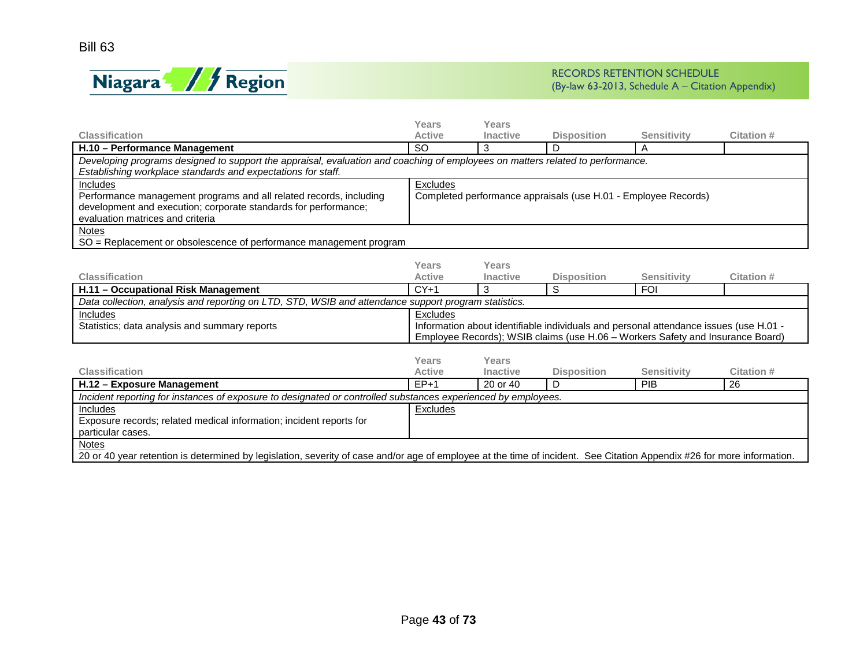

|                                                                                                                                                                                                | Years                                                                             | Years           |                    |                    |            |  |  |  |
|------------------------------------------------------------------------------------------------------------------------------------------------------------------------------------------------|-----------------------------------------------------------------------------------|-----------------|--------------------|--------------------|------------|--|--|--|
| <b>Classification</b>                                                                                                                                                                          | <b>Active</b>                                                                     | <b>Inactive</b> | <b>Disposition</b> | <b>Sensitivity</b> | Citation # |  |  |  |
| H.10 - Performance Management                                                                                                                                                                  | SO                                                                                |                 |                    |                    |            |  |  |  |
| Developing programs designed to support the appraisal, evaluation and coaching of employees on matters related to performance.<br>Establishing workplace standards and expectations for staff. |                                                                                   |                 |                    |                    |            |  |  |  |
| <b>Includes</b><br>Performance management programs and all related records, including<br>development and execution; corporate standards for performance;<br>evaluation matrices and criteria   | <b>Excludes</b><br>Completed performance appraisals (use H.01 - Employee Records) |                 |                    |                    |            |  |  |  |
| <b>Notes</b><br>SO = Replacement or obsolescence of performance management program                                                                                                             |                                                                                   |                 |                    |                    |            |  |  |  |

|                                                                                                      | Years                                                                          | Years           |                                                                                       |             |            |  |  |  |
|------------------------------------------------------------------------------------------------------|--------------------------------------------------------------------------------|-----------------|---------------------------------------------------------------------------------------|-------------|------------|--|--|--|
| <b>Classification</b>                                                                                | <b>Active</b>                                                                  | <b>Inactive</b> | <b>Disposition</b>                                                                    | Sensitivity | Citation # |  |  |  |
| H.11 - Occupational Risk Management                                                                  | $CY+1$                                                                         |                 |                                                                                       | <b>FOI</b>  |            |  |  |  |
| Data collection, analysis and reporting on LTD, STD, WSIB and attendance support program statistics. |                                                                                |                 |                                                                                       |             |            |  |  |  |
| Includes                                                                                             | <b>Excludes</b>                                                                |                 |                                                                                       |             |            |  |  |  |
| Statistics; data analysis and summary reports                                                        |                                                                                |                 | Information about identifiable individuals and personal attendance issues (use H.01 - |             |            |  |  |  |
|                                                                                                      | Employee Records); WSIB claims (use H.06 - Workers Safety and Insurance Board) |                 |                                                                                       |             |            |  |  |  |
|                                                                                                      |                                                                                |                 |                                                                                       |             |            |  |  |  |
|                                                                                                      | Years<br>___                                                                   | Years           |                                                                                       |             |            |  |  |  |

| <b>Classification</b>                                                                                                                                                  | <b>Active</b> | <b>Inactive</b> | <b>Disposition</b> | Sensitivity | Citation # |  |
|------------------------------------------------------------------------------------------------------------------------------------------------------------------------|---------------|-----------------|--------------------|-------------|------------|--|
| H.12 - Exposure Management                                                                                                                                             | $EP+1$        | 20 or 40        |                    | PIB         | -26        |  |
| Incident reporting for instances of exposure to designated or controlled substances experienced by employees.                                                          |               |                 |                    |             |            |  |
| Includes                                                                                                                                                               | Excludes      |                 |                    |             |            |  |
| Exposure records; related medical information; incident reports for                                                                                                    |               |                 |                    |             |            |  |
| particular cases.                                                                                                                                                      |               |                 |                    |             |            |  |
| <b>Notes</b>                                                                                                                                                           |               |                 |                    |             |            |  |
| 20 or 40 year retention is determined by legislation, severity of case and/or age of employee at the time of incident. See Citation Appendix #26 for more information. |               |                 |                    |             |            |  |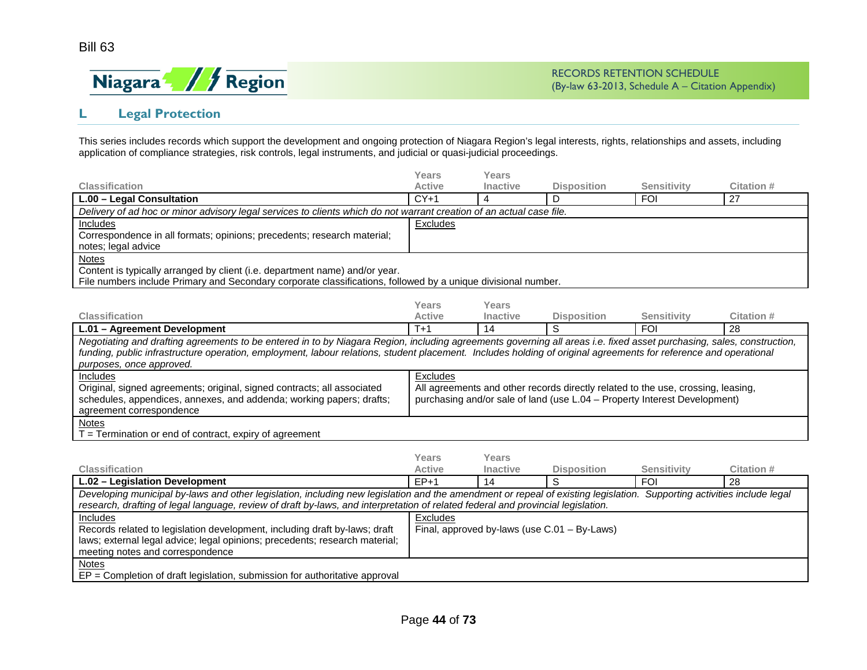

# **L Legal Protection**

This series includes records which support the development and ongoing protection of Niagara Region's legal interests, rights, relationships and assets, including application of compliance strategies, risk controls, legal instruments, and judicial or quasi-judicial proceedings.

|                                                                                                                      | Years         | Years           |                    |             |            |  |  |  |
|----------------------------------------------------------------------------------------------------------------------|---------------|-----------------|--------------------|-------------|------------|--|--|--|
| <b>Classification</b>                                                                                                | <b>Active</b> | <b>Inactive</b> | <b>Disposition</b> | Sensitivity | Citation # |  |  |  |
| L.00 - Legal Consultation                                                                                            | $CY+1$        |                 |                    | <b>FOI</b>  | 27         |  |  |  |
| Delivery of ad hoc or minor advisory legal services to clients which do not warrant creation of an actual case file. |               |                 |                    |             |            |  |  |  |
| Includes                                                                                                             | Excludes      |                 |                    |             |            |  |  |  |
| Correspondence in all formats; opinions; precedents; research material;                                              |               |                 |                    |             |            |  |  |  |
| notes; legal advice                                                                                                  |               |                 |                    |             |            |  |  |  |
| <b>Notes</b>                                                                                                         |               |                 |                    |             |            |  |  |  |
| Content is typically arranged by client (i.e. department name) and/or year.                                          |               |                 |                    |             |            |  |  |  |
| File numbers include Primary and Secondary corporate classifications, followed by a unique divisional number.        |               |                 |                    |             |            |  |  |  |

|                                                                                                                                                                       | Years    | Years           |                                                                                  |                    |            |  |  |  |
|-----------------------------------------------------------------------------------------------------------------------------------------------------------------------|----------|-----------------|----------------------------------------------------------------------------------|--------------------|------------|--|--|--|
| <b>Classification</b>                                                                                                                                                 | Active   | <b>Inactive</b> | <b>Disposition</b>                                                               | <b>Sensitivity</b> | Citation # |  |  |  |
| L.01 - Agreement Development                                                                                                                                          | $T+1$    | 14              |                                                                                  | <b>FOI</b>         | -28        |  |  |  |
| Negotiating and drafting agreements to be entered in to by Niagara Region, including agreements governing all areas i.e. fixed asset purchasing, sales, construction, |          |                 |                                                                                  |                    |            |  |  |  |
| funding, public infrastructure operation, employment, labour relations, student placement. Includes holding of original agreements for reference and operational      |          |                 |                                                                                  |                    |            |  |  |  |
| purposes, once approved.                                                                                                                                              |          |                 |                                                                                  |                    |            |  |  |  |
| <b>Includes</b>                                                                                                                                                       | Excludes |                 |                                                                                  |                    |            |  |  |  |
| Original, signed agreements; original, signed contracts; all associated                                                                                               |          |                 | All agreements and other records directly related to the use, crossing, leasing, |                    |            |  |  |  |
| schedules, appendices, annexes, and addenda; working papers; drafts;                                                                                                  |          |                 | purchasing and/or sale of land (use L.04 – Property Interest Development)        |                    |            |  |  |  |
| agreement correspondence                                                                                                                                              |          |                 |                                                                                  |                    |            |  |  |  |
| <b>Notes</b>                                                                                                                                                          |          |                 |                                                                                  |                    |            |  |  |  |
| F = Termination or end of contract, expiry of agreement                                                                                                               |          |                 |                                                                                  |                    |            |  |  |  |

|                                                                                                                                                                                                                                                                                                            | Years         | Years           |                                                 |             |            |  |  |
|------------------------------------------------------------------------------------------------------------------------------------------------------------------------------------------------------------------------------------------------------------------------------------------------------------|---------------|-----------------|-------------------------------------------------|-------------|------------|--|--|
| <b>Classification</b>                                                                                                                                                                                                                                                                                      | <b>Active</b> | <b>Inactive</b> | <b>Disposition</b>                              | Sensitivity | Citation # |  |  |
| L.02 - Legislation Development                                                                                                                                                                                                                                                                             | $EP+1$        | 14              |                                                 | FOI         | 28         |  |  |
| Developing municipal by-laws and other legislation, including new legislation and the amendment or repeal of existing legislation. Supporting activities include legal<br>research, drafting of legal language, review of draft by-laws, and interpretation of related federal and provincial legislation. |               |                 |                                                 |             |            |  |  |
| Includes<br>Records related to legislation development, including draft by-laws; draft<br>laws; external legal advice; legal opinions; precedents; research material;<br>meeting notes and correspondence                                                                                                  | Excludes      |                 | Final, approved by-laws (use $C.01 - By-Laws$ ) |             |            |  |  |
| <b>Notes</b><br>$EP = Completion$ of draft legislation, submission for authoritative approval                                                                                                                                                                                                              |               |                 |                                                 |             |            |  |  |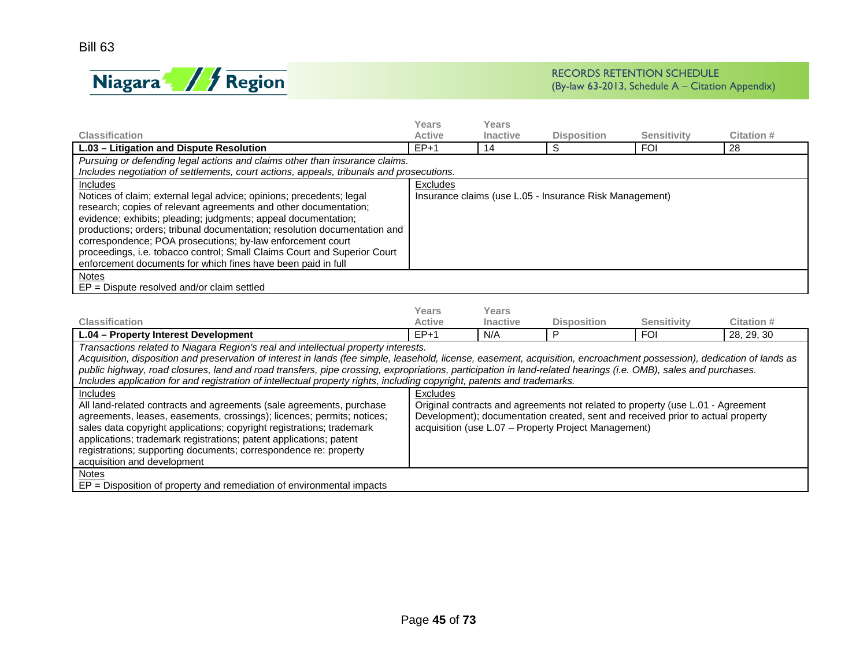

|                                                                                          | Years         | Years           |                                                         |                    |                   |  |  |  |
|------------------------------------------------------------------------------------------|---------------|-----------------|---------------------------------------------------------|--------------------|-------------------|--|--|--|
| <b>Classification</b>                                                                    | <b>Active</b> | <b>Inactive</b> | <b>Disposition</b>                                      | <b>Sensitivity</b> | <b>Citation #</b> |  |  |  |
| L.03 - Litigation and Dispute Resolution                                                 | $EP+1$        | 14              | S                                                       | <b>FOI</b>         | 28                |  |  |  |
| Pursuing or defending legal actions and claims other than insurance claims.              |               |                 |                                                         |                    |                   |  |  |  |
| Includes negotiation of settlements, court actions, appeals, tribunals and prosecutions. |               |                 |                                                         |                    |                   |  |  |  |
| Includes                                                                                 | Excludes      |                 |                                                         |                    |                   |  |  |  |
| Notices of claim; external legal advice; opinions; precedents; legal                     |               |                 | Insurance claims (use L.05 - Insurance Risk Management) |                    |                   |  |  |  |
| research; copies of relevant agreements and other documentation;                         |               |                 |                                                         |                    |                   |  |  |  |
| evidence; exhibits; pleading; judgments; appeal documentation;                           |               |                 |                                                         |                    |                   |  |  |  |
| productions; orders; tribunal documentation; resolution documentation and                |               |                 |                                                         |                    |                   |  |  |  |
| correspondence; POA prosecutions; by-law enforcement court                               |               |                 |                                                         |                    |                   |  |  |  |
| proceedings, i.e. tobacco control; Small Claims Court and Superior Court                 |               |                 |                                                         |                    |                   |  |  |  |
| enforcement documents for which fines have been paid in full                             |               |                 |                                                         |                    |                   |  |  |  |
| <b>Notes</b>                                                                             |               |                 |                                                         |                    |                   |  |  |  |
| $EP = Dispute resolved and/or claim settled$                                             |               |                 |                                                         |                    |                   |  |  |  |
|                                                                                          |               |                 |                                                         |                    |                   |  |  |  |
|                                                                                          | Years         | Years           |                                                         |                    |                   |  |  |  |
| <b>Classification</b>                                                                    | <b>Active</b> | Inactive        | <b>Disposition</b>                                      | <b>Sensitivity</b> | <b>Citation #</b> |  |  |  |
| L.04 – Property Interest Development                                                     | $EP+1$        | N/A             | P                                                       | <b>FOI</b>         | 28, 29, 30        |  |  |  |
| Transactions related to Niagara Region's real and intellectual property interests.       |               |                 |                                                         |                    |                   |  |  |  |

*Acquisition, disposition and preservation of interest in lands (fee simple, leasehold, license, easement, acquisition, encroachment possession), dedication of lands as public highway, road closures, land and road transfers, pipe crossing, expropriations, participation in land-related hearings (i.e. OMB), sales and purchases. Includes application for and registration of intellectual property rights, including copyright, patents and trademarks.*

| mcludes application for and registration of intellectual property rights, including copyright, patents and trademarks.                                                                                                                                                                                                                                                                           |                                                                                                                                                                                                                            |  |  |  |  |  |  |
|--------------------------------------------------------------------------------------------------------------------------------------------------------------------------------------------------------------------------------------------------------------------------------------------------------------------------------------------------------------------------------------------------|----------------------------------------------------------------------------------------------------------------------------------------------------------------------------------------------------------------------------|--|--|--|--|--|--|
| Includes                                                                                                                                                                                                                                                                                                                                                                                         | Excludes                                                                                                                                                                                                                   |  |  |  |  |  |  |
| All land-related contracts and agreements (sale agreements, purchase<br>agreements, leases, easements, crossings); licences; permits; notices;<br>sales data copyright applications; copyright registrations; trademark<br>applications; trademark registrations; patent applications; patent<br>registrations; supporting documents; correspondence re: property<br>acquisition and development | Original contracts and agreements not related to property (use L.01 - Agreement<br>Development); documentation created, sent and received prior to actual property<br>acquisition (use L.07 – Property Project Management) |  |  |  |  |  |  |
| Notes                                                                                                                                                                                                                                                                                                                                                                                            |                                                                                                                                                                                                                            |  |  |  |  |  |  |
| $EP = Disposition$ of property and remediation of environmental impacts                                                                                                                                                                                                                                                                                                                          |                                                                                                                                                                                                                            |  |  |  |  |  |  |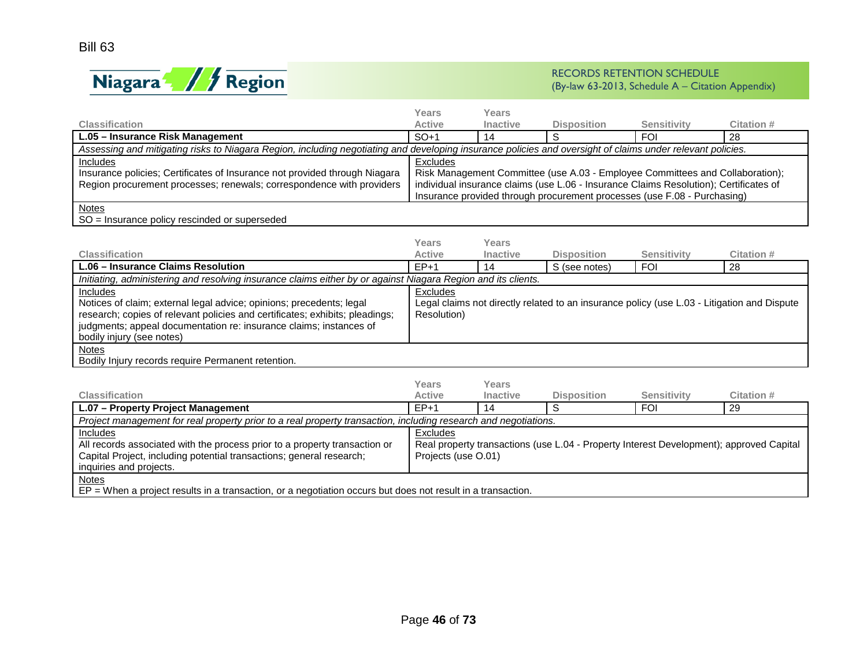

|                                                                                                                                                            | Years                                                                    | Years           |                                                                                       |             |            |  |  |  |
|------------------------------------------------------------------------------------------------------------------------------------------------------------|--------------------------------------------------------------------------|-----------------|---------------------------------------------------------------------------------------|-------------|------------|--|--|--|
| <b>Classification</b>                                                                                                                                      | <b>Active</b>                                                            | <b>Inactive</b> | <b>Disposition</b>                                                                    | Sensitivity | Citation # |  |  |  |
| L.05 - Insurance Risk Management                                                                                                                           | $SO+1$                                                                   | 14              |                                                                                       | FOI         | -28        |  |  |  |
| Assessing and mitigating risks to Niagara Region, including negotiating and developing insurance policies and oversight of claims under relevant policies. |                                                                          |                 |                                                                                       |             |            |  |  |  |
| <b>Includes</b>                                                                                                                                            | Excludes                                                                 |                 |                                                                                       |             |            |  |  |  |
| Insurance policies; Certificates of Insurance not provided through Niagara                                                                                 |                                                                          |                 | Risk Management Committee (use A.03 - Employee Committees and Collaboration);         |             |            |  |  |  |
| Region procurement processes; renewals; correspondence with providers                                                                                      |                                                                          |                 | individual insurance claims (use L.06 - Insurance Claims Resolution); Certificates of |             |            |  |  |  |
|                                                                                                                                                            | Insurance provided through procurement processes (use F.08 - Purchasing) |                 |                                                                                       |             |            |  |  |  |
| <b>Notes</b>                                                                                                                                               |                                                                          |                 |                                                                                       |             |            |  |  |  |
| SO = Insurance policy rescinded or superseded                                                                                                              |                                                                          |                 |                                                                                       |             |            |  |  |  |

| <b>Classification</b>                                                                                                                                                                                                                                               | Years<br><b>Active</b>  | Years           |                    | <b>Sensitivity</b> | Citation #                                                                                  |
|---------------------------------------------------------------------------------------------------------------------------------------------------------------------------------------------------------------------------------------------------------------------|-------------------------|-----------------|--------------------|--------------------|---------------------------------------------------------------------------------------------|
|                                                                                                                                                                                                                                                                     |                         | <b>Inactive</b> | <b>Disposition</b> |                    |                                                                                             |
| L.06 - Insurance Claims Resolution                                                                                                                                                                                                                                  | $E P+1$                 | 14              | S (see notes)      | <b>FOI</b>         | 28                                                                                          |
| Initiating, administering and resolving insurance claims either by or against Niagara Region and its clients.                                                                                                                                                       |                         |                 |                    |                    |                                                                                             |
| Includes<br>Notices of claim; external legal advice; opinions; precedents; legal<br>research; copies of relevant policies and certificates; exhibits; pleadings;<br>judgments; appeal documentation re: insurance claims; instances of<br>bodily injury (see notes) | Excludes<br>Resolution) |                 |                    |                    | Legal claims not directly related to an insurance policy (use L.03 - Litigation and Dispute |
| <b>Notes</b><br>Bodily Injury records require Permanent retention.                                                                                                                                                                                                  |                         |                 |                    |                    |                                                                                             |

| <b>Classification</b>                                                                                                                                                                            | Years<br><b>Active</b>                                                                                                     | Years<br><b>Inactive</b> | <b>Disposition</b> | <b>Sensitivity</b> | Citation # |  |  |
|--------------------------------------------------------------------------------------------------------------------------------------------------------------------------------------------------|----------------------------------------------------------------------------------------------------------------------------|--------------------------|--------------------|--------------------|------------|--|--|
| L.07 - Property Project Management                                                                                                                                                               | $EP+1$                                                                                                                     | 14                       |                    | <b>FOI</b>         | -29        |  |  |
| Project management for real property prior to a real property transaction, including research and negotiations.                                                                                  |                                                                                                                            |                          |                    |                    |            |  |  |
| <b>Includes</b><br>All records associated with the process prior to a property transaction or<br>Capital Project, including potential transactions; general research;<br>inquiries and projects. | Excludes<br>Real property transactions (use L.04 - Property Interest Development); approved Capital<br>Projects (use O.01) |                          |                    |                    |            |  |  |
| <b>Notes</b><br>$EP = When$ a project results in a transaction, or a negotiation occurs but does not result in a transaction.                                                                    |                                                                                                                            |                          |                    |                    |            |  |  |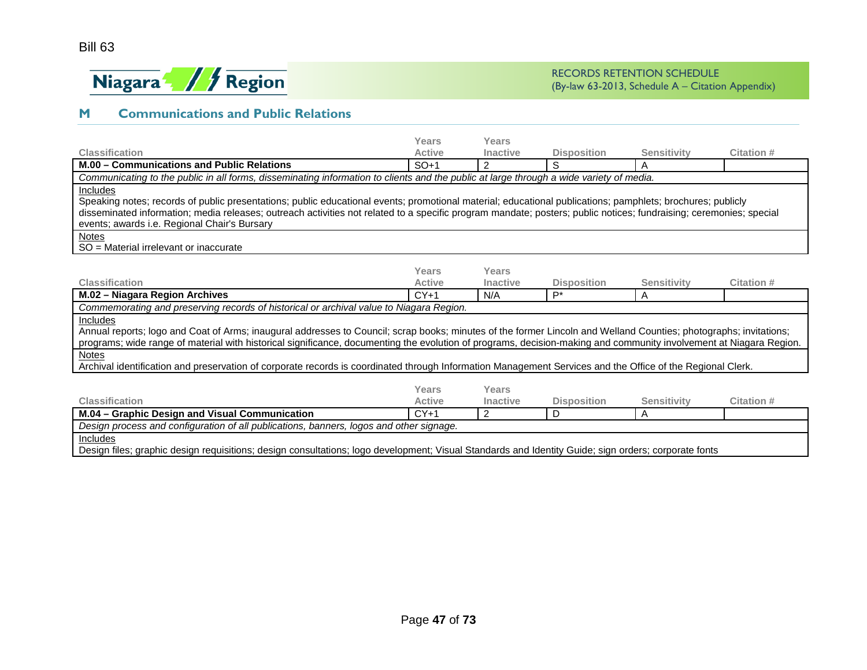

# **M Communications and Public Relations**

| <b>Classification</b>                                                                                                                                               | Years<br><b>Active</b> | Years<br>Inactive | <b>Disposition</b>          |                         | Citation # |  |  |  |
|---------------------------------------------------------------------------------------------------------------------------------------------------------------------|------------------------|-------------------|-----------------------------|-------------------------|------------|--|--|--|
| M.00 - Communications and Public Relations                                                                                                                          | $SO+1$                 | 2                 | S                           | <b>Sensitivity</b><br>A |            |  |  |  |
| Communicating to the public in all forms, disseminating information to clients and the public at large through a wide variety of media.                             |                        |                   |                             |                         |            |  |  |  |
| Includes                                                                                                                                                            |                        |                   |                             |                         |            |  |  |  |
| Speaking notes; records of public presentations; public educational events; promotional material; educational publications; pamphlets; brochures; publicly          |                        |                   |                             |                         |            |  |  |  |
| disseminated information; media releases; outreach activities not related to a specific program mandate; posters; public notices; fundraising; ceremonies; special  |                        |                   |                             |                         |            |  |  |  |
| events; awards i.e. Regional Chair's Bursary                                                                                                                        |                        |                   |                             |                         |            |  |  |  |
| <b>Notes</b>                                                                                                                                                        |                        |                   |                             |                         |            |  |  |  |
| SO = Material irrelevant or inaccurate                                                                                                                              |                        |                   |                             |                         |            |  |  |  |
|                                                                                                                                                                     |                        |                   |                             |                         |            |  |  |  |
| <b>Classification</b>                                                                                                                                               | Years<br><b>Active</b> | Years<br>Inactive |                             | <b>Sensitivity</b>      | Citation # |  |  |  |
|                                                                                                                                                                     |                        |                   | <b>Disposition</b><br>$P^*$ |                         |            |  |  |  |
| M.02 - Niagara Region Archives                                                                                                                                      | $CY+1$                 | N/A               |                             | A                       |            |  |  |  |
| Commemorating and preserving records of historical or archival value to Niagara Region.                                                                             |                        |                   |                             |                         |            |  |  |  |
| Includes                                                                                                                                                            |                        |                   |                             |                         |            |  |  |  |
| Annual reports; logo and Coat of Arms; inaugural addresses to Council; scrap books; minutes of the former Lincoln and Welland Counties; photographs; invitations;   |                        |                   |                             |                         |            |  |  |  |
| programs; wide range of material with historical significance, documenting the evolution of programs, decision-making and community involvement at Niagara Region.  |                        |                   |                             |                         |            |  |  |  |
| Notes<br>Archival identification and preservation of corporate records is coordinated through Information Management Services and the Office of the Regional Clerk. |                        |                   |                             |                         |            |  |  |  |
|                                                                                                                                                                     |                        |                   |                             |                         |            |  |  |  |
|                                                                                                                                                                     | Years                  | Years             |                             |                         |            |  |  |  |
| <b>Classification</b>                                                                                                                                               | <b>Active</b>          | <b>Inactive</b>   | <b>Disposition</b>          | <b>Sensitivity</b>      | Citation # |  |  |  |
| M.04 - Graphic Design and Visual Communication                                                                                                                      | $CY+1$                 | 2                 | D                           | A                       |            |  |  |  |
| Design process and configuration of all publications, banners, logos and other signage.                                                                             |                        |                   |                             |                         |            |  |  |  |
| Includes                                                                                                                                                            |                        |                   |                             |                         |            |  |  |  |
| Design files; graphic design requisitions; design consultations; logo development; Visual Standards and Identity Guide; sign orders; corporate fonts                |                        |                   |                             |                         |            |  |  |  |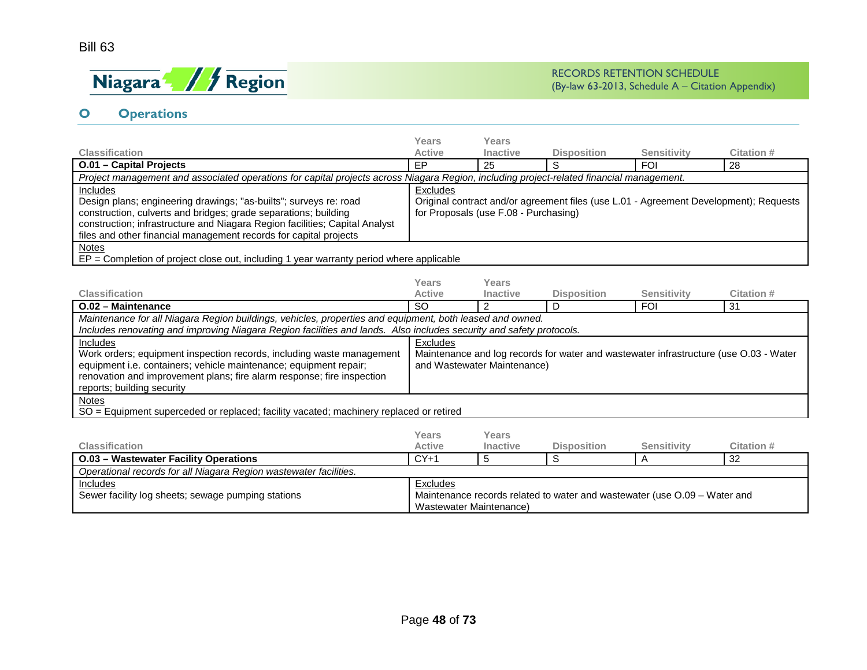# Bill 63



# **O Operations**

|                                                                                                                     | <b>Years</b>                                                                                                                             | Years                                 |                    |                                                                           |                                                                                       |  |  |  |
|---------------------------------------------------------------------------------------------------------------------|------------------------------------------------------------------------------------------------------------------------------------------|---------------------------------------|--------------------|---------------------------------------------------------------------------|---------------------------------------------------------------------------------------|--|--|--|
| <b>Classification</b>                                                                                               | <b>Active</b>                                                                                                                            | Inactive                              | <b>Disposition</b> | <b>Sensitivity</b>                                                        | Citation #                                                                            |  |  |  |
| O.01 - Capital Projects                                                                                             | EP                                                                                                                                       | 25                                    | S                  | <b>FOI</b>                                                                | 28                                                                                    |  |  |  |
|                                                                                                                     | Project management and associated operations for capital projects across Niagara Region, including project-related financial management. |                                       |                    |                                                                           |                                                                                       |  |  |  |
| Includes                                                                                                            | Excludes                                                                                                                                 |                                       |                    |                                                                           |                                                                                       |  |  |  |
| Design plans; engineering drawings; "as-builts"; surveys re: road                                                   |                                                                                                                                          |                                       |                    |                                                                           | Original contract and/or agreement files (use L.01 - Agreement Development); Requests |  |  |  |
| construction, culverts and bridges; grade separations; building                                                     |                                                                                                                                          | for Proposals (use F.08 - Purchasing) |                    |                                                                           |                                                                                       |  |  |  |
| construction; infrastructure and Niagara Region facilities; Capital Analyst                                         |                                                                                                                                          |                                       |                    |                                                                           |                                                                                       |  |  |  |
| files and other financial management records for capital projects                                                   |                                                                                                                                          |                                       |                    |                                                                           |                                                                                       |  |  |  |
| <b>Notes</b>                                                                                                        |                                                                                                                                          |                                       |                    |                                                                           |                                                                                       |  |  |  |
| $EP =$ Completion of project close out, including 1 year warranty period where applicable                           |                                                                                                                                          |                                       |                    |                                                                           |                                                                                       |  |  |  |
|                                                                                                                     | <b>Years</b>                                                                                                                             | Years                                 |                    |                                                                           |                                                                                       |  |  |  |
| <b>Classification</b>                                                                                               | <b>Active</b>                                                                                                                            | <b>Inactive</b>                       | <b>Disposition</b> | <b>Sensitivity</b>                                                        | <b>Citation #</b>                                                                     |  |  |  |
| O.02 - Maintenance                                                                                                  | <b>SO</b>                                                                                                                                | 2                                     | D                  | <b>FOI</b>                                                                | 31                                                                                    |  |  |  |
| Maintenance for all Niagara Region buildings, vehicles, properties and equipment, both leased and owned.            |                                                                                                                                          |                                       |                    |                                                                           |                                                                                       |  |  |  |
| Includes renovating and improving Niagara Region facilities and lands. Also includes security and safety protocols. |                                                                                                                                          |                                       |                    |                                                                           |                                                                                       |  |  |  |
| Includes                                                                                                            | Excludes                                                                                                                                 |                                       |                    |                                                                           |                                                                                       |  |  |  |
| Work orders; equipment inspection records, including waste management                                               |                                                                                                                                          |                                       |                    |                                                                           | Maintenance and log records for water and wastewater infrastructure (use O.03 - Water |  |  |  |
| equipment i.e. containers; vehicle maintenance; equipment repair;                                                   |                                                                                                                                          | and Wastewater Maintenance)           |                    |                                                                           |                                                                                       |  |  |  |
| renovation and improvement plans; fire alarm response; fire inspection                                              |                                                                                                                                          |                                       |                    |                                                                           |                                                                                       |  |  |  |
| reports; building security                                                                                          |                                                                                                                                          |                                       |                    |                                                                           |                                                                                       |  |  |  |
| <b>Notes</b>                                                                                                        |                                                                                                                                          |                                       |                    |                                                                           |                                                                                       |  |  |  |
| SO = Equipment superceded or replaced; facility vacated; machinery replaced or retired                              |                                                                                                                                          |                                       |                    |                                                                           |                                                                                       |  |  |  |
|                                                                                                                     |                                                                                                                                          |                                       |                    |                                                                           |                                                                                       |  |  |  |
|                                                                                                                     | <b>Years</b>                                                                                                                             | Years                                 |                    |                                                                           |                                                                                       |  |  |  |
| <b>Classification</b>                                                                                               | <b>Active</b>                                                                                                                            | <b>Inactive</b>                       | <b>Disposition</b> | Sensitivity                                                               | <b>Citation #</b>                                                                     |  |  |  |
| <b>O.03 - Wastewater Facility Operations</b>                                                                        | $CY+1$                                                                                                                                   | 5                                     | S                  | A                                                                         | $\overline{32}$                                                                       |  |  |  |
| Operational records for all Niagara Region wastewater facilities.                                                   |                                                                                                                                          |                                       |                    |                                                                           |                                                                                       |  |  |  |
| Includes                                                                                                            | Excludes                                                                                                                                 |                                       |                    |                                                                           |                                                                                       |  |  |  |
| Sewer facility log sheets; sewage pumping stations                                                                  |                                                                                                                                          |                                       |                    | Maintenance records related to water and wastewater (use O.09 – Water and |                                                                                       |  |  |  |
|                                                                                                                     | <b>Wastewater Maintenance)</b>                                                                                                           |                                       |                    |                                                                           |                                                                                       |  |  |  |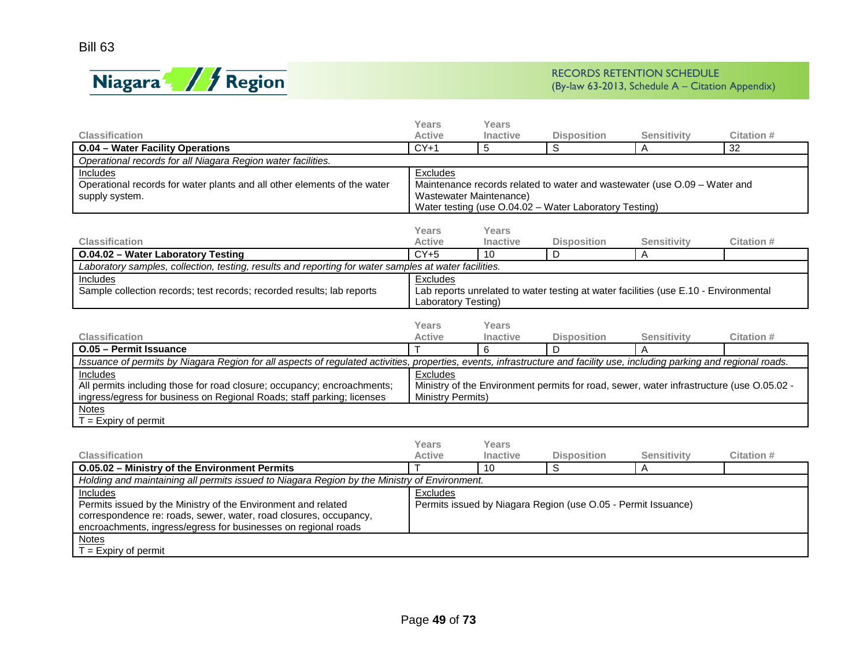

|                                                                                                                                                                           | <b>Years</b>            | <b>Years</b>    |                                                                                          |                    |            |  |  |
|---------------------------------------------------------------------------------------------------------------------------------------------------------------------------|-------------------------|-----------------|------------------------------------------------------------------------------------------|--------------------|------------|--|--|
| <b>Classification</b>                                                                                                                                                     | <b>Active</b>           | Inactive        | <b>Disposition</b>                                                                       | <b>Sensitivity</b> | Citation # |  |  |
| <b>O.04 - Water Facility Operations</b>                                                                                                                                   | $CY+1$                  | 5               | S                                                                                        | A                  | 32         |  |  |
| Operational records for all Niagara Region water facilities.                                                                                                              |                         |                 |                                                                                          |                    |            |  |  |
| Includes                                                                                                                                                                  | Excludes                |                 |                                                                                          |                    |            |  |  |
| Operational records for water plants and all other elements of the water                                                                                                  |                         |                 | Maintenance records related to water and wastewater (use O.09 - Water and                |                    |            |  |  |
| supply system.                                                                                                                                                            | Wastewater Maintenance) |                 |                                                                                          |                    |            |  |  |
|                                                                                                                                                                           |                         |                 | Water testing (use O.04.02 - Water Laboratory Testing)                                   |                    |            |  |  |
|                                                                                                                                                                           |                         |                 |                                                                                          |                    |            |  |  |
|                                                                                                                                                                           | Years                   | <b>Years</b>    |                                                                                          |                    |            |  |  |
| <b>Classification</b>                                                                                                                                                     | <b>Active</b>           | <b>Inactive</b> | <b>Disposition</b>                                                                       | <b>Sensitivity</b> | Citation # |  |  |
| O.04.02 - Water Laboratory Testing                                                                                                                                        | $CY+5$                  | 10              | D                                                                                        | A                  |            |  |  |
| Laboratory samples, collection, testing, results and reporting for water samples at water facilities.                                                                     |                         |                 |                                                                                          |                    |            |  |  |
| Includes                                                                                                                                                                  | Excludes                |                 |                                                                                          |                    |            |  |  |
| Sample collection records; test records; recorded results; lab reports                                                                                                    |                         |                 | Lab reports unrelated to water testing at water facilities (use E.10 - Environmental     |                    |            |  |  |
|                                                                                                                                                                           | Laboratory Testing)     |                 |                                                                                          |                    |            |  |  |
|                                                                                                                                                                           |                         |                 |                                                                                          |                    |            |  |  |
|                                                                                                                                                                           | Years                   | Years           |                                                                                          |                    |            |  |  |
| <b>Classification</b>                                                                                                                                                     | <b>Active</b>           | <b>Inactive</b> | <b>Disposition</b>                                                                       | Sensitivity        | Citation # |  |  |
|                                                                                                                                                                           |                         |                 |                                                                                          |                    |            |  |  |
| O.05 - Permit Issuance                                                                                                                                                    |                         | 6               | D                                                                                        | $\overline{A}$     |            |  |  |
| Issuance of permits by Niagara Region for all aspects of regulated activities, properties, events, infrastructure and facility use, including parking and regional roads. |                         |                 |                                                                                          |                    |            |  |  |
| Includes                                                                                                                                                                  | Excludes                |                 |                                                                                          |                    |            |  |  |
| All permits including those for road closure; occupancy; encroachments;                                                                                                   |                         |                 | Ministry of the Environment permits for road, sewer, water infrastructure (use O.05.02 - |                    |            |  |  |
| ingress/egress for business on Regional Roads; staff parking; licenses                                                                                                    | Ministry Permits)       |                 |                                                                                          |                    |            |  |  |
| Notes                                                                                                                                                                     |                         |                 |                                                                                          |                    |            |  |  |
| $T =$ Expiry of permit                                                                                                                                                    |                         |                 |                                                                                          |                    |            |  |  |
|                                                                                                                                                                           |                         |                 |                                                                                          |                    |            |  |  |
|                                                                                                                                                                           | Years                   | Years           |                                                                                          |                    |            |  |  |
| <b>Classification</b>                                                                                                                                                     | <b>Active</b>           | Inactive        | <b>Disposition</b>                                                                       | <b>Sensitivity</b> | Citation # |  |  |
| O.05.02 - Ministry of the Environment Permits                                                                                                                             |                         | 10              | S                                                                                        | Α                  |            |  |  |
| Holding and maintaining all permits issued to Niagara Region by the Ministry of Environment.                                                                              |                         |                 |                                                                                          |                    |            |  |  |
| Includes                                                                                                                                                                  | Excludes                |                 |                                                                                          |                    |            |  |  |
| Permits issued by the Ministry of the Environment and related                                                                                                             |                         |                 | Permits issued by Niagara Region (use O.05 - Permit Issuance)                            |                    |            |  |  |
| correspondence re: roads, sewer, water, road closures, occupancy,                                                                                                         |                         |                 |                                                                                          |                    |            |  |  |
| encroachments, ingress/egress for businesses on regional roads                                                                                                            |                         |                 |                                                                                          |                    |            |  |  |
| <b>Notes</b><br>$T =$ Expiry of permit                                                                                                                                    |                         |                 |                                                                                          |                    |            |  |  |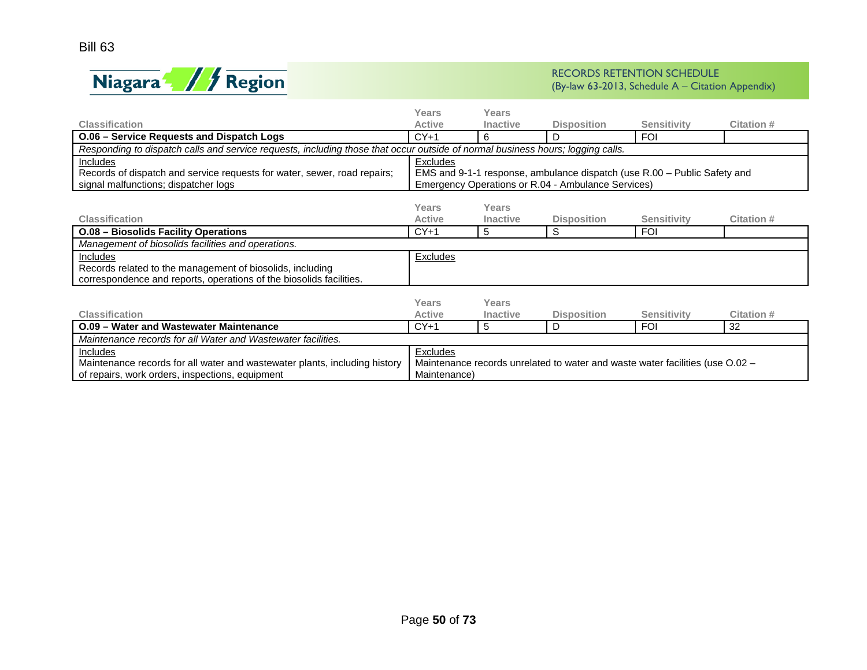

|                                                                                                                                | Years         | Years           |                                                                               |                    |            |  |
|--------------------------------------------------------------------------------------------------------------------------------|---------------|-----------------|-------------------------------------------------------------------------------|--------------------|------------|--|
| <b>Classification</b>                                                                                                          | <b>Active</b> | <b>Inactive</b> | <b>Disposition</b>                                                            | <b>Sensitivity</b> | Citation # |  |
| O.06 - Service Requests and Dispatch Logs                                                                                      | $CY+1$        | 6               | D                                                                             | <b>FOI</b>         |            |  |
| Responding to dispatch calls and service requests, including those that occur outside of normal business hours; logging calls. |               |                 |                                                                               |                    |            |  |
| Includes                                                                                                                       | Excludes      |                 |                                                                               |                    |            |  |
| Records of dispatch and service requests for water, sewer, road repairs;                                                       |               |                 | EMS and 9-1-1 response, ambulance dispatch (use R.00 - Public Safety and      |                    |            |  |
| signal malfunctions; dispatcher logs                                                                                           |               |                 | Emergency Operations or R.04 - Ambulance Services)                            |                    |            |  |
|                                                                                                                                |               |                 |                                                                               |                    |            |  |
|                                                                                                                                | Years         | Years           |                                                                               |                    |            |  |
| <b>Classification</b>                                                                                                          | <b>Active</b> | <b>Inactive</b> | <b>Disposition</b>                                                            | <b>Sensitivity</b> | Citation # |  |
| <b>O.08 - Biosolids Facility Operations</b>                                                                                    | $CY+1$        | 5               | S                                                                             | <b>FOI</b>         |            |  |
| Management of biosolids facilities and operations.                                                                             |               |                 |                                                                               |                    |            |  |
| Includes                                                                                                                       | Excludes      |                 |                                                                               |                    |            |  |
| Records related to the management of biosolids, including                                                                      |               |                 |                                                                               |                    |            |  |
| correspondence and reports, operations of the biosolids facilities.                                                            |               |                 |                                                                               |                    |            |  |
|                                                                                                                                |               |                 |                                                                               |                    |            |  |
|                                                                                                                                | Years         | Years           |                                                                               |                    |            |  |
| <b>Classification</b>                                                                                                          | <b>Active</b> | <b>Inactive</b> | <b>Disposition</b>                                                            | <b>Sensitivity</b> | Citation # |  |
| O.09 - Water and Wastewater Maintenance                                                                                        | $CY+1$        | 5               | D                                                                             | <b>FOI</b>         | 32         |  |
| Maintenance records for all Water and Wastewater facilities.                                                                   |               |                 |                                                                               |                    |            |  |
| Includes                                                                                                                       | Excludes      |                 |                                                                               |                    |            |  |
| Maintenance records for all water and wastewater plants, including history                                                     |               |                 | Maintenance records unrelated to water and waste water facilities (use O.02 - |                    |            |  |
| of repairs, work orders, inspections, equipment                                                                                | Maintenance)  |                 |                                                                               |                    |            |  |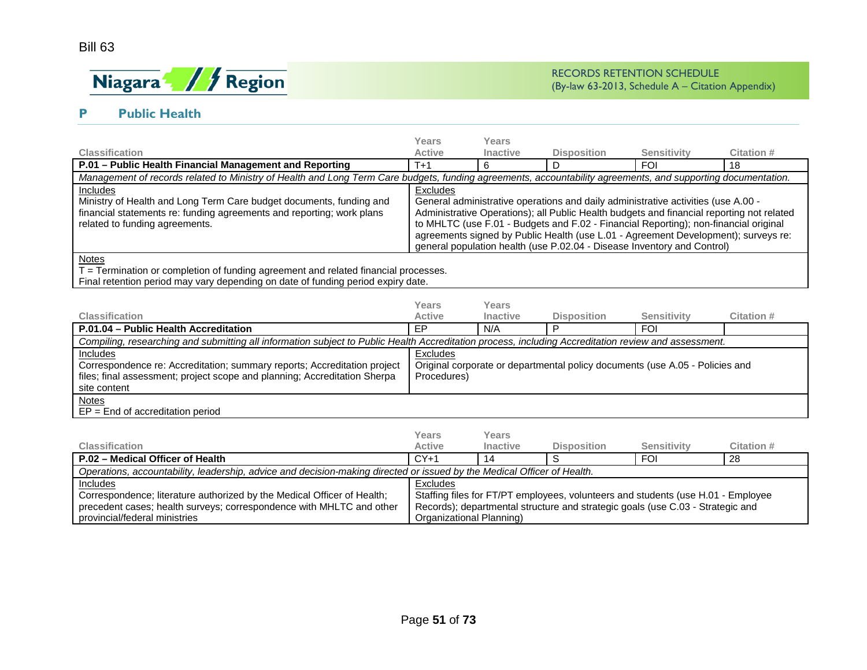

# **P Public Health**

|                                                                                                                                                                                                                                                 | Years         | Years           |                                                                                                                                                                                                                                                                                                                                                                                                                                         |                    |            |  |  |  |
|-------------------------------------------------------------------------------------------------------------------------------------------------------------------------------------------------------------------------------------------------|---------------|-----------------|-----------------------------------------------------------------------------------------------------------------------------------------------------------------------------------------------------------------------------------------------------------------------------------------------------------------------------------------------------------------------------------------------------------------------------------------|--------------------|------------|--|--|--|
| <b>Classification</b>                                                                                                                                                                                                                           | <b>Active</b> | <b>Inactive</b> | <b>Disposition</b>                                                                                                                                                                                                                                                                                                                                                                                                                      | <b>Sensitivity</b> | Citation # |  |  |  |
| P.01 - Public Health Financial Management and Reporting                                                                                                                                                                                         | $T+1$         |                 |                                                                                                                                                                                                                                                                                                                                                                                                                                         | <b>FOI</b>         | 18         |  |  |  |
| Management of records related to Ministry of Health and Long Term Care budgets, funding agreements, accountability agreements, and supporting documentation.                                                                                    |               |                 |                                                                                                                                                                                                                                                                                                                                                                                                                                         |                    |            |  |  |  |
| <b>Includes</b><br>Ministry of Health and Long Term Care budget documents, funding and<br>financial statements re: funding agreements and reporting; work plans<br>related to funding agreements.                                               | Excludes      |                 | General administrative operations and daily administrative activities (use A.00 -<br>Administrative Operations); all Public Health budgets and financial reporting not related<br>to MHLTC (use F.01 - Budgets and F.02 - Financial Reporting); non-financial original<br>agreements signed by Public Health (use L.01 - Agreement Development); surveys re:<br>general population health (use P.02.04 - Disease Inventory and Control) |                    |            |  |  |  |
| <b>Notes</b><br>$\tau$ , and the set of the set of the set of the set of the set of the set of the set of the set of the set of the set of the set of the set of the set of the set of the set of the set of the set of the set of the set of t |               |                 |                                                                                                                                                                                                                                                                                                                                                                                                                                         |                    |            |  |  |  |

T = Termination or completion of funding agreement and related financial processes.

Final retention period may vary depending on date of funding period expiry date.

|                                                                                                                                                      | Years       | Years           |                                                                              |                    |            |  |  |
|------------------------------------------------------------------------------------------------------------------------------------------------------|-------------|-----------------|------------------------------------------------------------------------------|--------------------|------------|--|--|
| <b>Classification</b>                                                                                                                                | Active      | <b>Inactive</b> | <b>Disposition</b>                                                           | <b>Sensitivity</b> | Citation # |  |  |
| P.01.04 - Public Health Accreditation                                                                                                                | EP          | N/A             |                                                                              | <b>FOI</b>         |            |  |  |
| Compiling, researching and submitting all information subject to Public Health Accreditation process, including Accreditation review and assessment. |             |                 |                                                                              |                    |            |  |  |
| <b>Includes</b>                                                                                                                                      | Excludes    |                 |                                                                              |                    |            |  |  |
| Correspondence re: Accreditation; summary reports; Accreditation project                                                                             |             |                 | Original corporate or departmental policy documents (use A.05 - Policies and |                    |            |  |  |
| files; final assessment; project scope and planning; Accreditation Sherpa                                                                            | Procedures) |                 |                                                                              |                    |            |  |  |
| site content                                                                                                                                         |             |                 |                                                                              |                    |            |  |  |
| Notes                                                                                                                                                |             |                 |                                                                              |                    |            |  |  |
| $EP = End of accreditation period$                                                                                                                   |             |                 |                                                                              |                    |            |  |  |

|                                                                         | Years                                                                                                                   | Years           |                                                                                  |             |            |  |  |
|-------------------------------------------------------------------------|-------------------------------------------------------------------------------------------------------------------------|-----------------|----------------------------------------------------------------------------------|-------------|------------|--|--|
| <b>Classification</b>                                                   | Active                                                                                                                  | <b>Inactive</b> | <b>Disposition</b>                                                               | Sensitivity | Citation # |  |  |
| P.02 - Medical Officer of Health                                        | $CY+1$                                                                                                                  |                 |                                                                                  | <b>FOI</b>  | 28         |  |  |
|                                                                         | Operations, accountability, leadership, advice and decision-making directed or issued by the Medical Officer of Health. |                 |                                                                                  |             |            |  |  |
| <b>Includes</b>                                                         | Excludes                                                                                                                |                 |                                                                                  |             |            |  |  |
| Correspondence; literature authorized by the Medical Officer of Health; |                                                                                                                         |                 | Staffing files for FT/PT employees, volunteers and students (use H.01 - Employee |             |            |  |  |
| precedent cases; health surveys; correspondence with MHLTC and other    |                                                                                                                         |                 | Records); departmental structure and strategic goals (use C.03 - Strategic and   |             |            |  |  |
| provincial/federal ministries                                           | Organizational Planning)                                                                                                |                 |                                                                                  |             |            |  |  |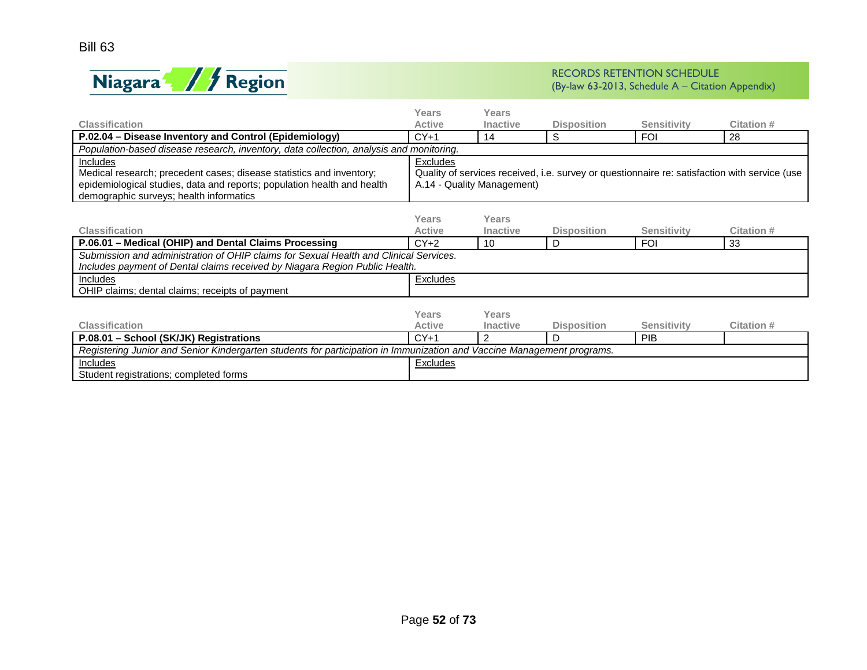



|                                                                                                                        | Years           | Years                      |                    |                                                                                               |                   |  |  |  |
|------------------------------------------------------------------------------------------------------------------------|-----------------|----------------------------|--------------------|-----------------------------------------------------------------------------------------------|-------------------|--|--|--|
| <b>Classification</b>                                                                                                  | <b>Active</b>   | <b>Inactive</b>            | <b>Disposition</b> | <b>Sensitivity</b>                                                                            | <b>Citation #</b> |  |  |  |
| P.02.04 - Disease Inventory and Control (Epidemiology)                                                                 | $CY+1$          | 14                         | S                  | <b>FOI</b>                                                                                    | 28                |  |  |  |
| Population-based disease research, inventory, data collection, analysis and monitoring.                                |                 |                            |                    |                                                                                               |                   |  |  |  |
| Includes                                                                                                               | Excludes        |                            |                    |                                                                                               |                   |  |  |  |
| Medical research; precedent cases; disease statistics and inventory;                                                   |                 |                            |                    | Quality of services received, i.e. survey or questionnaire re: satisfaction with service (use |                   |  |  |  |
| epidemiological studies, data and reports; population health and health                                                |                 | A.14 - Quality Management) |                    |                                                                                               |                   |  |  |  |
| demographic surveys; health informatics                                                                                |                 |                            |                    |                                                                                               |                   |  |  |  |
|                                                                                                                        |                 |                            |                    |                                                                                               |                   |  |  |  |
|                                                                                                                        | Years           | Years                      |                    |                                                                                               |                   |  |  |  |
| <b>Classification</b>                                                                                                  | <b>Active</b>   | <b>Inactive</b>            | <b>Disposition</b> | <b>Sensitivity</b>                                                                            | Citation #        |  |  |  |
| P.06.01 - Medical (OHIP) and Dental Claims Processing                                                                  | $CY+2$          | 10                         | D                  | <b>FOI</b>                                                                                    | 33                |  |  |  |
| Submission and administration of OHIP claims for Sexual Health and Clinical Services.                                  |                 |                            |                    |                                                                                               |                   |  |  |  |
| Includes payment of Dental claims received by Niagara Region Public Health.                                            |                 |                            |                    |                                                                                               |                   |  |  |  |
| Includes                                                                                                               | <b>Excludes</b> |                            |                    |                                                                                               |                   |  |  |  |
| OHIP claims; dental claims; receipts of payment                                                                        |                 |                            |                    |                                                                                               |                   |  |  |  |
|                                                                                                                        |                 |                            |                    |                                                                                               |                   |  |  |  |
|                                                                                                                        | Years           | Years                      |                    |                                                                                               |                   |  |  |  |
| <b>Classification</b>                                                                                                  | <b>Active</b>   | <b>Inactive</b>            | <b>Disposition</b> | <b>Sensitivity</b>                                                                            | <b>Citation #</b> |  |  |  |
| P.08.01 - School (SK/JK) Registrations                                                                                 | $CY+1$          | 2                          | D                  | PIB                                                                                           |                   |  |  |  |
| Registering Junior and Senior Kindergarten students for participation in Immunization and Vaccine Management programs. |                 |                            |                    |                                                                                               |                   |  |  |  |
| <b>Includes</b>                                                                                                        | Excludes        |                            |                    |                                                                                               |                   |  |  |  |
| Student registrations; completed forms                                                                                 |                 |                            |                    |                                                                                               |                   |  |  |  |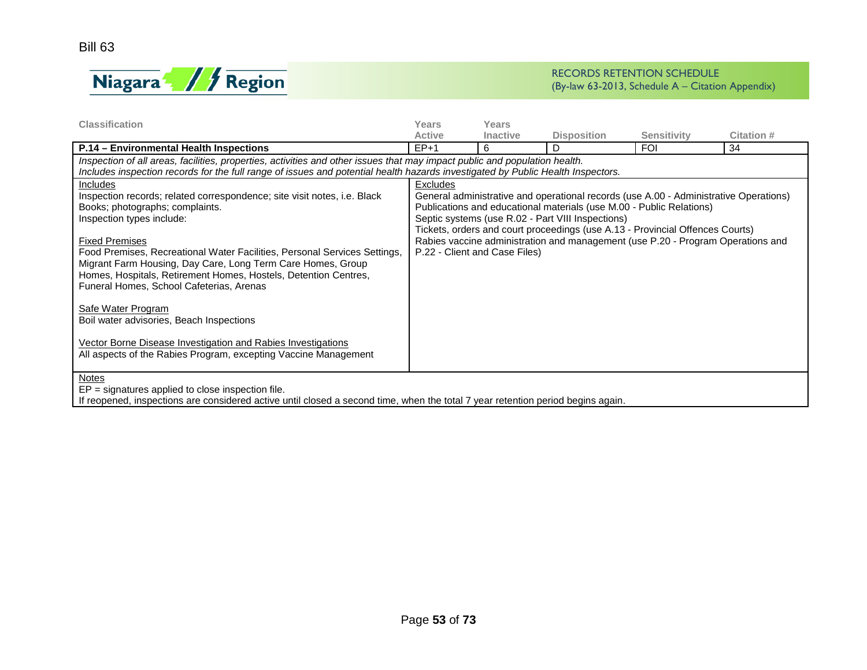

| <b>Classification</b>                                                                                                           | Years           | Years                         |                                                                                       |                    |            |  |  |  |  |
|---------------------------------------------------------------------------------------------------------------------------------|-----------------|-------------------------------|---------------------------------------------------------------------------------------|--------------------|------------|--|--|--|--|
|                                                                                                                                 | <b>Active</b>   | <b>Inactive</b>               | <b>Disposition</b>                                                                    | <b>Sensitivity</b> | Citation # |  |  |  |  |
| P.14 - Environmental Health Inspections                                                                                         | $EP+1$          | 6                             | D                                                                                     | <b>FOI</b>         | 34         |  |  |  |  |
| Inspection of all areas, facilities, properties, activities and other issues that may impact public and population health.      |                 |                               |                                                                                       |                    |            |  |  |  |  |
| Includes inspection records for the full range of issues and potential health hazards investigated by Public Health Inspectors. |                 |                               |                                                                                       |                    |            |  |  |  |  |
| Includes                                                                                                                        | <b>Excludes</b> |                               |                                                                                       |                    |            |  |  |  |  |
| Inspection records; related correspondence; site visit notes, i.e. Black                                                        |                 |                               | General administrative and operational records (use A.00 - Administrative Operations) |                    |            |  |  |  |  |
| Books; photographs; complaints.                                                                                                 |                 |                               | Publications and educational materials (use M.00 - Public Relations)                  |                    |            |  |  |  |  |
| Inspection types include:                                                                                                       |                 |                               | Septic systems (use R.02 - Part VIII Inspections)                                     |                    |            |  |  |  |  |
|                                                                                                                                 |                 |                               | Tickets, orders and court proceedings (use A.13 - Provincial Offences Courts)         |                    |            |  |  |  |  |
| <b>Fixed Premises</b>                                                                                                           |                 |                               | Rabies vaccine administration and management (use P.20 - Program Operations and       |                    |            |  |  |  |  |
| Food Premises, Recreational Water Facilities, Personal Services Settings,                                                       |                 | P.22 - Client and Case Files) |                                                                                       |                    |            |  |  |  |  |
| Migrant Farm Housing, Day Care, Long Term Care Homes, Group                                                                     |                 |                               |                                                                                       |                    |            |  |  |  |  |
| Homes, Hospitals, Retirement Homes, Hostels, Detention Centres,<br>Funeral Homes, School Cafeterias, Arenas                     |                 |                               |                                                                                       |                    |            |  |  |  |  |
|                                                                                                                                 |                 |                               |                                                                                       |                    |            |  |  |  |  |
| Safe Water Program                                                                                                              |                 |                               |                                                                                       |                    |            |  |  |  |  |
| Boil water advisories, Beach Inspections                                                                                        |                 |                               |                                                                                       |                    |            |  |  |  |  |
|                                                                                                                                 |                 |                               |                                                                                       |                    |            |  |  |  |  |
| Vector Borne Disease Investigation and Rabies Investigations                                                                    |                 |                               |                                                                                       |                    |            |  |  |  |  |
| All aspects of the Rabies Program, excepting Vaccine Management                                                                 |                 |                               |                                                                                       |                    |            |  |  |  |  |
|                                                                                                                                 |                 |                               |                                                                                       |                    |            |  |  |  |  |
| <b>Notes</b>                                                                                                                    |                 |                               |                                                                                       |                    |            |  |  |  |  |
| $EP =$ signatures applied to close inspection file.                                                                             |                 |                               |                                                                                       |                    |            |  |  |  |  |
| If reopened, inspections are considered active until closed a second time, when the total 7 year retention period begins again. |                 |                               |                                                                                       |                    |            |  |  |  |  |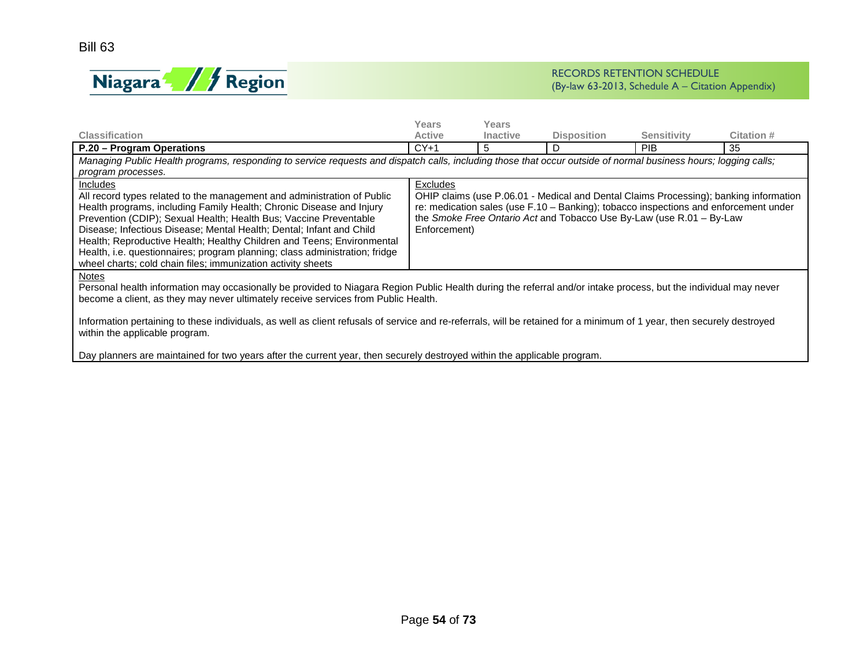

|                                                                                                                                                                        | Years         | Years           |                                                                                                                                                              |                    |                                                                                       |  |  |  |  |
|------------------------------------------------------------------------------------------------------------------------------------------------------------------------|---------------|-----------------|--------------------------------------------------------------------------------------------------------------------------------------------------------------|--------------------|---------------------------------------------------------------------------------------|--|--|--|--|
| <b>Classification</b>                                                                                                                                                  | <b>Active</b> | <b>Inactive</b> | <b>Disposition</b>                                                                                                                                           | <b>Sensitivity</b> | Citation #                                                                            |  |  |  |  |
| P.20 - Program Operations                                                                                                                                              | $CY+1$        | 5               | D                                                                                                                                                            | <b>PIB</b>         | 35                                                                                    |  |  |  |  |
| Managing Public Health programs, responding to service requests and dispatch calls, including those that occur outside of normal business hours; logging calls;        |               |                 |                                                                                                                                                              |                    |                                                                                       |  |  |  |  |
| program processes.                                                                                                                                                     |               |                 |                                                                                                                                                              |                    |                                                                                       |  |  |  |  |
| <b>Includes</b>                                                                                                                                                        | Excludes      |                 |                                                                                                                                                              |                    |                                                                                       |  |  |  |  |
| All record types related to the management and administration of Public                                                                                                |               |                 |                                                                                                                                                              |                    | OHIP claims (use P.06.01 - Medical and Dental Claims Processing); banking information |  |  |  |  |
| Health programs, including Family Health; Chronic Disease and Injury<br>Prevention (CDIP); Sexual Health; Health Bus; Vaccine Preventable                              |               |                 | re: medication sales (use F.10 - Banking); tobacco inspections and enforcement under<br>the Smoke Free Ontario Act and Tobacco Use By-Law (use R.01 - By-Law |                    |                                                                                       |  |  |  |  |
| Disease; Infectious Disease; Mental Health; Dental; Infant and Child                                                                                                   | Enforcement)  |                 |                                                                                                                                                              |                    |                                                                                       |  |  |  |  |
| Health; Reproductive Health; Healthy Children and Teens; Environmental                                                                                                 |               |                 |                                                                                                                                                              |                    |                                                                                       |  |  |  |  |
| Health, i.e. questionnaires; program planning; class administration; fridge                                                                                            |               |                 |                                                                                                                                                              |                    |                                                                                       |  |  |  |  |
| wheel charts; cold chain files; immunization activity sheets                                                                                                           |               |                 |                                                                                                                                                              |                    |                                                                                       |  |  |  |  |
| <b>Notes</b>                                                                                                                                                           |               |                 |                                                                                                                                                              |                    |                                                                                       |  |  |  |  |
| Personal health information may occasionally be provided to Niagara Region Public Health during the referral and/or intake process, but the individual may never       |               |                 |                                                                                                                                                              |                    |                                                                                       |  |  |  |  |
| become a client, as they may never ultimately receive services from Public Health.                                                                                     |               |                 |                                                                                                                                                              |                    |                                                                                       |  |  |  |  |
|                                                                                                                                                                        |               |                 |                                                                                                                                                              |                    |                                                                                       |  |  |  |  |
| Information pertaining to these individuals, as well as client refusals of service and re-referrals, will be retained for a minimum of 1 year, then securely destroyed |               |                 |                                                                                                                                                              |                    |                                                                                       |  |  |  |  |
| within the applicable program.                                                                                                                                         |               |                 |                                                                                                                                                              |                    |                                                                                       |  |  |  |  |
| Day planners are maintained for two years after the current year, then securely destroyed within the applicable program.                                               |               |                 |                                                                                                                                                              |                    |                                                                                       |  |  |  |  |
|                                                                                                                                                                        |               |                 |                                                                                                                                                              |                    |                                                                                       |  |  |  |  |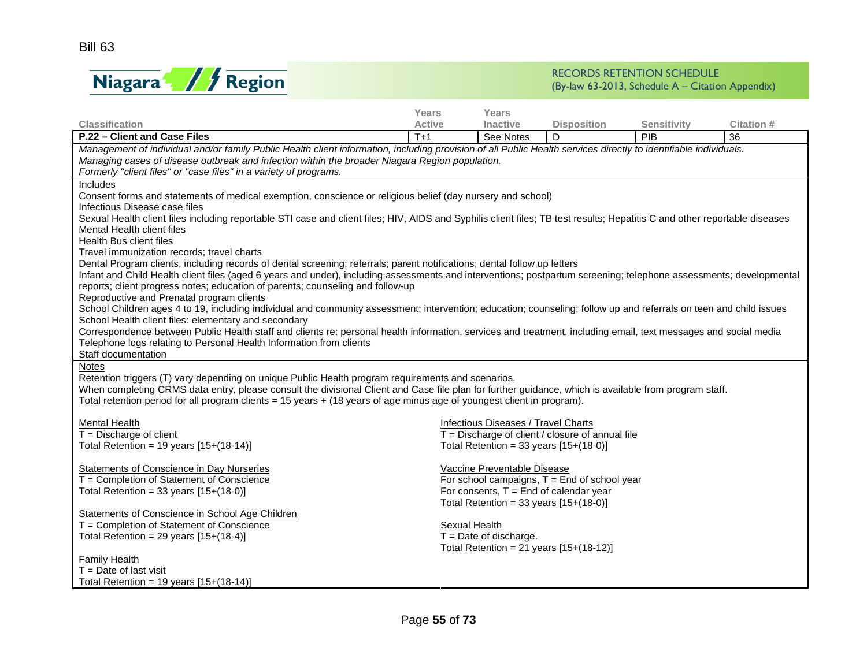

|                                                                                                                                                                            | <b>Years</b>         | <b>Years</b>                             |                                                    |                    |            |  |  |  |  |
|----------------------------------------------------------------------------------------------------------------------------------------------------------------------------|----------------------|------------------------------------------|----------------------------------------------------|--------------------|------------|--|--|--|--|
| <b>Classification</b>                                                                                                                                                      | <b>Active</b>        | <b>Inactive</b>                          | <b>Disposition</b>                                 | <b>Sensitivity</b> | Citation # |  |  |  |  |
| P.22 - Client and Case Files                                                                                                                                               | $T+1$                | See Notes                                | D                                                  | PIB                | 36         |  |  |  |  |
| Management of individual and/or family Public Health client information, including provision of all Public Health services directly to identifiable individuals.           |                      |                                          |                                                    |                    |            |  |  |  |  |
| Managing cases of disease outbreak and infection within the broader Niagara Region population.                                                                             |                      |                                          |                                                    |                    |            |  |  |  |  |
| Formerly "client files" or "case files" in a variety of programs.                                                                                                          |                      |                                          |                                                    |                    |            |  |  |  |  |
| Includes                                                                                                                                                                   |                      |                                          |                                                    |                    |            |  |  |  |  |
| Consent forms and statements of medical exemption, conscience or religious belief (day nursery and school)                                                                 |                      |                                          |                                                    |                    |            |  |  |  |  |
| Infectious Disease case files                                                                                                                                              |                      |                                          |                                                    |                    |            |  |  |  |  |
| Sexual Health client files including reportable STI case and client files; HIV, AIDS and Syphilis client files; TB test results; Hepatitis C and other reportable diseases |                      |                                          |                                                    |                    |            |  |  |  |  |
| Mental Health client files                                                                                                                                                 |                      |                                          |                                                    |                    |            |  |  |  |  |
| Health Bus client files<br>Travel immunization records; travel charts                                                                                                      |                      |                                          |                                                    |                    |            |  |  |  |  |
| Dental Program clients, including records of dental screening; referrals; parent notifications; dental follow up letters                                                   |                      |                                          |                                                    |                    |            |  |  |  |  |
| Infant and Child Health client files (aged 6 years and under), including assessments and interventions; postpartum screening; telephone assessments; developmental         |                      |                                          |                                                    |                    |            |  |  |  |  |
| reports; client progress notes; education of parents; counseling and follow-up                                                                                             |                      |                                          |                                                    |                    |            |  |  |  |  |
| Reproductive and Prenatal program clients                                                                                                                                  |                      |                                          |                                                    |                    |            |  |  |  |  |
| School Children ages 4 to 19, including individual and community assessment; intervention; education; counseling; follow up and referrals on teen and child issues         |                      |                                          |                                                    |                    |            |  |  |  |  |
| School Health client files: elementary and secondary                                                                                                                       |                      |                                          |                                                    |                    |            |  |  |  |  |
| Correspondence between Public Health staff and clients re: personal health information, services and treatment, including email, text messages and social media            |                      |                                          |                                                    |                    |            |  |  |  |  |
| Telephone logs relating to Personal Health Information from clients                                                                                                        |                      |                                          |                                                    |                    |            |  |  |  |  |
| Staff documentation                                                                                                                                                        |                      |                                          |                                                    |                    |            |  |  |  |  |
| Notes                                                                                                                                                                      |                      |                                          |                                                    |                    |            |  |  |  |  |
| Retention triggers (T) vary depending on unique Public Health program requirements and scenarios.                                                                          |                      |                                          |                                                    |                    |            |  |  |  |  |
| When completing CRMS data entry, please consult the divisional Client and Case file plan for further guidance, which is available from program staff.                      |                      |                                          |                                                    |                    |            |  |  |  |  |
| Total retention period for all program clients = 15 years + (18 years of age minus age of youngest client in program).                                                     |                      |                                          |                                                    |                    |            |  |  |  |  |
| <b>Mental Health</b>                                                                                                                                                       |                      | Infectious Diseases / Travel Charts      |                                                    |                    |            |  |  |  |  |
| $\overline{T}$ = Discharge of client                                                                                                                                       |                      |                                          | $T =$ Discharge of client / closure of annual file |                    |            |  |  |  |  |
| Total Retention = 19 years $[15+(18-14)]$                                                                                                                                  |                      | Total Retention = 33 years $[15+(18-0)]$ |                                                    |                    |            |  |  |  |  |
|                                                                                                                                                                            |                      |                                          |                                                    |                    |            |  |  |  |  |
| Statements of Conscience in Day Nurseries                                                                                                                                  |                      | Vaccine Preventable Disease              |                                                    |                    |            |  |  |  |  |
| T = Completion of Statement of Conscience                                                                                                                                  |                      |                                          | For school campaigns, $T =$ End of school year     |                    |            |  |  |  |  |
| Total Retention = 33 years $[15+(18-0)]$                                                                                                                                   |                      |                                          | For consents, $T =$ End of calendar year           |                    |            |  |  |  |  |
|                                                                                                                                                                            |                      | Total Retention = 33 years $[15+(18-0)]$ |                                                    |                    |            |  |  |  |  |
| Statements of Conscience in School Age Children                                                                                                                            |                      |                                          |                                                    |                    |            |  |  |  |  |
| T = Completion of Statement of Conscience                                                                                                                                  | <b>Sexual Health</b> |                                          |                                                    |                    |            |  |  |  |  |
| Total Retention = 29 years $[15+(18-4)]$                                                                                                                                   |                      | $T =$ Date of discharge.                 |                                                    |                    |            |  |  |  |  |
|                                                                                                                                                                            |                      |                                          | Total Retention = 21 years $[15+(18-12)]$          |                    |            |  |  |  |  |
| <b>Family Health</b><br>$T =$ Date of last visit                                                                                                                           |                      |                                          |                                                    |                    |            |  |  |  |  |
|                                                                                                                                                                            |                      |                                          |                                                    |                    |            |  |  |  |  |
| Total Retention = 19 years $[15+(18-14)]$                                                                                                                                  |                      |                                          |                                                    |                    |            |  |  |  |  |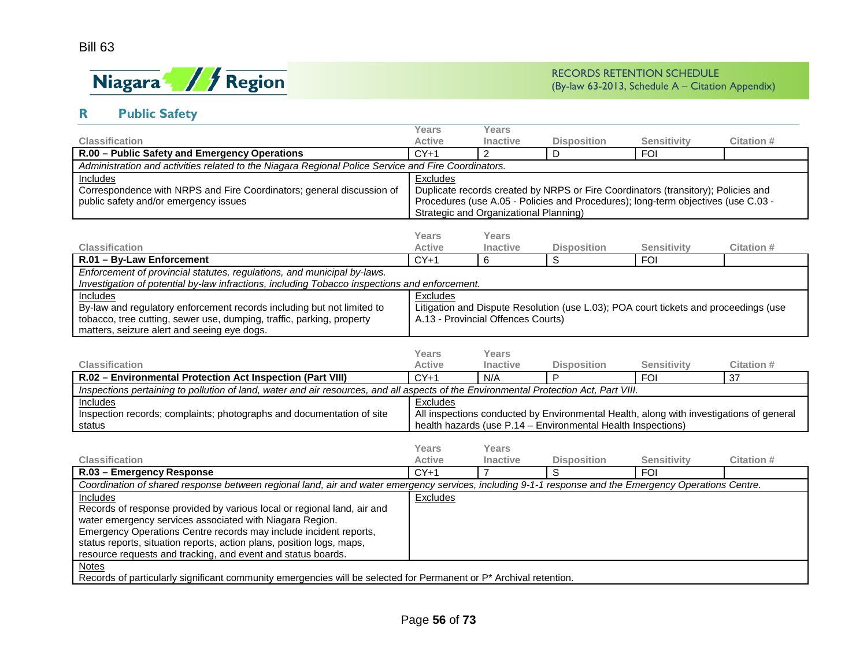

# **R Public Safety**

|                                                                                                                                                        | Years                                                                             | Years                              |                                                                                         |                    |                  |  |  |
|--------------------------------------------------------------------------------------------------------------------------------------------------------|-----------------------------------------------------------------------------------|------------------------------------|-----------------------------------------------------------------------------------------|--------------------|------------------|--|--|
| <b>Classification</b>                                                                                                                                  | <b>Active</b>                                                                     | <b>Inactive</b>                    | <b>Disposition</b>                                                                      | <b>Sensitivity</b> | Citation #       |  |  |
| R.00 - Public Safety and Emergency Operations                                                                                                          | $CY+1$                                                                            | $\overline{2}$                     | D                                                                                       | <b>FOI</b>         |                  |  |  |
| Administration and activities related to the Niagara Regional Police Service and Fire Coordinators.                                                    |                                                                                   |                                    |                                                                                         |                    |                  |  |  |
| Includes                                                                                                                                               | Excludes                                                                          |                                    |                                                                                         |                    |                  |  |  |
| Correspondence with NRPS and Fire Coordinators; general discussion of                                                                                  | Duplicate records created by NRPS or Fire Coordinators (transitory); Policies and |                                    |                                                                                         |                    |                  |  |  |
| public safety and/or emergency issues                                                                                                                  | Procedures (use A.05 - Policies and Procedures); long-term objectives (use C.03 - |                                    |                                                                                         |                    |                  |  |  |
|                                                                                                                                                        | Strategic and Organizational Planning)                                            |                                    |                                                                                         |                    |                  |  |  |
|                                                                                                                                                        |                                                                                   |                                    |                                                                                         |                    |                  |  |  |
|                                                                                                                                                        | Years                                                                             | Years                              |                                                                                         |                    |                  |  |  |
| <b>Classification</b>                                                                                                                                  | <b>Active</b>                                                                     | <b>Inactive</b>                    | <b>Disposition</b>                                                                      | <b>Sensitivity</b> | Citation #       |  |  |
| R.01 - By-Law Enforcement                                                                                                                              | $CY+1$                                                                            | 6                                  | $\overline{s}$                                                                          | <b>FOI</b>         |                  |  |  |
| Enforcement of provincial statutes, regulations, and municipal by-laws.                                                                                |                                                                                   |                                    |                                                                                         |                    |                  |  |  |
| Investigation of potential by-law infractions, including Tobacco inspections and enforcement.                                                          |                                                                                   |                                    |                                                                                         |                    |                  |  |  |
| Includes                                                                                                                                               | Excludes                                                                          |                                    |                                                                                         |                    |                  |  |  |
| By-law and regulatory enforcement records including but not limited to                                                                                 |                                                                                   |                                    | Litigation and Dispute Resolution (use L.03); POA court tickets and proceedings (use    |                    |                  |  |  |
| tobacco, tree cutting, sewer use, dumping, traffic, parking, property<br>matters, seizure alert and seeing eye dogs.                                   |                                                                                   | A.13 - Provincial Offences Courts) |                                                                                         |                    |                  |  |  |
|                                                                                                                                                        |                                                                                   |                                    |                                                                                         |                    |                  |  |  |
|                                                                                                                                                        | Years                                                                             | Years                              |                                                                                         |                    |                  |  |  |
|                                                                                                                                                        |                                                                                   |                                    |                                                                                         |                    |                  |  |  |
|                                                                                                                                                        |                                                                                   |                                    |                                                                                         |                    |                  |  |  |
| <b>Classification</b>                                                                                                                                  | <b>Active</b>                                                                     | <b>Inactive</b><br>N/A             | <b>Disposition</b><br>P                                                                 | <b>Sensitivity</b> | Citation #       |  |  |
| R.02 - Environmental Protection Act Inspection (Part VIII)                                                                                             | $CY+1$                                                                            |                                    |                                                                                         | <b>FOI</b>         | 37               |  |  |
| Inspections pertaining to pollution of land, water and air resources, and all aspects of the Environmental Protection Act, Part VIII.                  |                                                                                   |                                    |                                                                                         |                    |                  |  |  |
| Includes                                                                                                                                               | Excludes                                                                          |                                    |                                                                                         |                    |                  |  |  |
| Inspection records; complaints; photographs and documentation of site<br>status                                                                        |                                                                                   |                                    | All inspections conducted by Environmental Health, along with investigations of general |                    |                  |  |  |
|                                                                                                                                                        |                                                                                   |                                    | health hazards (use P.14 - Environmental Health Inspections)                            |                    |                  |  |  |
|                                                                                                                                                        | Years                                                                             | Years                              |                                                                                         |                    |                  |  |  |
| <b>Classification</b>                                                                                                                                  | <b>Active</b>                                                                     | Inactive                           | <b>Disposition</b>                                                                      | <b>Sensitivity</b> | <b>Citation#</b> |  |  |
| R.03 - Emergency Response                                                                                                                              | $CY+1$                                                                            | $\overline{7}$                     | S                                                                                       | <b>FOI</b>         |                  |  |  |
| Coordination of shared response between regional land, air and water emergency services, including 9-1-1 response and the Emergency Operations Centre. |                                                                                   |                                    |                                                                                         |                    |                  |  |  |
| Includes                                                                                                                                               | <b>Excludes</b>                                                                   |                                    |                                                                                         |                    |                  |  |  |
| Records of response provided by various local or regional land, air and                                                                                |                                                                                   |                                    |                                                                                         |                    |                  |  |  |
| water emergency services associated with Niagara Region.                                                                                               |                                                                                   |                                    |                                                                                         |                    |                  |  |  |
| Emergency Operations Centre records may include incident reports,                                                                                      |                                                                                   |                                    |                                                                                         |                    |                  |  |  |
| status reports, situation reports, action plans, position logs, maps,                                                                                  |                                                                                   |                                    |                                                                                         |                    |                  |  |  |
| resource requests and tracking, and event and status boards.                                                                                           |                                                                                   |                                    |                                                                                         |                    |                  |  |  |
| <b>Notes</b><br>Records of particularly significant community emergencies will be selected for Permanent or P* Archival retention.                     |                                                                                   |                                    |                                                                                         |                    |                  |  |  |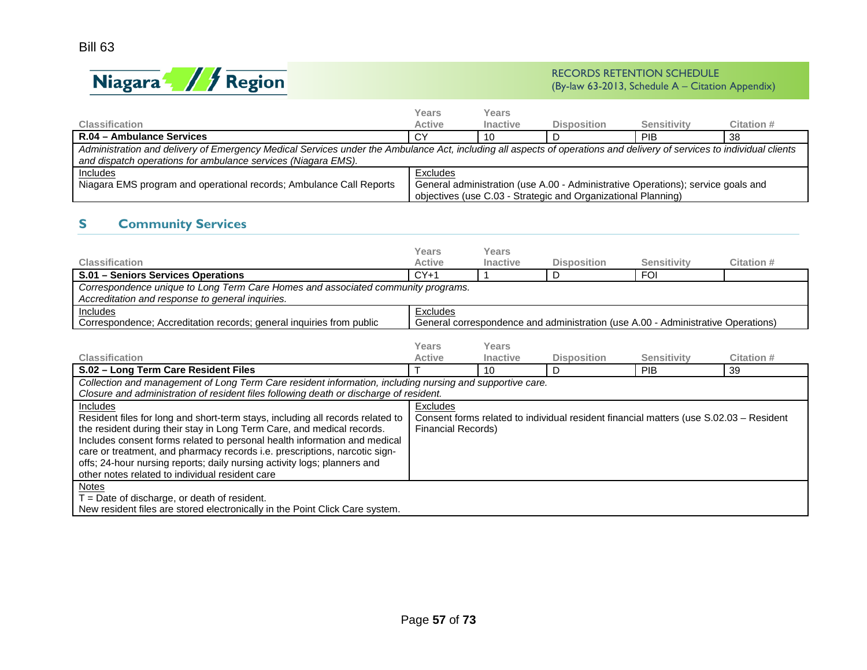

|                                                                                                                                                                                                                                        | Years         | Years           |                                                                                                                                                   |             |            |  |  |  |
|----------------------------------------------------------------------------------------------------------------------------------------------------------------------------------------------------------------------------------------|---------------|-----------------|---------------------------------------------------------------------------------------------------------------------------------------------------|-------------|------------|--|--|--|
| <b>Classification</b>                                                                                                                                                                                                                  | <b>Active</b> | <b>Inactive</b> | <b>Disposition</b>                                                                                                                                | Sensitivity | Citation # |  |  |  |
| R.04 - Ambulance Services                                                                                                                                                                                                              | СY            | 10              |                                                                                                                                                   | PIB.        | 38         |  |  |  |
| Administration and delivery of Emergency Medical Services under the Ambulance Act, including all aspects of operations and delivery of services to individual clients<br>and dispatch operations for ambulance services (Niagara EMS). |               |                 |                                                                                                                                                   |             |            |  |  |  |
| Includes<br>Niagara EMS program and operational records; Ambulance Call Reports                                                                                                                                                        | Excludes      |                 | General administration (use A.00 - Administrative Operations); service goals and<br>objectives (use C.03 - Strategic and Organizational Planning) |             |            |  |  |  |

# **S Community Services**

|                                                                                                          | Years                     | <b>Years</b>    |                                                                                        |                    |            |
|----------------------------------------------------------------------------------------------------------|---------------------------|-----------------|----------------------------------------------------------------------------------------|--------------------|------------|
| <b>Classification</b>                                                                                    | <b>Active</b>             | <b>Inactive</b> | <b>Disposition</b>                                                                     | <b>Sensitivity</b> | Citation # |
| S.01 - Seniors Services Operations                                                                       | $CY+1$                    |                 | D                                                                                      | <b>FOI</b>         |            |
| Correspondence unique to Long Term Care Homes and associated community programs.                         |                           |                 |                                                                                        |                    |            |
| Accreditation and response to general inquiries.                                                         |                           |                 |                                                                                        |                    |            |
| Includes                                                                                                 | Excludes                  |                 |                                                                                        |                    |            |
| Correspondence; Accreditation records; general inquiries from public                                     |                           |                 | General correspondence and administration (use A.00 - Administrative Operations)       |                    |            |
|                                                                                                          |                           |                 |                                                                                        |                    |            |
|                                                                                                          | Years                     | Years           |                                                                                        |                    |            |
| <b>Classification</b>                                                                                    | <b>Active</b>             | <b>Inactive</b> | <b>Disposition</b>                                                                     | <b>Sensitivity</b> | Citation # |
| S.02 - Long Term Care Resident Files                                                                     |                           | 10              | D                                                                                      | <b>PIB</b>         | 39         |
| Collection and management of Long Term Care resident information, including nursing and supportive care. |                           |                 |                                                                                        |                    |            |
| Closure and administration of resident files following death or discharge of resident.                   |                           |                 |                                                                                        |                    |            |
| Includes                                                                                                 | <b>Excludes</b>           |                 |                                                                                        |                    |            |
| Resident files for long and short-term stays, including all records related to                           |                           |                 | Consent forms related to individual resident financial matters (use S.02.03 - Resident |                    |            |
| the resident during their stay in Long Term Care, and medical records.                                   | <b>Financial Records)</b> |                 |                                                                                        |                    |            |
| Includes consent forms related to personal health information and medical                                |                           |                 |                                                                                        |                    |            |
| care or treatment, and pharmacy records i.e. prescriptions, narcotic sign-                               |                           |                 |                                                                                        |                    |            |
| offs; 24-hour nursing reports; daily nursing activity logs; planners and                                 |                           |                 |                                                                                        |                    |            |
| other notes related to individual resident care                                                          |                           |                 |                                                                                        |                    |            |
| Notes                                                                                                    |                           |                 |                                                                                        |                    |            |
| $T =$ Date of discharge, or death of resident.                                                           |                           |                 |                                                                                        |                    |            |
| New resident files are stored electronically in the Point Click Care system.                             |                           |                 |                                                                                        |                    |            |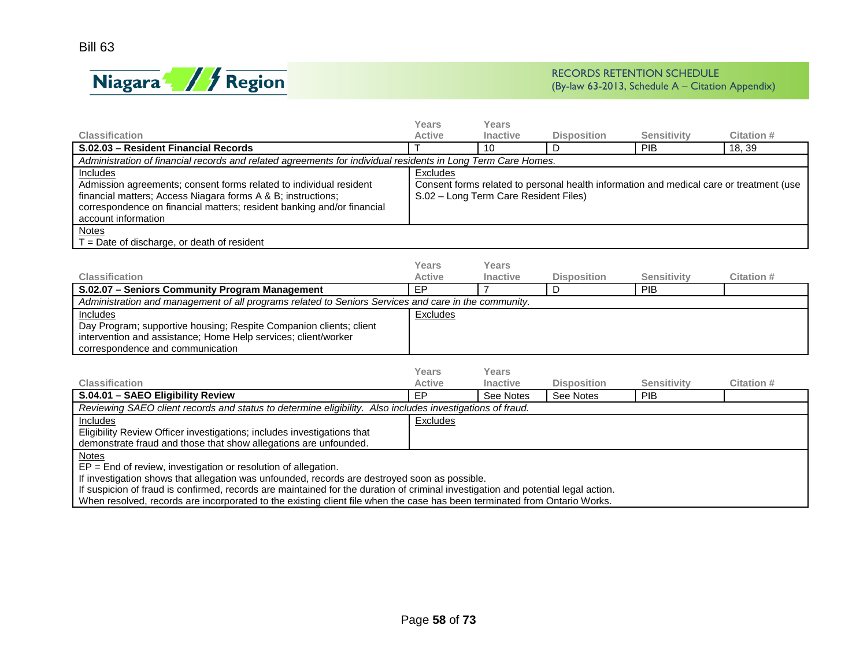

|                                                                                                                                                                                                                                                        | Years                                                                                                                                        | Years           |                    |                    |            |  |  |
|--------------------------------------------------------------------------------------------------------------------------------------------------------------------------------------------------------------------------------------------------------|----------------------------------------------------------------------------------------------------------------------------------------------|-----------------|--------------------|--------------------|------------|--|--|
| <b>Classification</b>                                                                                                                                                                                                                                  | <b>Active</b>                                                                                                                                | <b>Inactive</b> | <b>Disposition</b> | <b>Sensitivity</b> | Citation # |  |  |
| S.02.03 - Resident Financial Records                                                                                                                                                                                                                   |                                                                                                                                              | 10              |                    | <b>PIB</b>         | 18, 39     |  |  |
| Administration of financial records and related agreements for individual residents in Long Term Care Homes.                                                                                                                                           |                                                                                                                                              |                 |                    |                    |            |  |  |
| <b>Includes</b><br>Admission agreements; consent forms related to individual resident<br>financial matters; Access Niagara forms A & B; instructions;<br>correspondence on financial matters; resident banking and/or financial<br>account information | Excludes<br>Consent forms related to personal health information and medical care or treatment (use<br>S.02 - Long Term Care Resident Files) |                 |                    |                    |            |  |  |
| <b>Notes</b><br>$T =$ Date of discharge, or death of resident                                                                                                                                                                                          |                                                                                                                                              |                 |                    |                    |            |  |  |

|                                                                                                      | Years         | Years           |                    |             |            |  |  |
|------------------------------------------------------------------------------------------------------|---------------|-----------------|--------------------|-------------|------------|--|--|
| <b>Classification</b>                                                                                | <b>Active</b> | <b>Inactive</b> | <b>Disposition</b> | Sensitivity | Citation # |  |  |
| S.02.07 - Seniors Community Program Management                                                       | ЕP            |                 |                    | <b>PIB</b>  |            |  |  |
| Administration and management of all programs related to Seniors Services and care in the community. |               |                 |                    |             |            |  |  |
| <b>Includes</b>                                                                                      | Excludes      |                 |                    |             |            |  |  |
| Day Program; supportive housing; Respite Companion clients; client                                   |               |                 |                    |             |            |  |  |
| intervention and assistance; Home Help services; client/worker                                       |               |                 |                    |             |            |  |  |
| correspondence and communication                                                                     |               |                 |                    |             |            |  |  |

|                                                                                                           | Years         | Years           |                    |                    |            |
|-----------------------------------------------------------------------------------------------------------|---------------|-----------------|--------------------|--------------------|------------|
| <b>Classification</b>                                                                                     | <b>Active</b> | <b>Inactive</b> | <b>Disposition</b> | <b>Sensitivity</b> | Citation # |
| S.04.01 - SAEO Eligibility Review                                                                         | EP            | See Notes       | See Notes          | PIB.               |            |
| Reviewing SAEO client records and status to determine eligibility. Also includes investigations of fraud. |               |                 |                    |                    |            |
| Includes                                                                                                  | Excludes      |                 |                    |                    |            |
| Eligibility Review Officer investigations; includes investigations that                                   |               |                 |                    |                    |            |
| demonstrate fraud and those that show allegations are unfounded.                                          |               |                 |                    |                    |            |
| <b>Notes</b>                                                                                              |               |                 |                    |                    |            |
| $EP = End$ of review, investigation or resolution of allegation.                                          |               |                 |                    |                    |            |

If investigation shows that allegation was unfounded, records are destroyed soon as possible.

If suspicion of fraud is confirmed, records are maintained for the duration of criminal investigation and potential legal action.

When resolved, records are incorporated to the existing client file when the case has been terminated from Ontario Works.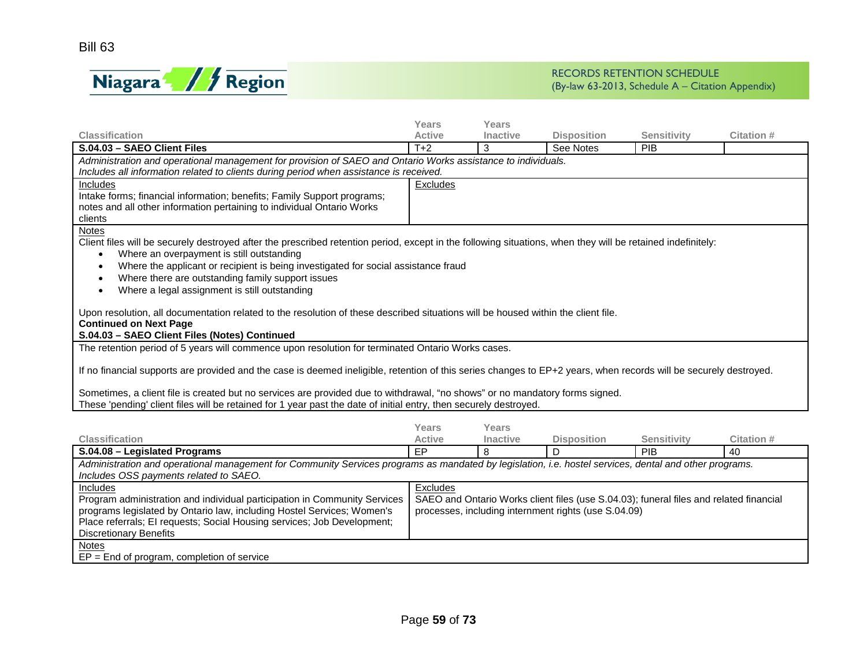

|                                                                                                                                                                   | Years         | Years    |                                                                                        |                    |            |  |  |  |  |  |
|-------------------------------------------------------------------------------------------------------------------------------------------------------------------|---------------|----------|----------------------------------------------------------------------------------------|--------------------|------------|--|--|--|--|--|
| <b>Classification</b>                                                                                                                                             | <b>Active</b> | Inactive | <b>Disposition</b>                                                                     | <b>Sensitivity</b> | Citation # |  |  |  |  |  |
| S.04.03 - SAEO Client Files                                                                                                                                       | $T+2$         | 3        | See Notes                                                                              | PIB                |            |  |  |  |  |  |
| Administration and operational management for provision of SAEO and Ontario Works assistance to individuals.                                                      |               |          |                                                                                        |                    |            |  |  |  |  |  |
| Includes all information related to clients during period when assistance is received.                                                                            |               |          |                                                                                        |                    |            |  |  |  |  |  |
| Includes                                                                                                                                                          | Excludes      |          |                                                                                        |                    |            |  |  |  |  |  |
| Intake forms; financial information; benefits; Family Support programs;                                                                                           |               |          |                                                                                        |                    |            |  |  |  |  |  |
| notes and all other information pertaining to individual Ontario Works                                                                                            |               |          |                                                                                        |                    |            |  |  |  |  |  |
| clients                                                                                                                                                           |               |          |                                                                                        |                    |            |  |  |  |  |  |
| Notes                                                                                                                                                             |               |          |                                                                                        |                    |            |  |  |  |  |  |
| Client files will be securely destroyed after the prescribed retention period, except in the following situations, when they will be retained indefinitely:       |               |          |                                                                                        |                    |            |  |  |  |  |  |
| Where an overpayment is still outstanding<br>$\bullet$                                                                                                            |               |          |                                                                                        |                    |            |  |  |  |  |  |
| Where the applicant or recipient is being investigated for social assistance fraud<br>$\bullet$                                                                   |               |          |                                                                                        |                    |            |  |  |  |  |  |
| Where there are outstanding family support issues<br>$\bullet$                                                                                                    |               |          |                                                                                        |                    |            |  |  |  |  |  |
| Where a legal assignment is still outstanding<br>$\bullet$                                                                                                        |               |          |                                                                                        |                    |            |  |  |  |  |  |
|                                                                                                                                                                   |               |          |                                                                                        |                    |            |  |  |  |  |  |
| Upon resolution, all documentation related to the resolution of these described situations will be housed within the client file.                                 |               |          |                                                                                        |                    |            |  |  |  |  |  |
| <b>Continued on Next Page</b>                                                                                                                                     |               |          |                                                                                        |                    |            |  |  |  |  |  |
| S.04.03 - SAEO Client Files (Notes) Continued                                                                                                                     |               |          |                                                                                        |                    |            |  |  |  |  |  |
| The retention period of 5 years will commence upon resolution for terminated Ontario Works cases.                                                                 |               |          |                                                                                        |                    |            |  |  |  |  |  |
| If no financial supports are provided and the case is deemed ineligible, retention of this series changes to EP+2 years, when records will be securely destroyed. |               |          |                                                                                        |                    |            |  |  |  |  |  |
|                                                                                                                                                                   |               |          |                                                                                        |                    |            |  |  |  |  |  |
| Sometimes, a client file is created but no services are provided due to withdrawal, "no shows" or no mandatory forms signed.                                      |               |          |                                                                                        |                    |            |  |  |  |  |  |
| These 'pending' client files will be retained for 1 year past the date of initial entry, then securely destroyed.                                                 |               |          |                                                                                        |                    |            |  |  |  |  |  |
|                                                                                                                                                                   |               |          |                                                                                        |                    |            |  |  |  |  |  |
|                                                                                                                                                                   | Years         | Years    |                                                                                        |                    |            |  |  |  |  |  |
| <b>Classification</b>                                                                                                                                             | <b>Active</b> | Inactive | <b>Disposition</b>                                                                     | <b>Sensitivity</b> | Citation # |  |  |  |  |  |
| S.04.08 - Legislated Programs                                                                                                                                     | EP            | 8        | D                                                                                      | PIB                | 40         |  |  |  |  |  |
| Administration and operational management for Community Services programs as mandated by legislation, i.e. hostel services, dental and other programs.            |               |          |                                                                                        |                    |            |  |  |  |  |  |
| Includes OSS payments related to SAEO.                                                                                                                            |               |          |                                                                                        |                    |            |  |  |  |  |  |
| Includes                                                                                                                                                          | Excludes      |          |                                                                                        |                    |            |  |  |  |  |  |
| Program administration and individual participation in Community Services                                                                                         |               |          | SAEO and Ontario Works client files (use S.04.03); funeral files and related financial |                    |            |  |  |  |  |  |
| programs legislated by Ontario law, including Hostel Services; Women's                                                                                            |               |          | processes, including internment rights (use S.04.09)                                   |                    |            |  |  |  |  |  |
| Place referrals; El requests; Social Housing services; Job Development;                                                                                           |               |          |                                                                                        |                    |            |  |  |  |  |  |
| <b>Discretionary Benefits</b>                                                                                                                                     |               |          |                                                                                        |                    |            |  |  |  |  |  |
| <b>Notes</b>                                                                                                                                                      |               |          |                                                                                        |                    |            |  |  |  |  |  |
| $EP = End$ of program, completion of service                                                                                                                      |               |          |                                                                                        |                    |            |  |  |  |  |  |
|                                                                                                                                                                   |               |          |                                                                                        |                    |            |  |  |  |  |  |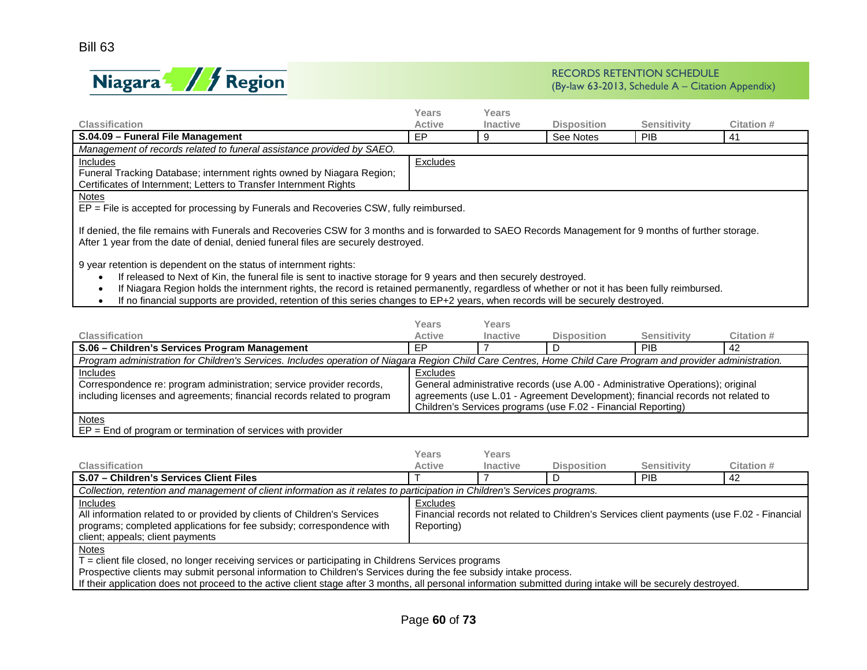

| <b>Classification</b>                                                                                                                                                                                                                                                                                                                                                                                                                                                      | Years<br><b>Active</b>                                                                                                                                                                                                                       | Years<br><b>Inactive</b> | <b>Disposition</b>                                                                                                                               | <b>Sensitivity</b> | Citation # |  |  |
|----------------------------------------------------------------------------------------------------------------------------------------------------------------------------------------------------------------------------------------------------------------------------------------------------------------------------------------------------------------------------------------------------------------------------------------------------------------------------|----------------------------------------------------------------------------------------------------------------------------------------------------------------------------------------------------------------------------------------------|--------------------------|--------------------------------------------------------------------------------------------------------------------------------------------------|--------------------|------------|--|--|
| S.04.09 - Funeral File Management                                                                                                                                                                                                                                                                                                                                                                                                                                          | EP                                                                                                                                                                                                                                           | 9                        | See Notes                                                                                                                                        | <b>PIB</b>         | 41         |  |  |
| Management of records related to funeral assistance provided by SAEO.                                                                                                                                                                                                                                                                                                                                                                                                      |                                                                                                                                                                                                                                              |                          |                                                                                                                                                  |                    |            |  |  |
| Includes                                                                                                                                                                                                                                                                                                                                                                                                                                                                   | <b>Excludes</b>                                                                                                                                                                                                                              |                          |                                                                                                                                                  |                    |            |  |  |
| Funeral Tracking Database; internment rights owned by Niagara Region;<br>Certificates of Internment; Letters to Transfer Internment Rights                                                                                                                                                                                                                                                                                                                                 |                                                                                                                                                                                                                                              |                          |                                                                                                                                                  |                    |            |  |  |
| <b>Notes</b><br>EP = File is accepted for processing by Funerals and Recoveries CSW, fully reimbursed.                                                                                                                                                                                                                                                                                                                                                                     |                                                                                                                                                                                                                                              |                          |                                                                                                                                                  |                    |            |  |  |
|                                                                                                                                                                                                                                                                                                                                                                                                                                                                            | If denied, the file remains with Funerals and Recoveries CSW for 3 months and is forwarded to SAEO Records Management for 9 months of further storage.<br>After 1 year from the date of denial, denied funeral files are securely destroyed. |                          |                                                                                                                                                  |                    |            |  |  |
| 9 year retention is dependent on the status of internment rights:<br>If released to Next of Kin, the funeral file is sent to inactive storage for 9 years and then securely destroyed.<br>If Niagara Region holds the internment rights, the record is retained permanently, regardless of whether or not it has been fully reimbursed.<br>If no financial supports are provided, retention of this series changes to EP+2 years, when records will be securely destroyed. |                                                                                                                                                                                                                                              |                          |                                                                                                                                                  |                    |            |  |  |
|                                                                                                                                                                                                                                                                                                                                                                                                                                                                            | Years                                                                                                                                                                                                                                        | Years                    |                                                                                                                                                  |                    |            |  |  |
| Classification                                                                                                                                                                                                                                                                                                                                                                                                                                                             | <b>Active</b>                                                                                                                                                                                                                                | <b>Inactive</b>          | <b>Disposition</b>                                                                                                                               | <b>Sensitivity</b> | Citation # |  |  |
| S.06 - Children's Services Program Management                                                                                                                                                                                                                                                                                                                                                                                                                              | <b>FP</b>                                                                                                                                                                                                                                    |                          | D                                                                                                                                                | PIB                | 42         |  |  |
| Program administration for Children's Services. Includes operation of Niagara Region Child Care Centres, Home Child Care Program and provider administration.                                                                                                                                                                                                                                                                                                              |                                                                                                                                                                                                                                              |                          |                                                                                                                                                  |                    |            |  |  |
| Includes                                                                                                                                                                                                                                                                                                                                                                                                                                                                   | <b>Excludes</b>                                                                                                                                                                                                                              |                          |                                                                                                                                                  |                    |            |  |  |
| Correspondence re: program administration; service provider records,                                                                                                                                                                                                                                                                                                                                                                                                       | General administrative records (use A.00 - Administrative Operations); original                                                                                                                                                              |                          |                                                                                                                                                  |                    |            |  |  |
| including licenses and agreements; financial records related to program                                                                                                                                                                                                                                                                                                                                                                                                    |                                                                                                                                                                                                                                              |                          | agreements (use L.01 - Agreement Development); financial records not related to<br>Children's Services programs (use F.02 - Financial Reporting) |                    |            |  |  |
| <b>Notes</b><br>ED. End of proprietor of topological or of oppulses with provider                                                                                                                                                                                                                                                                                                                                                                                          |                                                                                                                                                                                                                                              |                          |                                                                                                                                                  |                    |            |  |  |

EP = End of program or termination of services with provider

| <b>Classification</b>                                                                                                                                                                                    | Years<br><b>Active</b> | Years<br><b>Inactive</b> | <b>Disposition</b> | Sensitivity                                                                                | Citation # |
|----------------------------------------------------------------------------------------------------------------------------------------------------------------------------------------------------------|------------------------|--------------------------|--------------------|--------------------------------------------------------------------------------------------|------------|
| S.07 - Children's Services Client Files                                                                                                                                                                  |                        |                          |                    | <b>PIB</b>                                                                                 | -42        |
| Collection, retention and management of client information as it relates to participation in Children's Services programs.                                                                               |                        |                          |                    |                                                                                            |            |
| <b>Includes</b><br>All information related to or provided by clients of Children's Services<br>programs; completed applications for fee subsidy; correspondence with<br>client; appeals; client payments | Excludes<br>Reporting) |                          |                    | Financial records not related to Children's Services client payments (use F.02 - Financial |            |
| $\frac{\text{Notes}}{\text{The image}}$<br>.                                                                                                                                                             |                        |                          |                    |                                                                                            |            |

T = client file closed, no longer receiving services or participating in Childrens Services programs

Prospective clients may submit personal information to Children's Services during the fee subsidy intake process.

If their application does not proceed to the active client stage after 3 months, all personal information submitted during intake will be securely destroyed.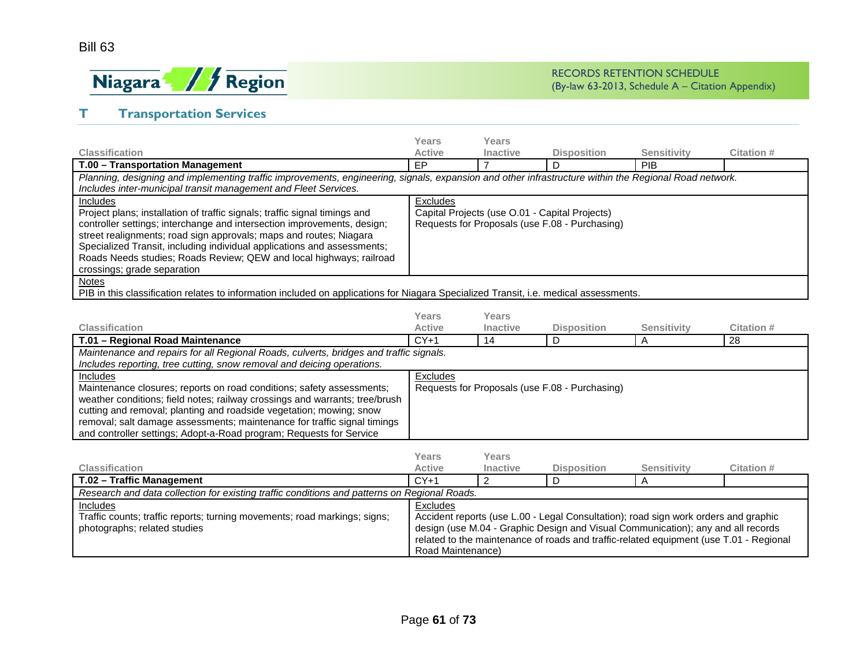

# **T Transportation Services**

|                                                                                                                                                                                                                                                                                                                                                                                                                                                          | Years         | Years           |                                                                                                  |                    |            |  |
|----------------------------------------------------------------------------------------------------------------------------------------------------------------------------------------------------------------------------------------------------------------------------------------------------------------------------------------------------------------------------------------------------------------------------------------------------------|---------------|-----------------|--------------------------------------------------------------------------------------------------|--------------------|------------|--|
| <b>Classification</b>                                                                                                                                                                                                                                                                                                                                                                                                                                    | <b>Active</b> | <b>Inactive</b> | <b>Disposition</b>                                                                               | <b>Sensitivity</b> | Citation # |  |
| T.00 - Transportation Management                                                                                                                                                                                                                                                                                                                                                                                                                         | EP            |                 | D                                                                                                | PIB                |            |  |
| Planning, designing and implementing traffic improvements, engineering, signals, expansion and other infrastructure within the Regional Road network.<br>Includes inter-municipal transit management and Fleet Services.                                                                                                                                                                                                                                 |               |                 |                                                                                                  |                    |            |  |
| Includes<br>Project plans; installation of traffic signals; traffic signal timings and<br>controller settings; interchange and intersection improvements, design;<br>street realignments; road sign approvals; maps and routes; Niagara<br>Specialized Transit, including individual applications and assessments;<br>Roads Needs studies; Roads Review; QEW and local highways; railroad<br>crossings; grade separation                                 | Excludes      |                 | Capital Projects (use O.01 - Capital Projects)<br>Requests for Proposals (use F.08 - Purchasing) |                    |            |  |
| <b>Notes</b><br>PIB in this classification relates to information included on applications for Niagara Specialized Transit, i.e. medical assessments.                                                                                                                                                                                                                                                                                                    | Years         | Years           |                                                                                                  |                    |            |  |
| <b>Classification</b>                                                                                                                                                                                                                                                                                                                                                                                                                                    | <b>Active</b> | <b>Inactive</b> | <b>Disposition</b>                                                                               | <b>Sensitivity</b> | Citation # |  |
| T.01 - Regional Road Maintenance                                                                                                                                                                                                                                                                                                                                                                                                                         | $CY+1$        | 14              | D                                                                                                | A                  | 28         |  |
| Maintenance and repairs for all Regional Roads, culverts, bridges and traffic signals.                                                                                                                                                                                                                                                                                                                                                                   |               |                 |                                                                                                  |                    |            |  |
| Includes reporting, tree cutting, snow removal and deicing operations.                                                                                                                                                                                                                                                                                                                                                                                   |               |                 |                                                                                                  |                    |            |  |
| Includes<br>Excludes<br>Requests for Proposals (use F.08 - Purchasing)<br>Maintenance closures; reports on road conditions; safety assessments;<br>weather conditions; field notes; railway crossings and warrants; tree/brush<br>cutting and removal; planting and roadside vegetation; mowing; snow<br>removal; salt damage assessments; maintenance for traffic signal timings<br>and controller settings; Adopt-a-Road program; Requests for Service |               |                 |                                                                                                  |                    |            |  |

| <b>Classification</b>                                                                                                 | Years<br><b>Active</b>                                                                       | Years<br><b>Inactive</b> | <b>Disposition</b> | Sensitivity                                                                                                                                                                                                                                                       | Citation # |  |
|-----------------------------------------------------------------------------------------------------------------------|----------------------------------------------------------------------------------------------|--------------------------|--------------------|-------------------------------------------------------------------------------------------------------------------------------------------------------------------------------------------------------------------------------------------------------------------|------------|--|
| T.02 - Traffic Management                                                                                             | $CY+1$                                                                                       |                          |                    |                                                                                                                                                                                                                                                                   |            |  |
|                                                                                                                       | Research and data collection for existing traffic conditions and patterns on Regional Roads. |                          |                    |                                                                                                                                                                                                                                                                   |            |  |
| Includes<br>Traffic counts; traffic reports; turning movements; road markings; signs;<br>photographs; related studies | Excludes<br>Road Maintenance)                                                                |                          |                    | Accident reports (use L.00 - Legal Consultation); road sign work orders and graphic<br>design (use M.04 - Graphic Design and Visual Communication); any and all records<br>related to the maintenance of roads and traffic-related equipment (use T.01 - Regional |            |  |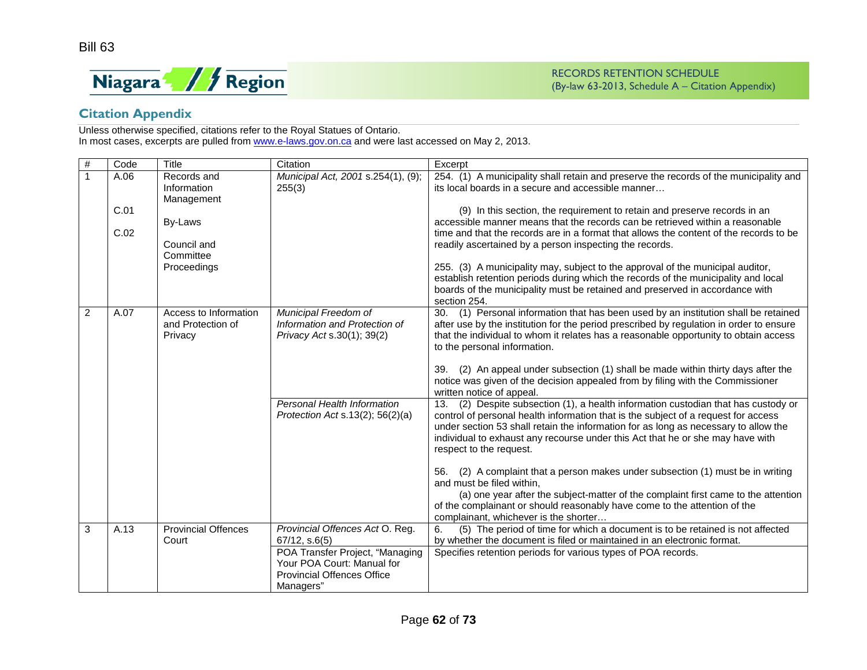

# **Citation Appendix**

Unless otherwise specified, citations refer to the Royal Statues of Ontario. In most cases, excerpts are pulled fro[m www.e-laws.gov.on.ca](http://www.e-laws.gov.on.ca/) and were last accessed on May 2, 2013.

| #              | Code         | Title                                                 | Citation                                                                                                        | Excerpt                                                                                                                                                                                                                                                                                                                                                                         |
|----------------|--------------|-------------------------------------------------------|-----------------------------------------------------------------------------------------------------------------|---------------------------------------------------------------------------------------------------------------------------------------------------------------------------------------------------------------------------------------------------------------------------------------------------------------------------------------------------------------------------------|
|                | A.06         | Records and<br>Information<br>Management              | Municipal Act, 2001 s.254(1), (9);<br>255(3)                                                                    | 254. (1) A municipality shall retain and preserve the records of the municipality and<br>its local boards in a secure and accessible manner                                                                                                                                                                                                                                     |
|                | C.01<br>C.02 | By-Laws<br>Council and<br>Committee                   |                                                                                                                 | (9) In this section, the requirement to retain and preserve records in an<br>accessible manner means that the records can be retrieved within a reasonable<br>time and that the records are in a format that allows the content of the records to be<br>readily ascertained by a person inspecting the records.                                                                 |
|                |              | Proceedings                                           |                                                                                                                 | 255. (3) A municipality may, subject to the approval of the municipal auditor,<br>establish retention periods during which the records of the municipality and local<br>boards of the municipality must be retained and preserved in accordance with<br>section 254.                                                                                                            |
| $\overline{2}$ | A.07         | Access to Information<br>and Protection of<br>Privacy | Municipal Freedom of<br>Information and Protection of<br>Privacy Act s.30(1); 39(2)                             | (1) Personal information that has been used by an institution shall be retained<br>30.<br>after use by the institution for the period prescribed by regulation in order to ensure<br>that the individual to whom it relates has a reasonable opportunity to obtain access<br>to the personal information.                                                                       |
|                |              |                                                       |                                                                                                                 | (2) An appeal under subsection (1) shall be made within thirty days after the<br>39.<br>notice was given of the decision appealed from by filing with the Commissioner<br>written notice of appeal.                                                                                                                                                                             |
|                |              |                                                       | Personal Health Information<br>Protection Act s.13(2); $56(2)(a)$                                               | (2) Despite subsection (1), a health information custodian that has custody or<br>13.<br>control of personal health information that is the subject of a request for access<br>under section 53 shall retain the information for as long as necessary to allow the<br>individual to exhaust any recourse under this Act that he or she may have with<br>respect to the request. |
|                |              |                                                       |                                                                                                                 | (2) A complaint that a person makes under subsection (1) must be in writing<br>56.<br>and must be filed within.<br>(a) one year after the subject-matter of the complaint first came to the attention<br>of the complainant or should reasonably have come to the attention of the<br>complainant, whichever is the shorter                                                     |
| 3              | A.13         | <b>Provincial Offences</b><br>Court                   | Provincial Offences Act O. Reg.<br>$67/12$ , s. $6(5)$                                                          | (5) The period of time for which a document is to be retained is not affected<br>6.<br>by whether the document is filed or maintained in an electronic format.                                                                                                                                                                                                                  |
|                |              |                                                       | POA Transfer Project, "Managing<br>Your POA Court: Manual for<br><b>Provincial Offences Office</b><br>Managers" | Specifies retention periods for various types of POA records.                                                                                                                                                                                                                                                                                                                   |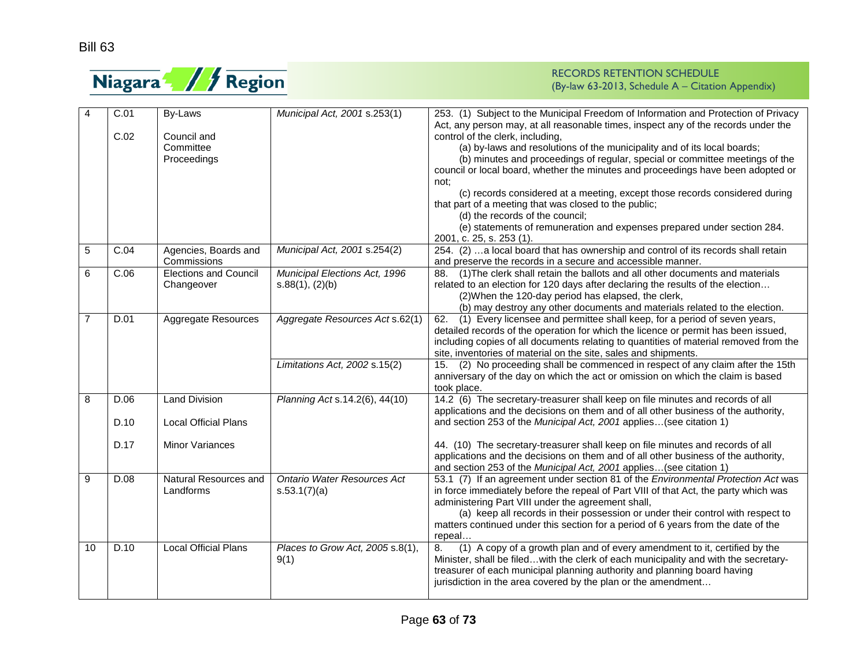

| $\overline{4}$          | C.01 | By-Laws                      | Municipal Act, 2001 s.253(1)     | 253. (1) Subject to the Municipal Freedom of Information and Protection of Privacy<br>Act, any person may, at all reasonable times, inspect any of the records under the |
|-------------------------|------|------------------------------|----------------------------------|--------------------------------------------------------------------------------------------------------------------------------------------------------------------------|
|                         | C.02 | Council and                  |                                  | control of the clerk, including,                                                                                                                                         |
|                         |      | Committee                    |                                  | (a) by-laws and resolutions of the municipality and of its local boards;                                                                                                 |
|                         |      | Proceedings                  |                                  | (b) minutes and proceedings of regular, special or committee meetings of the                                                                                             |
|                         |      |                              |                                  | council or local board, whether the minutes and proceedings have been adopted or                                                                                         |
|                         |      |                              |                                  | not:                                                                                                                                                                     |
|                         |      |                              |                                  | (c) records considered at a meeting, except those records considered during                                                                                              |
|                         |      |                              |                                  | that part of a meeting that was closed to the public;                                                                                                                    |
|                         |      |                              |                                  | (d) the records of the council;                                                                                                                                          |
|                         |      |                              |                                  | (e) statements of remuneration and expenses prepared under section 284.                                                                                                  |
|                         |      |                              |                                  | 2001, c. 25, s. 253 (1).                                                                                                                                                 |
| $\sqrt{5}$              | C.04 | Agencies, Boards and         | Municipal Act, 2001 s.254(2)     | 254. (2) a local board that has ownership and control of its records shall retain                                                                                        |
|                         |      | Commissions                  |                                  | and preserve the records in a secure and accessible manner.                                                                                                              |
| 6                       | C.06 | <b>Elections and Council</b> |                                  | (1) The clerk shall retain the ballots and all other documents and materials                                                                                             |
|                         |      | Changeover                   | Municipal Elections Act, 1996    | 88.                                                                                                                                                                      |
|                         |      |                              | s.88(1), (2)(b)                  | related to an election for 120 days after declaring the results of the election                                                                                          |
|                         |      |                              |                                  | (2) When the 120-day period has elapsed, the clerk,                                                                                                                      |
|                         |      |                              |                                  | (b) may destroy any other documents and materials related to the election.                                                                                               |
| $\overline{7}$          | D.01 | <b>Aggregate Resources</b>   | Aggregate Resources Act s.62(1)  | (1) Every licensee and permittee shall keep, for a period of seven years,<br>62.                                                                                         |
|                         |      |                              |                                  | detailed records of the operation for which the licence or permit has been issued,                                                                                       |
|                         |      |                              |                                  | including copies of all documents relating to quantities of material removed from the                                                                                    |
|                         |      |                              |                                  | site, inventories of material on the site, sales and shipments.                                                                                                          |
|                         |      |                              | Limitations Act, 2002 s.15(2)    | (2) No proceeding shall be commenced in respect of any claim after the 15th<br>15.                                                                                       |
|                         |      |                              |                                  | anniversary of the day on which the act or omission on which the claim is based                                                                                          |
|                         |      |                              |                                  | took place.                                                                                                                                                              |
| $\overline{\mathbf{8}}$ | D.06 | <b>Land Division</b>         | Planning Act s.14.2(6), 44(10)   | 14.2 (6) The secretary-treasurer shall keep on file minutes and records of all                                                                                           |
|                         |      |                              |                                  | applications and the decisions on them and of all other business of the authority,                                                                                       |
|                         | D.10 | <b>Local Official Plans</b>  |                                  | and section 253 of the Municipal Act, 2001 applies(see citation 1)                                                                                                       |
|                         |      |                              |                                  |                                                                                                                                                                          |
|                         | D.17 | <b>Minor Variances</b>       |                                  | 44. (10) The secretary-treasurer shall keep on file minutes and records of all                                                                                           |
|                         |      |                              |                                  | applications and the decisions on them and of all other business of the authority,                                                                                       |
|                         |      |                              |                                  | and section 253 of the Municipal Act, 2001 applies(see citation 1)                                                                                                       |
| 9                       | D.08 | Natural Resources and        | Ontario Water Resources Act      | 53.1 (7) If an agreement under section 81 of the Environmental Protection Act was                                                                                        |
|                         |      | Landforms                    | s.53.1(7)(a)                     | in force immediately before the repeal of Part VIII of that Act, the party which was                                                                                     |
|                         |      |                              |                                  | administering Part VIII under the agreement shall,                                                                                                                       |
|                         |      |                              |                                  | (a) keep all records in their possession or under their control with respect to                                                                                          |
|                         |      |                              |                                  | matters continued under this section for a period of 6 years from the date of the                                                                                        |
|                         |      |                              |                                  | repeal                                                                                                                                                                   |
| 10                      | D.10 | Local Official Plans         | Places to Grow Act, 2005 s.8(1), | (1) A copy of a growth plan and of every amendment to it, certified by the<br>8.                                                                                         |
|                         |      |                              | 9(1)                             | Minister, shall be filedwith the clerk of each municipality and with the secretary-                                                                                      |
|                         |      |                              |                                  | treasurer of each municipal planning authority and planning board having                                                                                                 |
|                         |      |                              |                                  | jurisdiction in the area covered by the plan or the amendment                                                                                                            |
|                         |      |                              |                                  |                                                                                                                                                                          |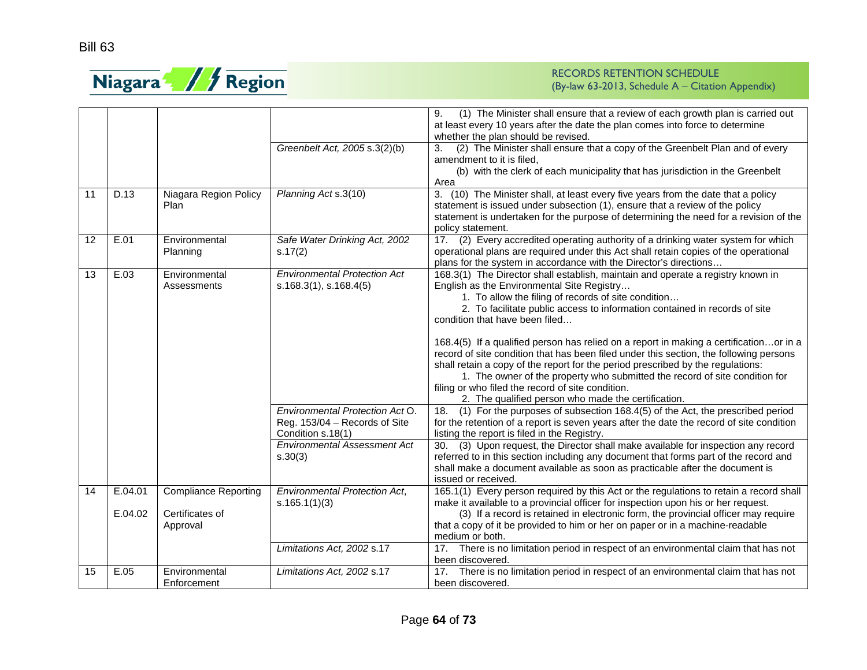

|    |                    |                                                            |                                                                                                  | 9.<br>(1) The Minister shall ensure that a review of each growth plan is carried out<br>at least every 10 years after the date the plan comes into force to determine<br>whether the plan should be revised.                                                                                                                                                                                                                                                                                                                                                                                                                                                                                                                                                                                                                                                |
|----|--------------------|------------------------------------------------------------|--------------------------------------------------------------------------------------------------|-------------------------------------------------------------------------------------------------------------------------------------------------------------------------------------------------------------------------------------------------------------------------------------------------------------------------------------------------------------------------------------------------------------------------------------------------------------------------------------------------------------------------------------------------------------------------------------------------------------------------------------------------------------------------------------------------------------------------------------------------------------------------------------------------------------------------------------------------------------|
|    |                    |                                                            | Greenbelt Act, 2005 s.3(2)(b)                                                                    | (2) The Minister shall ensure that a copy of the Greenbelt Plan and of every<br>3.<br>amendment to it is filed.<br>(b) with the clerk of each municipality that has jurisdiction in the Greenbelt<br>Area                                                                                                                                                                                                                                                                                                                                                                                                                                                                                                                                                                                                                                                   |
| 11 | D.13               | Niagara Region Policy<br>Plan                              | Planning Act s.3(10)                                                                             | 3. (10) The Minister shall, at least every five years from the date that a policy<br>statement is issued under subsection (1), ensure that a review of the policy<br>statement is undertaken for the purpose of determining the need for a revision of the<br>policy statement.                                                                                                                                                                                                                                                                                                                                                                                                                                                                                                                                                                             |
| 12 | E.01               | Environmental<br>Planning                                  | Safe Water Drinking Act, 2002<br>s.17(2)                                                         | 17. (2) Every accredited operating authority of a drinking water system for which<br>operational plans are required under this Act shall retain copies of the operational<br>plans for the system in accordance with the Director's directions                                                                                                                                                                                                                                                                                                                                                                                                                                                                                                                                                                                                              |
| 13 | E.03               | Environmental<br>Assessments                               | <b>Environmental Protection Act</b><br>s.168.3(1), s.168.4(5)<br>Environmental Protection Act O. | 168.3(1) The Director shall establish, maintain and operate a registry known in<br>English as the Environmental Site Registry<br>1. To allow the filing of records of site condition<br>2. To facilitate public access to information contained in records of site<br>condition that have been filed<br>168.4(5) If a qualified person has relied on a report in making a certificationor in a<br>record of site condition that has been filed under this section, the following persons<br>shall retain a copy of the report for the period prescribed by the regulations:<br>1. The owner of the property who submitted the record of site condition for<br>filing or who filed the record of site condition.<br>2. The qualified person who made the certification.<br>18. (1) For the purposes of subsection 168.4(5) of the Act, the prescribed period |
|    |                    |                                                            | Reg. 153/04 - Records of Site<br>Condition s.18(1)                                               | for the retention of a report is seven years after the date the record of site condition<br>listing the report is filed in the Registry.                                                                                                                                                                                                                                                                                                                                                                                                                                                                                                                                                                                                                                                                                                                    |
|    |                    |                                                            | <b>Environmental Assessment Act</b><br>s.30(3)                                                   | 30. (3) Upon request, the Director shall make available for inspection any record<br>referred to in this section including any document that forms part of the record and<br>shall make a document available as soon as practicable after the document is<br>issued or received.                                                                                                                                                                                                                                                                                                                                                                                                                                                                                                                                                                            |
| 14 | E.04.01<br>E.04.02 | <b>Compliance Reporting</b><br>Certificates of<br>Approval | <b>Environmental Protection Act,</b><br>s.165.1(1)(3)                                            | 165.1(1) Every person required by this Act or the regulations to retain a record shall<br>make it available to a provincial officer for inspection upon his or her request.<br>(3) If a record is retained in electronic form, the provincial officer may require<br>that a copy of it be provided to him or her on paper or in a machine-readable<br>medium or both.                                                                                                                                                                                                                                                                                                                                                                                                                                                                                       |
|    |                    |                                                            | Limitations Act, 2002 s.17                                                                       | 17. There is no limitation period in respect of an environmental claim that has not<br>been discovered.                                                                                                                                                                                                                                                                                                                                                                                                                                                                                                                                                                                                                                                                                                                                                     |
| 15 | E.05               | Environmental<br>Enforcement                               | Limitations Act, 2002 s.17                                                                       | 17. There is no limitation period in respect of an environmental claim that has not<br>been discovered.                                                                                                                                                                                                                                                                                                                                                                                                                                                                                                                                                                                                                                                                                                                                                     |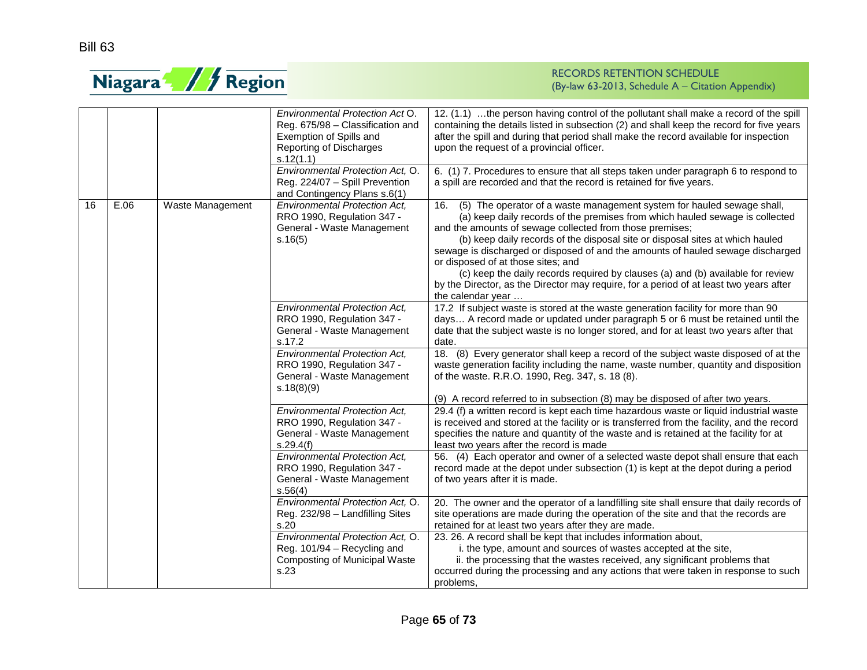

|    |      |                         | Environmental Protection Act O.<br>Reg. 675/98 - Classification and<br>Exemption of Spills and<br>Reporting of Discharges<br>s.12(1.1) | 12. (1.1) the person having control of the pollutant shall make a record of the spill<br>containing the details listed in subsection (2) and shall keep the record for five years<br>after the spill and during that period shall make the record available for inspection<br>upon the request of a provincial officer.                                                                                                                                                                                                                                                                                                               |
|----|------|-------------------------|----------------------------------------------------------------------------------------------------------------------------------------|---------------------------------------------------------------------------------------------------------------------------------------------------------------------------------------------------------------------------------------------------------------------------------------------------------------------------------------------------------------------------------------------------------------------------------------------------------------------------------------------------------------------------------------------------------------------------------------------------------------------------------------|
|    |      |                         | Environmental Protection Act, O.<br>Reg. 224/07 - Spill Prevention<br>and Contingency Plans s.6(1)                                     | 6. (1) 7. Procedures to ensure that all steps taken under paragraph 6 to respond to<br>a spill are recorded and that the record is retained for five years.                                                                                                                                                                                                                                                                                                                                                                                                                                                                           |
| 16 | E.06 | <b>Waste Management</b> | <b>Environmental Protection Act.</b><br>RRO 1990, Regulation 347 -<br>General - Waste Management<br>s.16(5)                            | (5) The operator of a waste management system for hauled sewage shall,<br>16.<br>(a) keep daily records of the premises from which hauled sewage is collected<br>and the amounts of sewage collected from those premises;<br>(b) keep daily records of the disposal site or disposal sites at which hauled<br>sewage is discharged or disposed of and the amounts of hauled sewage discharged<br>or disposed of at those sites; and<br>(c) keep the daily records required by clauses (a) and (b) available for review<br>by the Director, as the Director may require, for a period of at least two years after<br>the calendar year |
|    |      |                         | <b>Environmental Protection Act,</b><br>RRO 1990, Regulation 347 -<br>General - Waste Management<br>s.17.2                             | 17.2 If subject waste is stored at the waste generation facility for more than 90<br>days A record made or updated under paragraph 5 or 6 must be retained until the<br>date that the subject waste is no longer stored, and for at least two years after that<br>date.                                                                                                                                                                                                                                                                                                                                                               |
|    |      |                         | <b>Environmental Protection Act,</b><br>RRO 1990, Regulation 347 -<br>General - Waste Management<br>s.18(8)(9)                         | 18. (8) Every generator shall keep a record of the subject waste disposed of at the<br>waste generation facility including the name, waste number, quantity and disposition<br>of the waste. R.R.O. 1990, Reg. 347, s. 18 (8).<br>(9) A record referred to in subsection (8) may be disposed of after two years.                                                                                                                                                                                                                                                                                                                      |
|    |      |                         | <b>Environmental Protection Act,</b><br>RRO 1990, Regulation 347 -<br>General - Waste Management<br>s.29.4(f)                          | 29.4 (f) a written record is kept each time hazardous waste or liquid industrial waste<br>is received and stored at the facility or is transferred from the facility, and the record<br>specifies the nature and quantity of the waste and is retained at the facility for at<br>least two years after the record is made                                                                                                                                                                                                                                                                                                             |
|    |      |                         | <b>Environmental Protection Act,</b><br>RRO 1990, Regulation 347 -<br>General - Waste Management<br>s.56(4)                            | 56. (4) Each operator and owner of a selected waste depot shall ensure that each<br>record made at the depot under subsection (1) is kept at the depot during a period<br>of two years after it is made.                                                                                                                                                                                                                                                                                                                                                                                                                              |
|    |      |                         | Environmental Protection Act, O.<br>Reg. 232/98 - Landfilling Sites<br>s.20                                                            | 20. The owner and the operator of a landfilling site shall ensure that daily records of<br>site operations are made during the operation of the site and that the records are<br>retained for at least two years after they are made.                                                                                                                                                                                                                                                                                                                                                                                                 |
|    |      |                         | Environmental Protection Act, O.<br>Reg. 101/94 - Recycling and<br>Composting of Municipal Waste<br>s.23                               | 23. 26. A record shall be kept that includes information about,<br>i. the type, amount and sources of wastes accepted at the site,<br>ii. the processing that the wastes received, any significant problems that<br>occurred during the processing and any actions that were taken in response to such<br>problems,                                                                                                                                                                                                                                                                                                                   |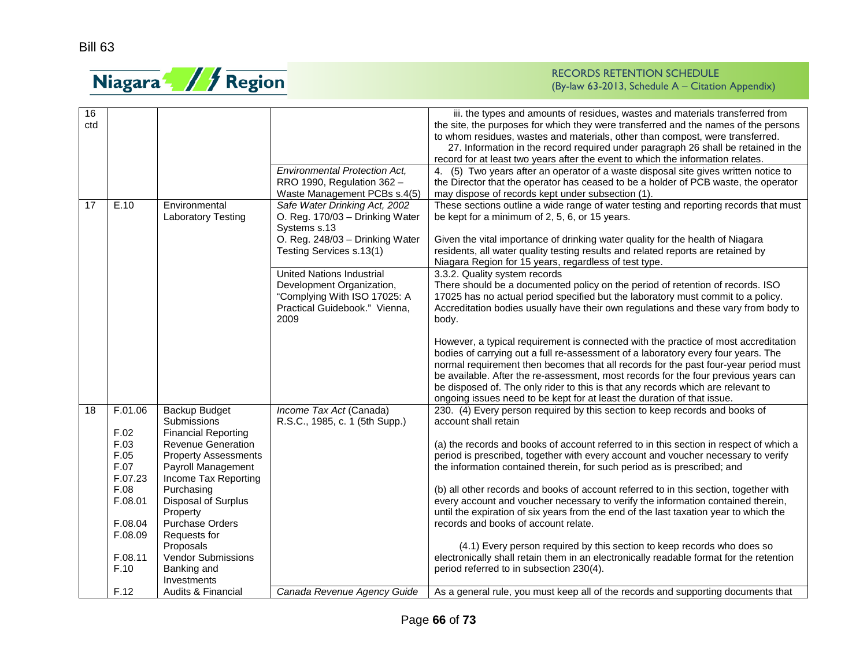

| 16  |         |                               |                                      | iii. the types and amounts of residues, wastes and materials transferred from           |
|-----|---------|-------------------------------|--------------------------------------|-----------------------------------------------------------------------------------------|
| ctd |         |                               |                                      | the site, the purposes for which they were transferred and the names of the persons     |
|     |         |                               |                                      | to whom residues, wastes and materials, other than compost, were transferred.           |
|     |         |                               |                                      | 27. Information in the record required under paragraph 26 shall be retained in the      |
|     |         |                               |                                      | record for at least two years after the event to which the information relates.         |
|     |         |                               | <b>Environmental Protection Act,</b> | 4. (5) Two years after an operator of a waste disposal site gives written notice to     |
|     |         |                               | RRO 1990, Regulation 362 -           | the Director that the operator has ceased to be a holder of PCB waste, the operator     |
|     |         |                               | Waste Management PCBs s.4(5)         | may dispose of records kept under subsection (1).                                       |
| 17  | E.10    | Environmental                 | Safe Water Drinking Act, 2002        | These sections outline a wide range of water testing and reporting records that must    |
|     |         | <b>Laboratory Testing</b>     | O. Reg. 170/03 - Drinking Water      | be kept for a minimum of 2, 5, 6, or 15 years.                                          |
|     |         |                               | Systems s.13                         |                                                                                         |
|     |         |                               | O. Reg. 248/03 - Drinking Water      | Given the vital importance of drinking water quality for the health of Niagara          |
|     |         |                               | Testing Services s.13(1)             | residents, all water quality testing results and related reports are retained by        |
|     |         |                               |                                      | Niagara Region for 15 years, regardless of test type.                                   |
|     |         |                               | <b>United Nations Industrial</b>     | 3.3.2. Quality system records                                                           |
|     |         |                               | Development Organization,            | There should be a documented policy on the period of retention of records. ISO          |
|     |         |                               | "Complying With ISO 17025: A         | 17025 has no actual period specified but the laboratory must commit to a policy.        |
|     |         |                               | Practical Guidebook." Vienna,        | Accreditation bodies usually have their own regulations and these vary from body to     |
|     |         |                               | 2009                                 |                                                                                         |
|     |         |                               |                                      | body.                                                                                   |
|     |         |                               |                                      | However, a typical requirement is connected with the practice of most accreditation     |
|     |         |                               |                                      | bodies of carrying out a full re-assessment of a laboratory every four years. The       |
|     |         |                               |                                      | normal requirement then becomes that all records for the past four-year period must     |
|     |         |                               |                                      | be available. After the re-assessment, most records for the four previous years can     |
|     |         |                               |                                      | be disposed of. The only rider to this is that any records which are relevant to        |
|     |         |                               |                                      | ongoing issues need to be kept for at least the duration of that issue.                 |
| 18  | F.01.06 | Backup Budget                 | Income Tax Act (Canada)              | 230. (4) Every person required by this section to keep records and books of             |
|     |         | Submissions                   | R.S.C., 1985, c. 1 (5th Supp.)       | account shall retain                                                                    |
|     | F.02    | <b>Financial Reporting</b>    |                                      |                                                                                         |
|     | F.03    | <b>Revenue Generation</b>     |                                      | (a) the records and books of account referred to in this section in respect of which a  |
|     | F.05    | <b>Property Assessments</b>   |                                      | period is prescribed, together with every account and voucher necessary to verify       |
|     | F.07    | Payroll Management            |                                      | the information contained therein, for such period as is prescribed; and                |
|     | F.07.23 | Income Tax Reporting          |                                      |                                                                                         |
|     | F.08    | Purchasing                    |                                      | (b) all other records and books of account referred to in this section, together with   |
|     | F.08.01 | Disposal of Surplus           |                                      | every account and voucher necessary to verify the information contained therein,        |
|     |         | Property                      |                                      | until the expiration of six years from the end of the last taxation year to which the   |
|     | F.08.04 | <b>Purchase Orders</b>        |                                      | records and books of account relate.                                                    |
|     | F.08.09 | Requests for                  |                                      |                                                                                         |
|     |         | Proposals                     |                                      | (4.1) Every person required by this section to keep records who does so                 |
|     | F.08.11 | <b>Vendor Submissions</b>     |                                      | electronically shall retain them in an electronically readable format for the retention |
|     | F.10    | Banking and                   |                                      | period referred to in subsection 230(4).                                                |
|     |         | Investments                   |                                      |                                                                                         |
|     |         |                               |                                      |                                                                                         |
|     | F.12    | <b>Audits &amp; Financial</b> | Canada Revenue Agency Guide          | As a general rule, you must keep all of the records and supporting documents that       |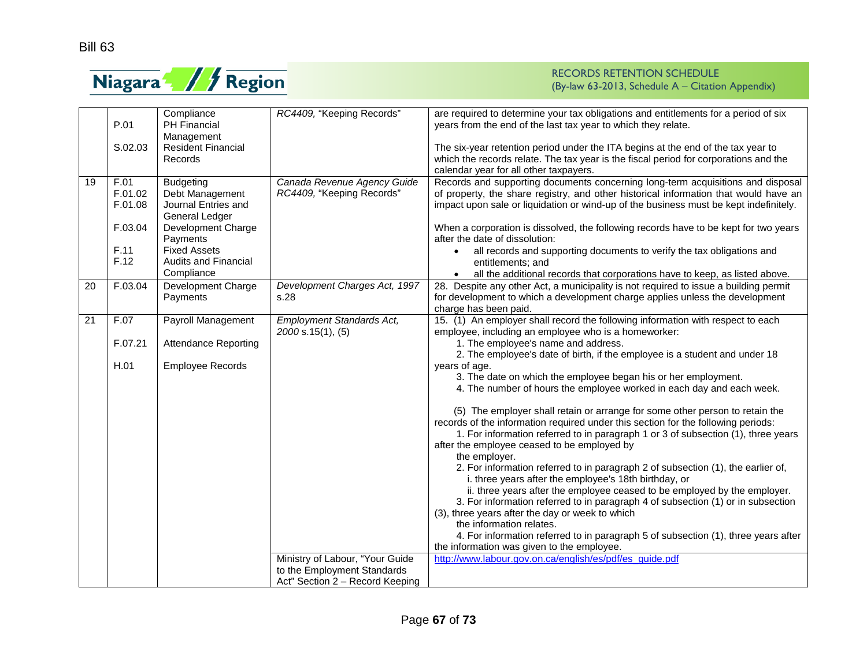

|    |         | Compliance                  | RC4409, "Keeping Records"       | are required to determine your tax obligations and entitlements for a period of six   |
|----|---------|-----------------------------|---------------------------------|---------------------------------------------------------------------------------------|
|    | P.01    | <b>PH Financial</b>         |                                 | years from the end of the last tax year to which they relate.                         |
|    |         | Management                  |                                 |                                                                                       |
|    | S.02.03 | <b>Resident Financial</b>   |                                 | The six-year retention period under the ITA begins at the end of the tax year to      |
|    |         | Records                     |                                 | which the records relate. The tax year is the fiscal period for corporations and the  |
|    |         |                             |                                 | calendar year for all other taxpayers.                                                |
| 19 | F.01    | <b>Budgeting</b>            | Canada Revenue Agency Guide     | Records and supporting documents concerning long-term acquisitions and disposal       |
|    | F.01.02 | Debt Management             | RC4409, "Keeping Records"       | of property, the share registry, and other historical information that would have an  |
|    | F.01.08 | Journal Entries and         |                                 | impact upon sale or liquidation or wind-up of the business must be kept indefinitely. |
|    |         | General Ledger              |                                 |                                                                                       |
|    | F.03.04 | Development Charge          |                                 | When a corporation is dissolved, the following records have to be kept for two years  |
|    |         | Payments                    |                                 | after the date of dissolution:                                                        |
|    | F.11    | <b>Fixed Assets</b>         |                                 | all records and supporting documents to verify the tax obligations and                |
|    | F.12    | Audits and Financial        |                                 | entitlements: and                                                                     |
|    |         | Compliance                  |                                 | all the additional records that corporations have to keep, as listed above.           |
| 20 | F.03.04 | Development Charge          | Development Charges Act, 1997   | 28. Despite any other Act, a municipality is not required to issue a building permit  |
|    |         | Payments                    | s.28                            | for development to which a development charge applies unless the development          |
|    |         |                             |                                 | charge has been paid.                                                                 |
| 21 | F.07    | Payroll Management          | Employment Standards Act,       | 15. (1) An employer shall record the following information with respect to each       |
|    |         |                             | 2000 s.15(1), (5)               | employee, including an employee who is a homeworker:                                  |
|    | F.07.21 | <b>Attendance Reporting</b> |                                 | 1. The employee's name and address.                                                   |
|    |         |                             |                                 | 2. The employee's date of birth, if the employee is a student and under 18            |
|    | H.01    | Employee Records            |                                 | years of age.                                                                         |
|    |         |                             |                                 | 3. The date on which the employee began his or her employment.                        |
|    |         |                             |                                 | 4. The number of hours the employee worked in each day and each week.                 |
|    |         |                             |                                 |                                                                                       |
|    |         |                             |                                 | (5) The employer shall retain or arrange for some other person to retain the          |
|    |         |                             |                                 | records of the information required under this section for the following periods:     |
|    |         |                             |                                 | 1. For information referred to in paragraph 1 or 3 of subsection (1), three years     |
|    |         |                             |                                 | after the employee ceased to be employed by                                           |
|    |         |                             |                                 | the employer.                                                                         |
|    |         |                             |                                 | 2. For information referred to in paragraph 2 of subsection (1), the earlier of,      |
|    |         |                             |                                 | i. three years after the employee's 18th birthday, or                                 |
|    |         |                             |                                 | ii. three years after the employee ceased to be employed by the employer.             |
|    |         |                             |                                 | 3. For information referred to in paragraph 4 of subsection (1) or in subsection      |
|    |         |                             |                                 | (3), three years after the day or week to which                                       |
|    |         |                             |                                 | the information relates.                                                              |
|    |         |                             |                                 | 4. For information referred to in paragraph 5 of subsection (1), three years after    |
|    |         |                             |                                 | the information was given to the employee.                                            |
|    |         |                             | Ministry of Labour, "Your Guide | http://www.labour.gov.on.ca/english/es/pdf/es_quide.pdf                               |
|    |         |                             | to the Employment Standards     |                                                                                       |
|    |         |                             | Act" Section 2 - Record Keeping |                                                                                       |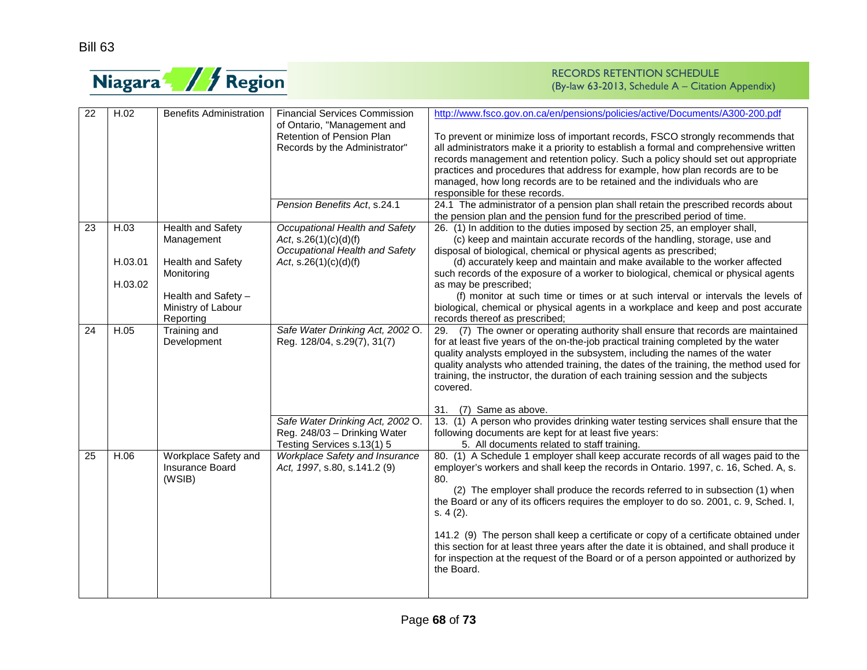

| 22 | H.02    | <b>Benefits Administration</b>                           | <b>Financial Services Commission</b>                                                           | http://www.fsco.gov.on.ca/en/pensions/policies/active/Documents/A300-200.pdf                                                                                                                                                                                                                                                                                                                                                                                                                                                                                                                                                                          |
|----|---------|----------------------------------------------------------|------------------------------------------------------------------------------------------------|-------------------------------------------------------------------------------------------------------------------------------------------------------------------------------------------------------------------------------------------------------------------------------------------------------------------------------------------------------------------------------------------------------------------------------------------------------------------------------------------------------------------------------------------------------------------------------------------------------------------------------------------------------|
|    |         |                                                          | of Ontario, "Management and<br>Retention of Pension Plan<br>Records by the Administrator"      | To prevent or minimize loss of important records, FSCO strongly recommends that<br>all administrators make it a priority to establish a formal and comprehensive written<br>records management and retention policy. Such a policy should set out appropriate<br>practices and procedures that address for example, how plan records are to be<br>managed, how long records are to be retained and the individuals who are<br>responsible for these records.                                                                                                                                                                                          |
|    |         |                                                          | Pension Benefits Act, s.24.1                                                                   | 24.1 The administrator of a pension plan shall retain the prescribed records about<br>the pension plan and the pension fund for the prescribed period of time.                                                                                                                                                                                                                                                                                                                                                                                                                                                                                        |
| 23 | H.03    | Health and Safety<br>Management                          | Occupational Health and Safety<br>Act, $s.26(1)(c)(d)(f)$<br>Occupational Health and Safety    | 26. (1) In addition to the duties imposed by section 25, an employer shall,<br>(c) keep and maintain accurate records of the handling, storage, use and<br>disposal of biological, chemical or physical agents as prescribed;                                                                                                                                                                                                                                                                                                                                                                                                                         |
|    | H.03.01 | <b>Health and Safety</b><br>Monitoring                   | Act, $s.26(1)(c)(d)(f)$                                                                        | (d) accurately keep and maintain and make available to the worker affected<br>such records of the exposure of a worker to biological, chemical or physical agents                                                                                                                                                                                                                                                                                                                                                                                                                                                                                     |
|    | H.03.02 | Health and Safety -<br>Ministry of Labour<br>Reporting   |                                                                                                | as may be prescribed;<br>(f) monitor at such time or times or at such interval or intervals the levels of<br>biological, chemical or physical agents in a workplace and keep and post accurate<br>records thereof as prescribed;                                                                                                                                                                                                                                                                                                                                                                                                                      |
| 24 | H.05    | Training and<br>Development                              | Safe Water Drinking Act, 2002 O.<br>Reg. 128/04, s.29(7), 31(7)                                | (7) The owner or operating authority shall ensure that records are maintained<br>29.<br>for at least five years of the on-the-job practical training completed by the water<br>quality analysts employed in the subsystem, including the names of the water<br>quality analysts who attended training, the dates of the training, the method used for<br>training, the instructor, the duration of each training session and the subjects<br>covered.                                                                                                                                                                                                 |
|    |         |                                                          |                                                                                                | 31.<br>(7) Same as above.                                                                                                                                                                                                                                                                                                                                                                                                                                                                                                                                                                                                                             |
|    |         |                                                          | Safe Water Drinking Act, 2002 O.<br>Reg. 248/03 - Drinking Water<br>Testing Services s.13(1) 5 | 13. (1) A person who provides drinking water testing services shall ensure that the<br>following documents are kept for at least five years:<br>5. All documents related to staff training.                                                                                                                                                                                                                                                                                                                                                                                                                                                           |
| 25 | H.06    | Workplace Safety and<br><b>Insurance Board</b><br>(WSIB) | Workplace Safety and Insurance<br>Act, 1997, s.80, s.141.2 (9)                                 | 80. (1) A Schedule 1 employer shall keep accurate records of all wages paid to the<br>employer's workers and shall keep the records in Ontario. 1997, c. 16, Sched. A, s.<br>80.<br>(2) The employer shall produce the records referred to in subsection (1) when<br>the Board or any of its officers requires the employer to do so. 2001, c. 9, Sched. I,<br>s. 4(2).<br>141.2 (9) The person shall keep a certificate or copy of a certificate obtained under<br>this section for at least three years after the date it is obtained, and shall produce it<br>for inspection at the request of the Board or of a person appointed or authorized by |
|    |         |                                                          |                                                                                                | the Board.                                                                                                                                                                                                                                                                                                                                                                                                                                                                                                                                                                                                                                            |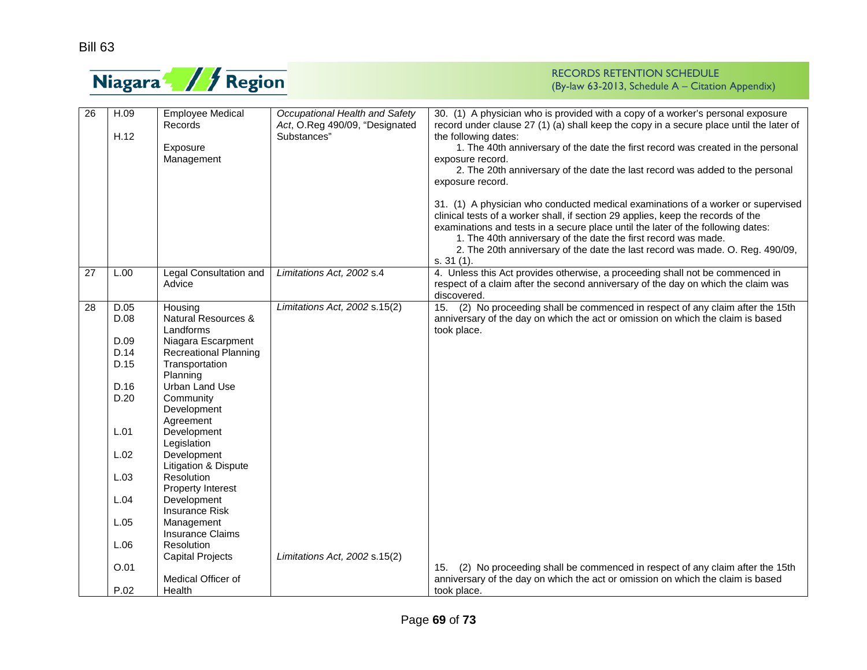

| 26 | H.09<br>H.12 | <b>Employee Medical</b><br><b>Records</b><br>Exposure<br>Management | Occupational Health and Safety<br>Act, O.Reg 490/09, "Designated<br>Substances" | 30. (1) A physician who is provided with a copy of a worker's personal exposure<br>record under clause 27 (1) (a) shall keep the copy in a secure place until the later of<br>the following dates:<br>1. The 40th anniversary of the date the first record was created in the personal<br>exposure record.<br>2. The 20th anniversary of the date the last record was added to the personal<br>exposure record.<br>31. (1) A physician who conducted medical examinations of a worker or supervised<br>clinical tests of a worker shall, if section 29 applies, keep the records of the<br>examinations and tests in a secure place until the later of the following dates:<br>1. The 40th anniversary of the date the first record was made.<br>2. The 20th anniversary of the date the last record was made. O. Reg. 490/09,<br>$s. 31(1)$ . |
|----|--------------|---------------------------------------------------------------------|---------------------------------------------------------------------------------|------------------------------------------------------------------------------------------------------------------------------------------------------------------------------------------------------------------------------------------------------------------------------------------------------------------------------------------------------------------------------------------------------------------------------------------------------------------------------------------------------------------------------------------------------------------------------------------------------------------------------------------------------------------------------------------------------------------------------------------------------------------------------------------------------------------------------------------------|
| 27 | L.00         | Legal Consultation and<br>Advice                                    | Limitations Act, 2002 s.4                                                       | 4. Unless this Act provides otherwise, a proceeding shall not be commenced in<br>respect of a claim after the second anniversary of the day on which the claim was<br>discovered.                                                                                                                                                                                                                                                                                                                                                                                                                                                                                                                                                                                                                                                              |
| 28 | D.05         | Housing                                                             | Limitations Act, 2002 s.15(2)                                                   | (2) No proceeding shall be commenced in respect of any claim after the 15th<br>15.                                                                                                                                                                                                                                                                                                                                                                                                                                                                                                                                                                                                                                                                                                                                                             |
|    | D.08         | Natural Resources &                                                 |                                                                                 | anniversary of the day on which the act or omission on which the claim is based                                                                                                                                                                                                                                                                                                                                                                                                                                                                                                                                                                                                                                                                                                                                                                |
|    |              | Landforms                                                           |                                                                                 | took place.                                                                                                                                                                                                                                                                                                                                                                                                                                                                                                                                                                                                                                                                                                                                                                                                                                    |
|    | D.09         | Niagara Escarpment                                                  |                                                                                 |                                                                                                                                                                                                                                                                                                                                                                                                                                                                                                                                                                                                                                                                                                                                                                                                                                                |
|    | D.14         | <b>Recreational Planning</b>                                        |                                                                                 |                                                                                                                                                                                                                                                                                                                                                                                                                                                                                                                                                                                                                                                                                                                                                                                                                                                |
|    | D.15         | Transportation                                                      |                                                                                 |                                                                                                                                                                                                                                                                                                                                                                                                                                                                                                                                                                                                                                                                                                                                                                                                                                                |
|    |              | Planning                                                            |                                                                                 |                                                                                                                                                                                                                                                                                                                                                                                                                                                                                                                                                                                                                                                                                                                                                                                                                                                |
|    | D.16         | Urban Land Use                                                      |                                                                                 |                                                                                                                                                                                                                                                                                                                                                                                                                                                                                                                                                                                                                                                                                                                                                                                                                                                |
|    | D.20         | Community                                                           |                                                                                 |                                                                                                                                                                                                                                                                                                                                                                                                                                                                                                                                                                                                                                                                                                                                                                                                                                                |
|    |              | Development                                                         |                                                                                 |                                                                                                                                                                                                                                                                                                                                                                                                                                                                                                                                                                                                                                                                                                                                                                                                                                                |
|    |              | Agreement                                                           |                                                                                 |                                                                                                                                                                                                                                                                                                                                                                                                                                                                                                                                                                                                                                                                                                                                                                                                                                                |
|    | L.01         | Development                                                         |                                                                                 |                                                                                                                                                                                                                                                                                                                                                                                                                                                                                                                                                                                                                                                                                                                                                                                                                                                |
|    |              | Legislation                                                         |                                                                                 |                                                                                                                                                                                                                                                                                                                                                                                                                                                                                                                                                                                                                                                                                                                                                                                                                                                |
|    | L.02         | Development                                                         |                                                                                 |                                                                                                                                                                                                                                                                                                                                                                                                                                                                                                                                                                                                                                                                                                                                                                                                                                                |
|    |              | Litigation & Dispute                                                |                                                                                 |                                                                                                                                                                                                                                                                                                                                                                                                                                                                                                                                                                                                                                                                                                                                                                                                                                                |
|    | L.03         | Resolution                                                          |                                                                                 |                                                                                                                                                                                                                                                                                                                                                                                                                                                                                                                                                                                                                                                                                                                                                                                                                                                |
|    |              | Property Interest                                                   |                                                                                 |                                                                                                                                                                                                                                                                                                                                                                                                                                                                                                                                                                                                                                                                                                                                                                                                                                                |
|    | L.04         | Development                                                         |                                                                                 |                                                                                                                                                                                                                                                                                                                                                                                                                                                                                                                                                                                                                                                                                                                                                                                                                                                |
|    |              | <b>Insurance Risk</b>                                               |                                                                                 |                                                                                                                                                                                                                                                                                                                                                                                                                                                                                                                                                                                                                                                                                                                                                                                                                                                |
|    | L.05         | Management                                                          |                                                                                 |                                                                                                                                                                                                                                                                                                                                                                                                                                                                                                                                                                                                                                                                                                                                                                                                                                                |
|    |              | <b>Insurance Claims</b>                                             |                                                                                 |                                                                                                                                                                                                                                                                                                                                                                                                                                                                                                                                                                                                                                                                                                                                                                                                                                                |
|    | L.06         | Resolution                                                          |                                                                                 |                                                                                                                                                                                                                                                                                                                                                                                                                                                                                                                                                                                                                                                                                                                                                                                                                                                |
|    |              | <b>Capital Projects</b>                                             | Limitations Act, 2002 s.15(2)                                                   |                                                                                                                                                                                                                                                                                                                                                                                                                                                                                                                                                                                                                                                                                                                                                                                                                                                |
|    | O.01         |                                                                     |                                                                                 | (2) No proceeding shall be commenced in respect of any claim after the 15th<br>15.                                                                                                                                                                                                                                                                                                                                                                                                                                                                                                                                                                                                                                                                                                                                                             |
|    |              | Medical Officer of                                                  |                                                                                 | anniversary of the day on which the act or omission on which the claim is based                                                                                                                                                                                                                                                                                                                                                                                                                                                                                                                                                                                                                                                                                                                                                                |
|    | P.02         | Health                                                              |                                                                                 | took place.                                                                                                                                                                                                                                                                                                                                                                                                                                                                                                                                                                                                                                                                                                                                                                                                                                    |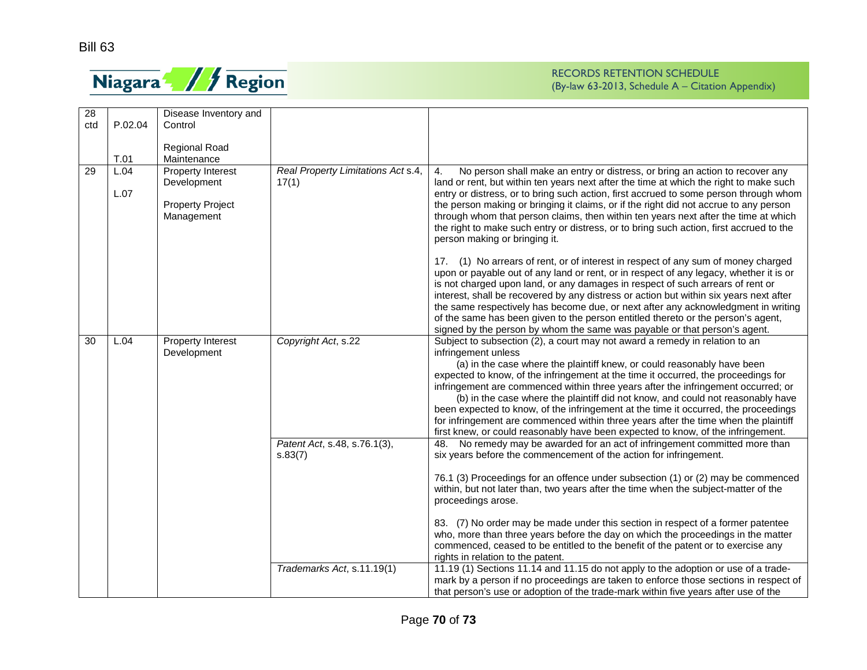

| 28  |              | Disease Inventory and                                                     |                                             |                                                                                                                                                                                                                                                                                                                                                                                                                                                                                                                                                                                                                                                                                                                                                                  |
|-----|--------------|---------------------------------------------------------------------------|---------------------------------------------|------------------------------------------------------------------------------------------------------------------------------------------------------------------------------------------------------------------------------------------------------------------------------------------------------------------------------------------------------------------------------------------------------------------------------------------------------------------------------------------------------------------------------------------------------------------------------------------------------------------------------------------------------------------------------------------------------------------------------------------------------------------|
| ctd | P.02.04      | Control                                                                   |                                             |                                                                                                                                                                                                                                                                                                                                                                                                                                                                                                                                                                                                                                                                                                                                                                  |
|     |              |                                                                           |                                             |                                                                                                                                                                                                                                                                                                                                                                                                                                                                                                                                                                                                                                                                                                                                                                  |
|     |              | <b>Regional Road</b>                                                      |                                             |                                                                                                                                                                                                                                                                                                                                                                                                                                                                                                                                                                                                                                                                                                                                                                  |
|     | T.01         | Maintenance                                                               |                                             |                                                                                                                                                                                                                                                                                                                                                                                                                                                                                                                                                                                                                                                                                                                                                                  |
| 29  | L.04<br>L.07 | Property Interest<br>Development<br><b>Property Project</b><br>Management | Real Property Limitations Act s.4,<br>17(1) | No person shall make an entry or distress, or bring an action to recover any<br>4.<br>land or rent, but within ten years next after the time at which the right to make such<br>entry or distress, or to bring such action, first accrued to some person through whom<br>the person making or bringing it claims, or if the right did not accrue to any person<br>through whom that person claims, then within ten years next after the time at which<br>the right to make such entry or distress, or to bring such action, first accrued to the<br>person making or bringing it.<br>17. (1) No arrears of rent, or of interest in respect of any sum of money charged<br>upon or payable out of any land or rent, or in respect of any legacy, whether it is or |
|     |              |                                                                           |                                             | is not charged upon land, or any damages in respect of such arrears of rent or<br>interest, shall be recovered by any distress or action but within six years next after<br>the same respectively has become due, or next after any acknowledgment in writing<br>of the same has been given to the person entitled thereto or the person's agent,<br>signed by the person by whom the same was payable or that person's agent.                                                                                                                                                                                                                                                                                                                                   |
| 30  | L.04         | Property Interest                                                         | Copyright Act, s.22                         | Subject to subsection (2), a court may not award a remedy in relation to an                                                                                                                                                                                                                                                                                                                                                                                                                                                                                                                                                                                                                                                                                      |
|     |              | Development                                                               |                                             | infringement unless<br>(a) in the case where the plaintiff knew, or could reasonably have been<br>expected to know, of the infringement at the time it occurred, the proceedings for<br>infringement are commenced within three years after the infringement occurred; or<br>(b) in the case where the plaintiff did not know, and could not reasonably have<br>been expected to know, of the infringement at the time it occurred, the proceedings<br>for infringement are commenced within three years after the time when the plaintiff<br>first knew, or could reasonably have been expected to know, of the infringement.                                                                                                                                   |
|     |              |                                                                           | Patent Act, s.48, s.76.1(3),<br>s.83(7)     | 48. No remedy may be awarded for an act of infringement committed more than<br>six years before the commencement of the action for infringement.                                                                                                                                                                                                                                                                                                                                                                                                                                                                                                                                                                                                                 |
|     |              |                                                                           |                                             | 76.1 (3) Proceedings for an offence under subsection (1) or (2) may be commenced<br>within, but not later than, two years after the time when the subject-matter of the<br>proceedings arose.                                                                                                                                                                                                                                                                                                                                                                                                                                                                                                                                                                    |
|     |              |                                                                           |                                             | 83. (7) No order may be made under this section in respect of a former patentee<br>who, more than three years before the day on which the proceedings in the matter<br>commenced, ceased to be entitled to the benefit of the patent or to exercise any<br>rights in relation to the patent.                                                                                                                                                                                                                                                                                                                                                                                                                                                                     |
|     |              |                                                                           | Trademarks Act, s.11.19(1)                  | 11.19 (1) Sections 11.14 and 11.15 do not apply to the adoption or use of a trade-<br>mark by a person if no proceedings are taken to enforce those sections in respect of<br>that person's use or adoption of the trade-mark within five years after use of the                                                                                                                                                                                                                                                                                                                                                                                                                                                                                                 |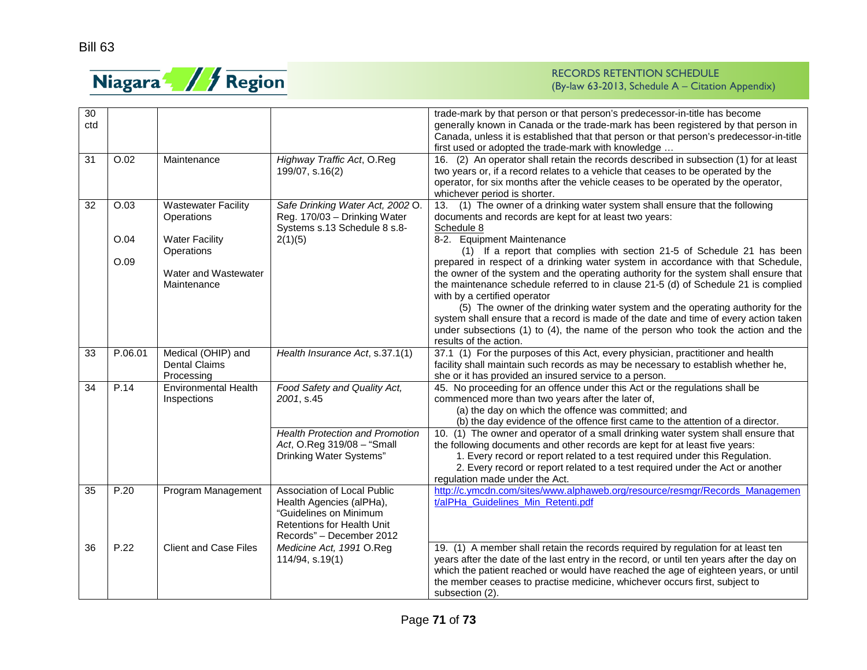

| 30<br>ctd |              |                                                                            |                                                                                                                                                    | trade-mark by that person or that person's predecessor-in-title has become<br>generally known in Canada or the trade-mark has been registered by that person in<br>Canada, unless it is established that that person or that person's predecessor-in-title<br>first used or adopted the trade-mark with knowledge                                                                                                                                                                                                                                                                 |
|-----------|--------------|----------------------------------------------------------------------------|----------------------------------------------------------------------------------------------------------------------------------------------------|-----------------------------------------------------------------------------------------------------------------------------------------------------------------------------------------------------------------------------------------------------------------------------------------------------------------------------------------------------------------------------------------------------------------------------------------------------------------------------------------------------------------------------------------------------------------------------------|
| 31        | O.02         | Maintenance                                                                | Highway Traffic Act, O.Reg<br>199/07, s.16(2)                                                                                                      | 16. (2) An operator shall retain the records described in subsection (1) for at least<br>two years or, if a record relates to a vehicle that ceases to be operated by the<br>operator, for six months after the vehicle ceases to be operated by the operator,<br>whichever period is shorter.                                                                                                                                                                                                                                                                                    |
| 32        | O.03         | <b>Wastewater Facility</b><br>Operations                                   | Safe Drinking Water Act, 2002 O.<br>Reg. 170/03 - Drinking Water<br>Systems s.13 Schedule 8 s.8-                                                   | (1) The owner of a drinking water system shall ensure that the following<br>13.<br>documents and records are kept for at least two years:<br>Schedule 8                                                                                                                                                                                                                                                                                                                                                                                                                           |
|           | O.04<br>O.09 | <b>Water Facility</b><br>Operations<br>Water and Wastewater<br>Maintenance | 2(1)(5)                                                                                                                                            | 8-2. Equipment Maintenance<br>(1) If a report that complies with section 21-5 of Schedule 21 has been<br>prepared in respect of a drinking water system in accordance with that Schedule,<br>the owner of the system and the operating authority for the system shall ensure that<br>the maintenance schedule referred to in clause 21-5 (d) of Schedule 21 is complied<br>with by a certified operator<br>(5) The owner of the drinking water system and the operating authority for the<br>system shall ensure that a record is made of the date and time of every action taken |
|           |              |                                                                            |                                                                                                                                                    | under subsections $(1)$ to $(4)$ , the name of the person who took the action and the<br>results of the action.                                                                                                                                                                                                                                                                                                                                                                                                                                                                   |
| 33        | P.06.01      | Medical (OHIP) and<br><b>Dental Claims</b><br>Processing                   | Health Insurance Act, s.37.1(1)                                                                                                                    | 37.1 (1) For the purposes of this Act, every physician, practitioner and health<br>facility shall maintain such records as may be necessary to establish whether he,<br>she or it has provided an insured service to a person.                                                                                                                                                                                                                                                                                                                                                    |
| 34        | P.14         | <b>Environmental Health</b><br>Inspections                                 | Food Safety and Quality Act,<br>2001. s.45                                                                                                         | 45. No proceeding for an offence under this Act or the regulations shall be<br>commenced more than two years after the later of,<br>(a) the day on which the offence was committed; and<br>(b) the day evidence of the offence first came to the attention of a director.                                                                                                                                                                                                                                                                                                         |
|           |              |                                                                            | <b>Health Protection and Promotion</b><br>Act, O.Reg 319/08 - "Small<br>Drinking Water Systems"                                                    | 10. (1) The owner and operator of a small drinking water system shall ensure that<br>the following documents and other records are kept for at least five years:<br>1. Every record or report related to a test required under this Regulation.<br>2. Every record or report related to a test required under the Act or another<br>regulation made under the Act.                                                                                                                                                                                                                |
| 35        | P.20         | Program Management                                                         | Association of Local Public<br>Health Agencies (alPHa),<br>"Guidelines on Minimum<br><b>Retentions for Health Unit</b><br>Records" - December 2012 | http://c.ymcdn.com/sites/www.alphaweb.org/resource/resmgr/Records_Managemen<br>t/alPHa_Guidelines_Min_Retenti.pdf                                                                                                                                                                                                                                                                                                                                                                                                                                                                 |
| 36        | P.22         | <b>Client and Case Files</b>                                               | Medicine Act, 1991 O.Reg<br>114/94, s.19(1)                                                                                                        | 19. (1) A member shall retain the records required by regulation for at least ten<br>years after the date of the last entry in the record, or until ten years after the day on<br>which the patient reached or would have reached the age of eighteen years, or until<br>the member ceases to practise medicine, whichever occurs first, subject to<br>subsection (2).                                                                                                                                                                                                            |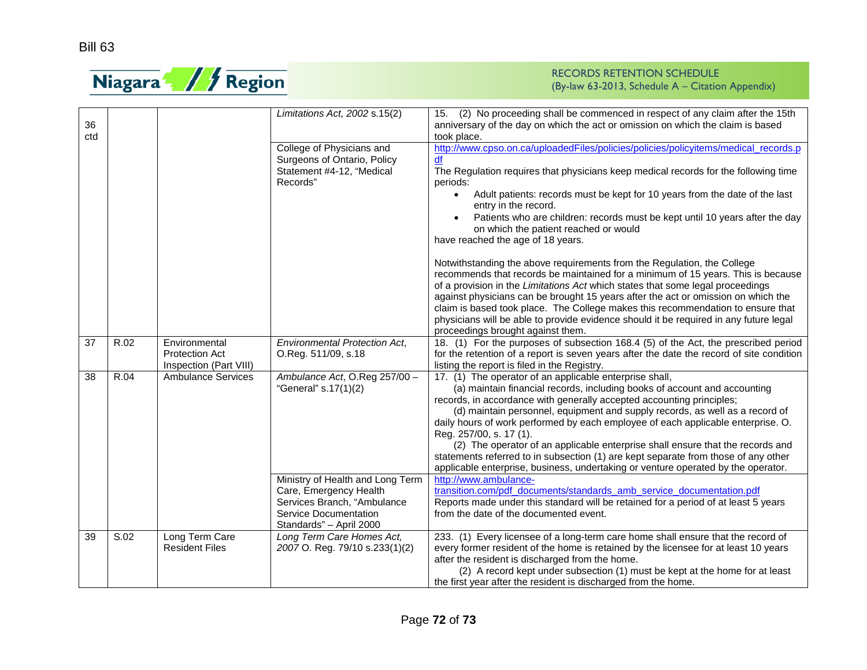

| 36<br>ctd |      |                                                                  | Limitations Act, 2002 s.15(2)                                                                                                                 | 15. (2) No proceeding shall be commenced in respect of any claim after the 15th<br>anniversary of the day on which the act or omission on which the claim is based<br>took place.                                                                                                                                                                                                                                                                                                                                                                                                                                                                                         |
|-----------|------|------------------------------------------------------------------|-----------------------------------------------------------------------------------------------------------------------------------------------|---------------------------------------------------------------------------------------------------------------------------------------------------------------------------------------------------------------------------------------------------------------------------------------------------------------------------------------------------------------------------------------------------------------------------------------------------------------------------------------------------------------------------------------------------------------------------------------------------------------------------------------------------------------------------|
|           |      |                                                                  | College of Physicians and<br>Surgeons of Ontario, Policy<br>Statement #4-12, "Medical<br>Records"                                             | http://www.cpso.on.ca/uploadedFiles/policies/policies/policyitems/medical records.p<br>df<br>The Regulation requires that physicians keep medical records for the following time<br>periods:<br>Adult patients: records must be kept for 10 years from the date of the last<br>entry in the record.<br>Patients who are children: records must be kept until 10 years after the day<br>on which the patient reached or would<br>have reached the age of 18 years.<br>Notwithstanding the above requirements from the Regulation, the College<br>recommends that records be maintained for a minimum of 15 years. This is because                                          |
|           |      |                                                                  |                                                                                                                                               | of a provision in the Limitations Act which states that some legal proceedings<br>against physicians can be brought 15 years after the act or omission on which the<br>claim is based took place. The College makes this recommendation to ensure that<br>physicians will be able to provide evidence should it be required in any future legal<br>proceedings brought against them.                                                                                                                                                                                                                                                                                      |
| 37        | R.02 | Environmental<br><b>Protection Act</b><br>Inspection (Part VIII) | <b>Environmental Protection Act,</b><br>O.Reg. 511/09, s.18                                                                                   | 18. (1) For the purposes of subsection 168.4 (5) of the Act, the prescribed period<br>for the retention of a report is seven years after the date the record of site condition<br>listing the report is filed in the Registry.                                                                                                                                                                                                                                                                                                                                                                                                                                            |
| 38        | R.04 | <b>Ambulance Services</b>                                        | Ambulance Act, O.Reg 257/00 -<br>"General" s.17(1)(2)                                                                                         | 17. (1) The operator of an applicable enterprise shall,<br>(a) maintain financial records, including books of account and accounting<br>records, in accordance with generally accepted accounting principles;<br>(d) maintain personnel, equipment and supply records, as well as a record of<br>daily hours of work performed by each employee of each applicable enterprise. O.<br>Reg. 257/00, s. 17 (1).<br>(2) The operator of an applicable enterprise shall ensure that the records and<br>statements referred to in subsection (1) are kept separate from those of any other<br>applicable enterprise, business, undertaking or venture operated by the operator. |
|           |      |                                                                  | Ministry of Health and Long Term<br>Care, Emergency Health<br>Services Branch, "Ambulance<br>Service Documentation<br>Standards" - April 2000 | http://www.ambulance-<br>transition.com/pdf_documents/standards_amb_service_documentation.pdf<br>Reports made under this standard will be retained for a period of at least 5 years<br>from the date of the documented event.                                                                                                                                                                                                                                                                                                                                                                                                                                             |
| 39        | S.02 | Long Term Care<br><b>Resident Files</b>                          | Long Term Care Homes Act,<br>2007 O. Reg. 79/10 s.233(1)(2)                                                                                   | 233. (1) Every licensee of a long-term care home shall ensure that the record of<br>every former resident of the home is retained by the licensee for at least 10 years<br>after the resident is discharged from the home.<br>(2) A record kept under subsection (1) must be kept at the home for at least<br>the first year after the resident is discharged from the home.                                                                                                                                                                                                                                                                                              |